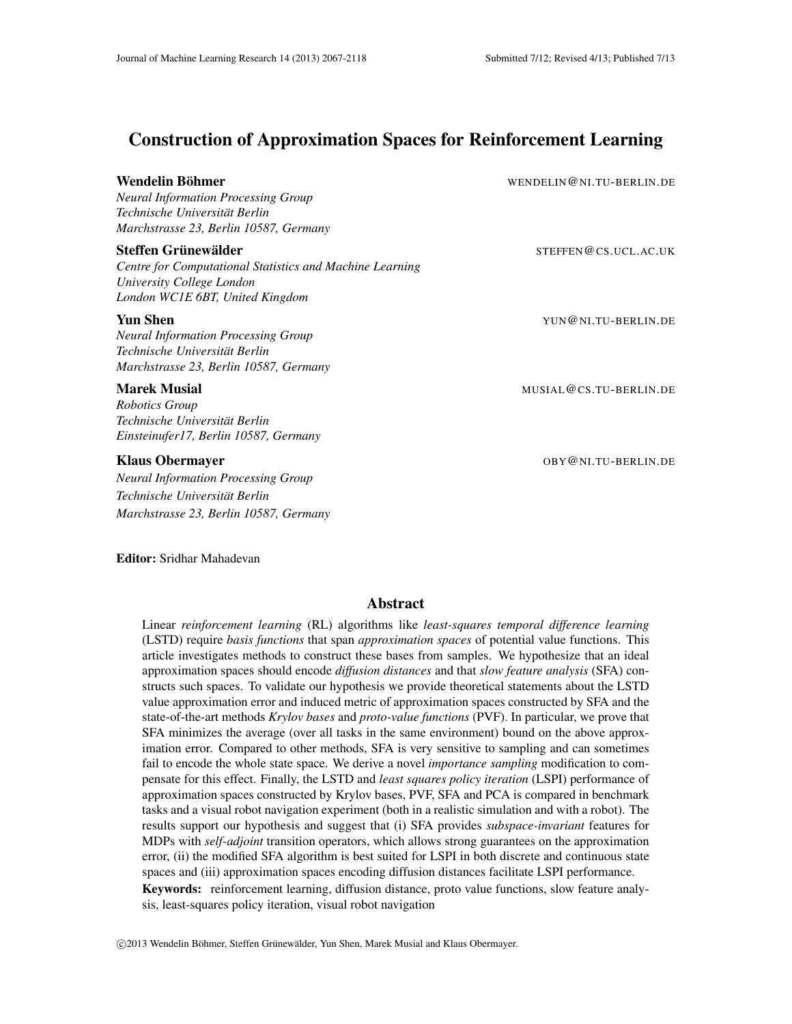# Construction of Approximation Spaces for Reinforcement Learning

Wendelin Böhmer Ölümler in Demokratik version wendelin@ni.tu-berlin.de

*Neural Information Processing Group Technische Universitat Berlin ¨ Marchstrasse 23, Berlin 10587, Germany*

## Steffen Grunew ¨ alder ¨ STEFFEN@CS.UCL.AC.UK

*Centre for Computational Statistics and Machine Learning University College London London WC1E 6BT, United Kingdom*

## **Yun Shen** YUN@NI.TU-BERLIN.DE

*Neural Information Processing Group Technische Universitat Berlin ¨ Marchstrasse 23, Berlin 10587, Germany*

*Robotics Group Technische Universitat Berlin ¨ Einsteinufer17, Berlin 10587, Germany*

*Neural Information Processing Group Technische Universitat Berlin ¨ Marchstrasse 23, Berlin 10587, Germany*

Marek Musial Musial Musial Musial Musial Musial Musial Musial Musial Musial Musial Musial Musial Musial Musia

Klaus Obermayer **Contains a Community Contains a Container** OBY @NI.TU-BERLIN.DE

Editor: Sridhar Mahadevan

## Abstract

Linear *reinforcement learning* (RL) algorithms like *least-squares temporal difference learning* (LSTD) require *basis functions* that span *approximation spaces* of potential value functions. This article investigates methods to construct these bases from samples. We hypothesize that an ideal approximation spaces should encode *diffusion distances* and that *slow feature analysis* (SFA) constructs such spaces. To validate our hypothesis we provide theoretical statements about the LSTD value approximation error and induced metric of approximation spaces constructed by SFA and the state-of-the-art methods *Krylov bases* and *proto-value functions* (PVF). In particular, we prove that SFA minimizes the average (over all tasks in the same environment) bound on the above approximation error. Compared to other methods, SFA is very sensitive to sampling and can sometimes fail to encode the whole state space. We derive a novel *importance sampling* modification to compensate for this effect. Finally, the LSTD and *least squares policy iteration* (LSPI) performance of approximation spaces constructed by Krylov bases, PVF, SFA and PCA is compared in benchmark tasks and a visual robot navigation experiment (both in a realistic simulation and with a robot). The results support our hypothesis and suggest that (i) SFA provides *subspace-invariant* features for MDPs with *self-adjoint* transition operators, which allows strong guarantees on the approximation error, (ii) the modified SFA algorithm is best suited for LSPI in both discrete and continuous state spaces and (iii) approximation spaces encoding diffusion distances facilitate LSPI performance. Keywords: reinforcement learning, diffusion distance, proto value functions, slow feature analysis, least-squares policy iteration, visual robot navigation

©2013 Wendelin Böhmer, Steffen Grünewälder, Yun Shen, Marek Musial and Klaus Obermayer.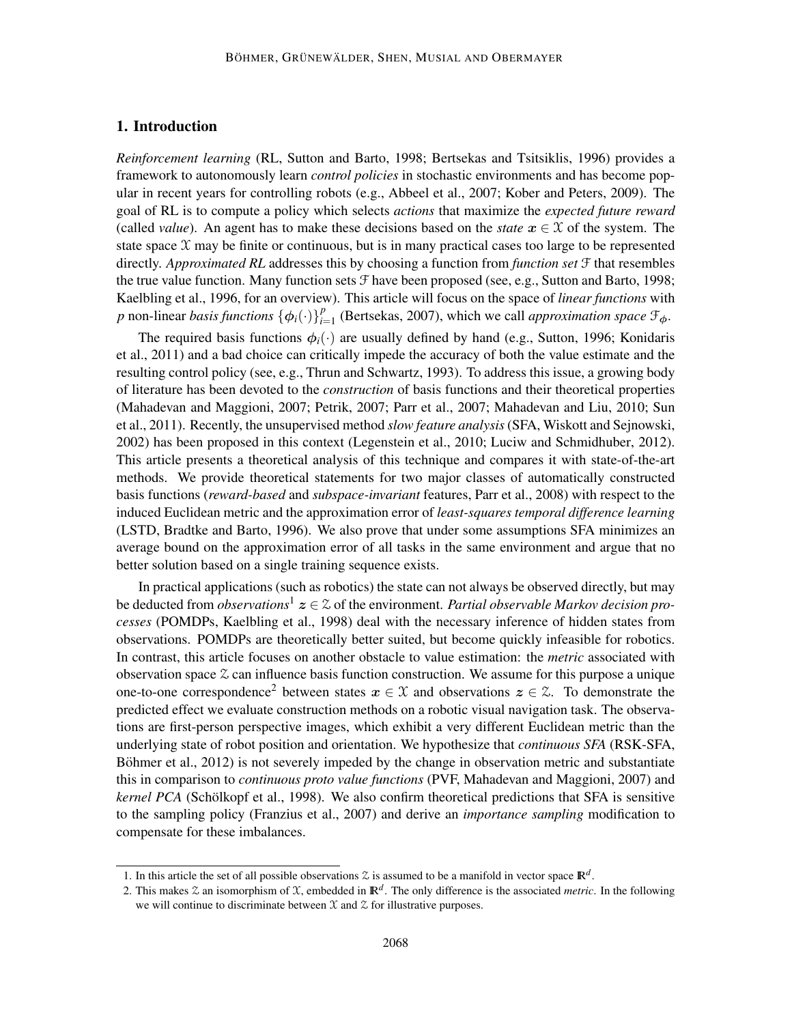## 1. Introduction

*Reinforcement learning* (RL, Sutton and Barto, 1998; Bertsekas and Tsitsiklis, 1996) provides a framework to autonomously learn *control policies* in stochastic environments and has become popular in recent years for controlling robots (e.g., Abbeel et al., 2007; Kober and Peters, 2009). The goal of RL is to compute a policy which selects *actions* that maximize the *expected future reward* (called *value*). An agent has to make these decisions based on the *state*  $x \in \mathcal{X}$  of the system. The state space  $X$  may be finite or continuous, but is in many practical cases too large to be represented directly. *Approximated RL* addresses this by choosing a function from *function set* F that resembles the true value function. Many function sets  $\mathcal F$  have been proposed (see, e.g., Sutton and Barto, 1998; Kaelbling et al., 1996, for an overview). This article will focus on the space of *linear functions* with *p* non-linear *basis functions*  $\{\phi_i(\cdot)\}_{i=1}^p$  $_{i=1}^{p}$  (Bertsekas, 2007), which we call *approximation space*  $\mathcal{F}_{\phi}$ .

The required basis functions  $\phi_i(\cdot)$  are usually defined by hand (e.g., Sutton, 1996; Konidaris et al., 2011) and a bad choice can critically impede the accuracy of both the value estimate and the resulting control policy (see, e.g., Thrun and Schwartz, 1993). To address this issue, a growing body of literature has been devoted to the *construction* of basis functions and their theoretical properties (Mahadevan and Maggioni, 2007; Petrik, 2007; Parr et al., 2007; Mahadevan and Liu, 2010; Sun et al., 2011). Recently, the unsupervised method *slow feature analysis*(SFA, Wiskott and Sejnowski, 2002) has been proposed in this context (Legenstein et al., 2010; Luciw and Schmidhuber, 2012). This article presents a theoretical analysis of this technique and compares it with state-of-the-art methods. We provide theoretical statements for two major classes of automatically constructed basis functions (*reward-based* and *subspace-invariant* features, Parr et al., 2008) with respect to the induced Euclidean metric and the approximation error of *least-squares temporal difference learning* (LSTD, Bradtke and Barto, 1996). We also prove that under some assumptions SFA minimizes an average bound on the approximation error of all tasks in the same environment and argue that no better solution based on a single training sequence exists.

In practical applications (such as robotics) the state can not always be observed directly, but may be deducted from *observations*<sup>1</sup>  $z \in \mathcal{Z}$  of the environment. *Partial observable Markov decision processes* (POMDPs, Kaelbling et al., 1998) deal with the necessary inference of hidden states from observations. POMDPs are theoretically better suited, but become quickly infeasible for robotics. In contrast, this article focuses on another obstacle to value estimation: the *metric* associated with observation space  $\chi$  can influence basis function construction. We assume for this purpose a unique one-to-one correspondence<sup>2</sup> between states  $x \in \mathcal{X}$  and observations  $z \in \mathcal{Z}$ . To demonstrate the predicted effect we evaluate construction methods on a robotic visual navigation task. The observations are first-person perspective images, which exhibit a very different Euclidean metric than the underlying state of robot position and orientation. We hypothesize that *continuous SFA* (RSK-SFA, Böhmer et al., 2012) is not severely impeded by the change in observation metric and substantiate this in comparison to *continuous proto value functions* (PVF, Mahadevan and Maggioni, 2007) and *kernel PCA* (Schölkopf et al., 1998). We also confirm theoretical predictions that SFA is sensitive to the sampling policy (Franzius et al., 2007) and derive an *importance sampling* modification to compensate for these imbalances.

<sup>1.</sup> In this article the set of all possible observations  $\mathcal Z$  is assumed to be a manifold in vector space  $\mathbb R^d$ .

<sup>2.</sup> This makes  $\&$  an isomorphism of  $\&$ , embedded in  $\mathbb{R}^d$ . The only difference is the associated *metric*. In the following we will continue to discriminate between  $\mathfrak X$  and  $\mathfrak X$  for illustrative purposes.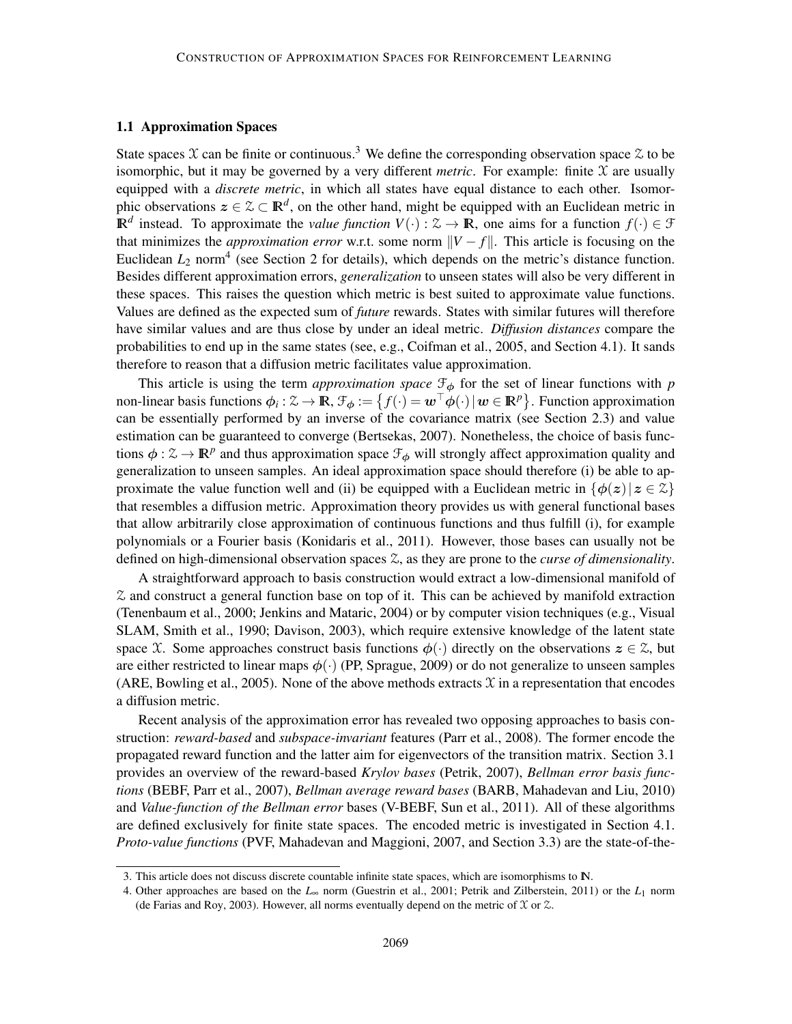### 1.1 Approximation Spaces

State spaces X can be finite or continuous.<sup>3</sup> We define the corresponding observation space  $\chi$  to be isomorphic, but it may be governed by a very different *metric*. For example: finite  $\mathfrak X$  are usually equipped with a *discrete metric*, in which all states have equal distance to each other. Isomorphic observations  $z \in \mathcal{Z} \subset \mathbb{R}^d$ , on the other hand, might be equipped with an Euclidean metric in  $\mathbb{R}^d$  instead. To approximate the *value function*  $V(\cdot): \mathcal{Z} \to \mathbb{R}$ , one aims for a function  $f(\cdot) \in \mathcal{F}$ that minimizes the *approximation error* w.r.t. some norm  $||V - f||$ . This article is focusing on the Euclidean  $L_2$  norm<sup>4</sup> (see Section 2 for details), which depends on the metric's distance function. Besides different approximation errors, *generalization* to unseen states will also be very different in these spaces. This raises the question which metric is best suited to approximate value functions. Values are defined as the expected sum of *future* rewards. States with similar futures will therefore have similar values and are thus close by under an ideal metric. *Diffusion distances* compare the probabilities to end up in the same states (see, e.g., Coifman et al., 2005, and Section 4.1). It sands therefore to reason that a diffusion metric facilitates value approximation.

This article is using the term *approximation space*  $\mathcal{F}_{\phi}$  for the set of linear functions with *p* non-linear basis functions  $\phi_i : \mathcal{Z} \to \mathbb{R}$ ,  $\mathcal{F}_{\phi} := \{ f(\cdot) = \mathbf{w}^\top \phi(\cdot) | \mathbf{w} \in \mathbb{R}^p \}$ . Function approximation can be essentially performed by an inverse of the covariance matrix (see Section 2.3) and value estimation can be guaranteed to converge (Bertsekas, 2007). Nonetheless, the choice of basis functions  $\phi: \mathcal{Z} \to \mathbb{R}^p$  and thus approximation space  $\mathcal{F}_{\phi}$  will strongly affect approximation quality and generalization to unseen samples. An ideal approximation space should therefore (i) be able to approximate the value function well and (ii) be equipped with a Euclidean metric in  $\{\phi(z)|z \in \mathcal{Z}\}\$ that resembles a diffusion metric. Approximation theory provides us with general functional bases that allow arbitrarily close approximation of continuous functions and thus fulfill (i), for example polynomials or a Fourier basis (Konidaris et al., 2011). However, those bases can usually not be defined on high-dimensional observation spaces Z, as they are prone to the *curse of dimensionality*.

A straightforward approach to basis construction would extract a low-dimensional manifold of  $\Omega$  and construct a general function base on top of it. This can be achieved by manifold extraction (Tenenbaum et al., 2000; Jenkins and Mataric, 2004) or by computer vision techniques (e.g., Visual SLAM, Smith et al., 1990; Davison, 2003), which require extensive knowledge of the latent state space X. Some approaches construct basis functions  $\phi(\cdot)$  directly on the observations  $z \in \mathcal{Z}$ , but are either restricted to linear maps  $\phi(\cdot)$  (PP, Sprague, 2009) or do not generalize to unseen samples (ARE, Bowling et al., 2005). None of the above methods extracts  $\mathcal X$  in a representation that encodes a diffusion metric.

Recent analysis of the approximation error has revealed two opposing approaches to basis construction: *reward-based* and *subspace-invariant* features (Parr et al., 2008). The former encode the propagated reward function and the latter aim for eigenvectors of the transition matrix. Section 3.1 provides an overview of the reward-based *Krylov bases* (Petrik, 2007), *Bellman error basis functions* (BEBF, Parr et al., 2007), *Bellman average reward bases* (BARB, Mahadevan and Liu, 2010) and *Value-function of the Bellman error* bases (V-BEBF, Sun et al., 2011). All of these algorithms are defined exclusively for finite state spaces. The encoded metric is investigated in Section 4.1. *Proto-value functions* (PVF, Mahadevan and Maggioni, 2007, and Section 3.3) are the state-of-the-

<sup>3.</sup> This article does not discuss discrete countable infinite state spaces, which are isomorphisms to IN.

<sup>4.</sup> Other approaches are based on the *L*<sup>∞</sup> norm (Guestrin et al., 2001; Petrik and Zilberstein, 2011) or the *L*<sup>1</sup> norm (de Farias and Roy, 2003). However, all norms eventually depend on the metric of  $\mathfrak X$  or  $\mathfrak X$ .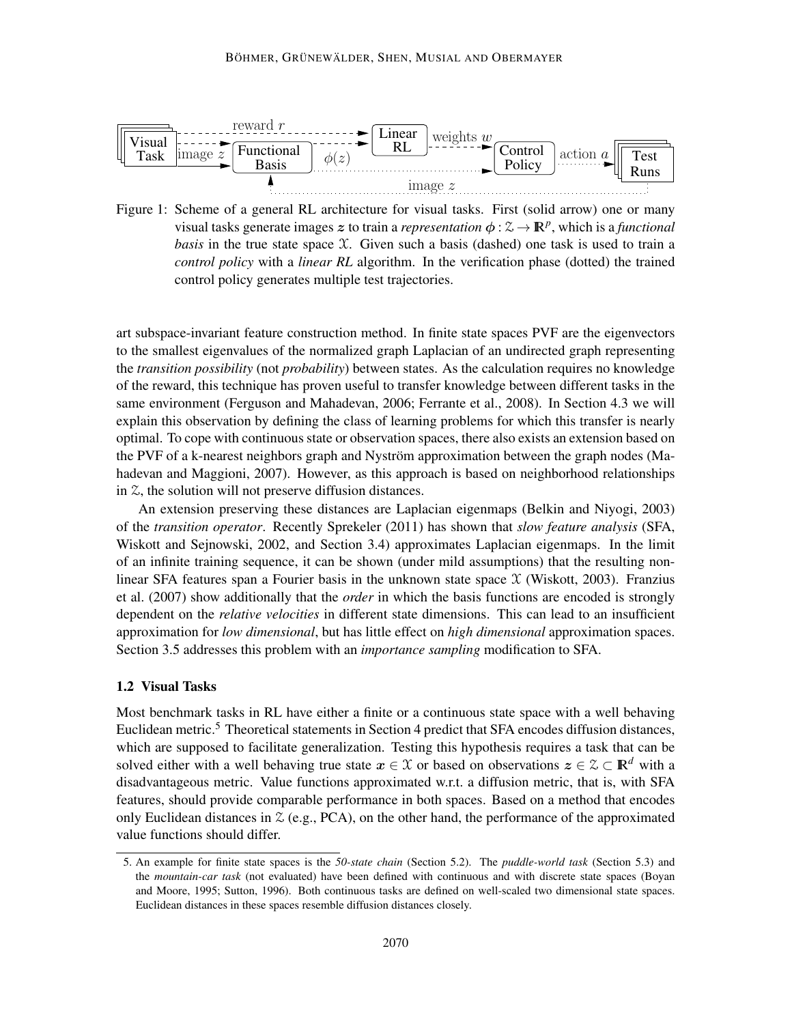

Figure 1: Scheme of a general RL architecture for visual tasks. First (solid arrow) one or many visual tasks generate images z to train a *representation*  $\phi : \mathcal{Z} \to \mathbb{R}^p$ , which is a *functional basis* in the true state space  $X$ . Given such a basis (dashed) one task is used to train a *control policy* with a *linear RL* algorithm. In the verification phase (dotted) the trained control policy generates multiple test trajectories.

art subspace-invariant feature construction method. In finite state spaces PVF are the eigenvectors to the smallest eigenvalues of the normalized graph Laplacian of an undirected graph representing the *transition possibility* (not *probability*) between states. As the calculation requires no knowledge of the reward, this technique has proven useful to transfer knowledge between different tasks in the same environment (Ferguson and Mahadevan, 2006; Ferrante et al., 2008). In Section 4.3 we will explain this observation by defining the class of learning problems for which this transfer is nearly optimal. To cope with continuous state or observation spaces, there also exists an extension based on the PVF of a k-nearest neighbors graph and Nyström approximation between the graph nodes (Mahadevan and Maggioni, 2007). However, as this approach is based on neighborhood relationships in  $\mathcal{Z}$ , the solution will not preserve diffusion distances.

An extension preserving these distances are Laplacian eigenmaps (Belkin and Niyogi, 2003) of the *transition operator*. Recently Sprekeler (2011) has shown that *slow feature analysis* (SFA, Wiskott and Sejnowski, 2002, and Section 3.4) approximates Laplacian eigenmaps. In the limit of an infinite training sequence, it can be shown (under mild assumptions) that the resulting nonlinear SFA features span a Fourier basis in the unknown state space  $\mathfrak X$  (Wiskott, 2003). Franzius et al. (2007) show additionally that the *order* in which the basis functions are encoded is strongly dependent on the *relative velocities* in different state dimensions. This can lead to an insufficient approximation for *low dimensional*, but has little effect on *high dimensional* approximation spaces. Section 3.5 addresses this problem with an *importance sampling* modification to SFA.

## 1.2 Visual Tasks

Most benchmark tasks in RL have either a finite or a continuous state space with a well behaving Euclidean metric.<sup>5</sup> Theoretical statements in Section 4 predict that SFA encodes diffusion distances, which are supposed to facilitate generalization. Testing this hypothesis requires a task that can be solved either with a well behaving true state  $x \in \mathcal{X}$  or based on observations  $z \in \mathcal{Z} \subset \mathbb{R}^d$  with a disadvantageous metric. Value functions approximated w.r.t. a diffusion metric, that is, with SFA features, should provide comparable performance in both spaces. Based on a method that encodes only Euclidean distances in  $\mathcal{Z}$  (e.g., PCA), on the other hand, the performance of the approximated value functions should differ.

<sup>5.</sup> An example for finite state spaces is the *50-state chain* (Section 5.2). The *puddle-world task* (Section 5.3) and the *mountain-car task* (not evaluated) have been defined with continuous and with discrete state spaces (Boyan and Moore, 1995; Sutton, 1996). Both continuous tasks are defined on well-scaled two dimensional state spaces. Euclidean distances in these spaces resemble diffusion distances closely.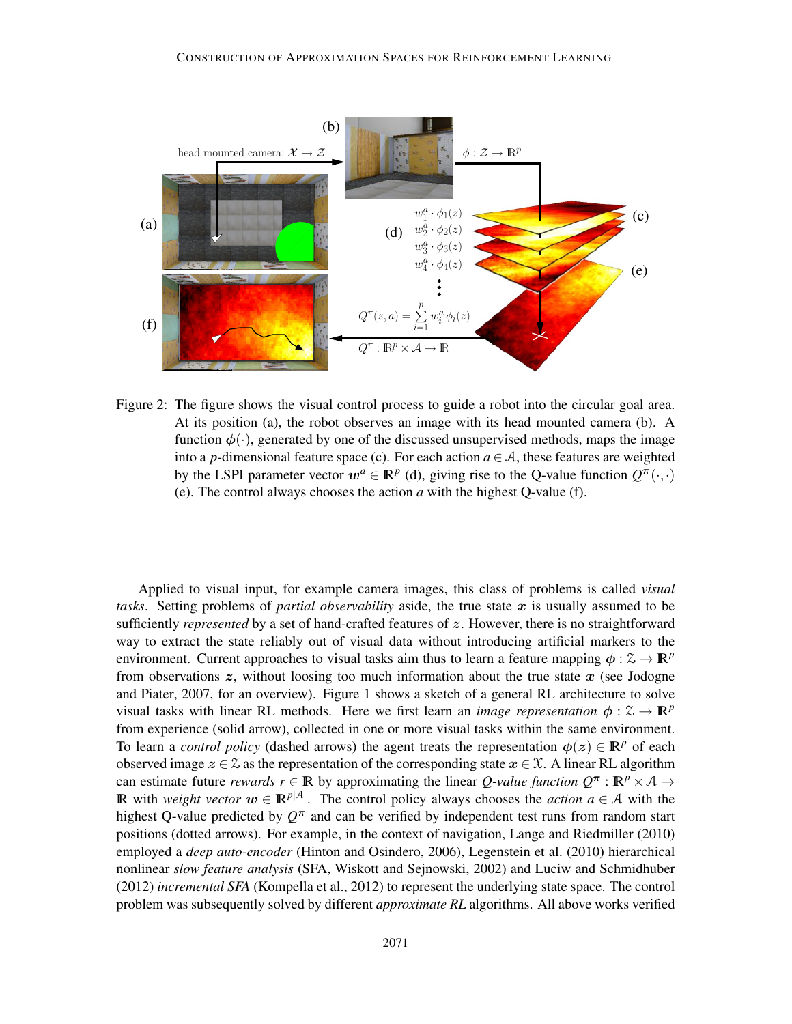

Figure 2: The figure shows the visual control process to guide a robot into the circular goal area. At its position (a), the robot observes an image with its head mounted camera (b). A function  $\phi(\cdot)$ , generated by one of the discussed unsupervised methods, maps the image into a *p*-dimensional feature space (c). For each action  $a \in A$ , these features are weighted by the LSPI parameter vector  $w^a \in \mathbb{R}^p$  (d), giving rise to the Q-value function  $Q^{\pi}(\cdot, \cdot)$ (e). The control always chooses the action *a* with the highest Q-value (f).

Applied to visual input, for example camera images, this class of problems is called *visual tasks.* Setting problems of *partial observability* aside, the true state  $x$  is usually assumed to be sufficiently *represented* by a set of hand-crafted features of z. However, there is no straightforward way to extract the state reliably out of visual data without introducing artificial markers to the environment. Current approaches to visual tasks aim thus to learn a feature mapping  $\phi : \mathcal{Z} \to \mathbb{R}^p$ from observations  $z$ , without loosing too much information about the true state  $x$  (see Jodogne and Piater, 2007, for an overview). Figure 1 shows a sketch of a general RL architecture to solve visual tasks with linear RL methods. Here we first learn an *image representation*  $\phi : \mathcal{Z} \to \mathbb{R}^p$ from experience (solid arrow), collected in one or more visual tasks within the same environment. To learn a *control policy* (dashed arrows) the agent treats the representation  $\phi(z) \in \mathbb{R}^p$  of each observed image  $z \in \mathcal{Z}$  as the representation of the corresponding state  $x \in \mathcal{X}$ . A linear RL algorithm can estimate future *rewards*  $r \in \mathbb{R}$  by approximating the linear *Q-value function*  $Q^{\pi}$ :  $\mathbb{R}^p \times A \rightarrow$ **IR** with *weight vector*  $\mathbf{w} \in \mathbb{R}^{p|\mathcal{A}|}$ . The control policy always chooses the *action*  $a \in \mathcal{A}$  with the highest Q-value predicted by  $Q^{\pi}$  and can be verified by independent test runs from random start positions (dotted arrows). For example, in the context of navigation, Lange and Riedmiller (2010) employed a *deep auto-encoder* (Hinton and Osindero, 2006), Legenstein et al. (2010) hierarchical nonlinear *slow feature analysis* (SFA, Wiskott and Sejnowski, 2002) and Luciw and Schmidhuber (2012) *incremental SFA* (Kompella et al., 2012) to represent the underlying state space. The control problem was subsequently solved by different *approximate RL* algorithms. All above works verified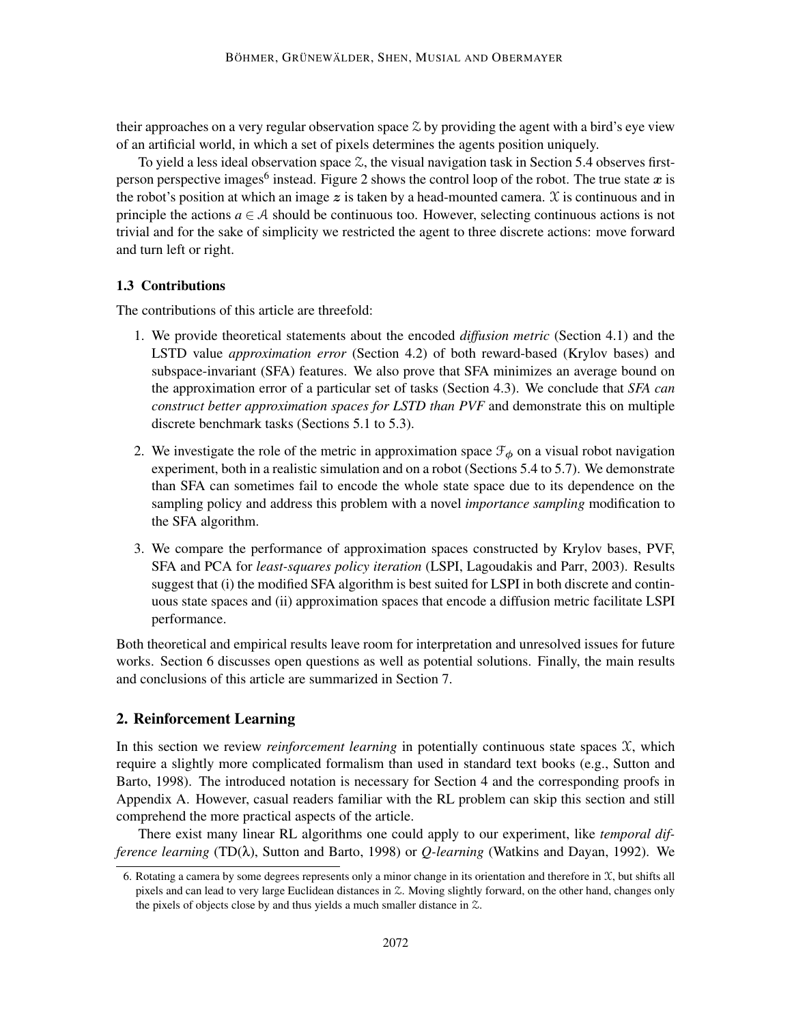their approaches on a very regular observation space  $\mathcal Z$  by providing the agent with a bird's eye view of an artificial world, in which a set of pixels determines the agents position uniquely.

To yield a less ideal observation space  $\mathcal{Z}$ , the visual navigation task in Section 5.4 observes firstperson perspective images<sup>6</sup> instead. Figure 2 shows the control loop of the robot. The true state x is the robot's position at which an image  $z$  is taken by a head-mounted camera.  $\chi$  is continuous and in principle the actions  $a \in A$  should be continuous too. However, selecting continuous actions is not trivial and for the sake of simplicity we restricted the agent to three discrete actions: move forward and turn left or right.

## 1.3 Contributions

The contributions of this article are threefold:

- 1. We provide theoretical statements about the encoded *diffusion metric* (Section 4.1) and the LSTD value *approximation error* (Section 4.2) of both reward-based (Krylov bases) and subspace-invariant (SFA) features. We also prove that SFA minimizes an average bound on the approximation error of a particular set of tasks (Section 4.3). We conclude that *SFA can construct better approximation spaces for LSTD than PVF* and demonstrate this on multiple discrete benchmark tasks (Sections 5.1 to 5.3).
- 2. We investigate the role of the metric in approximation space  $\mathcal{F}_{\phi}$  on a visual robot navigation experiment, both in a realistic simulation and on a robot (Sections 5.4 to 5.7). We demonstrate than SFA can sometimes fail to encode the whole state space due to its dependence on the sampling policy and address this problem with a novel *importance sampling* modification to the SFA algorithm.
- 3. We compare the performance of approximation spaces constructed by Krylov bases, PVF, SFA and PCA for *least-squares policy iteration* (LSPI, Lagoudakis and Parr, 2003). Results suggest that (i) the modified SFA algorithm is best suited for LSPI in both discrete and continuous state spaces and (ii) approximation spaces that encode a diffusion metric facilitate LSPI performance.

Both theoretical and empirical results leave room for interpretation and unresolved issues for future works. Section 6 discusses open questions as well as potential solutions. Finally, the main results and conclusions of this article are summarized in Section 7.

## 2. Reinforcement Learning

In this section we review *reinforcement learning* in potentially continuous state spaces  $X$ , which require a slightly more complicated formalism than used in standard text books (e.g., Sutton and Barto, 1998). The introduced notation is necessary for Section 4 and the corresponding proofs in Appendix A. However, casual readers familiar with the RL problem can skip this section and still comprehend the more practical aspects of the article.

There exist many linear RL algorithms one could apply to our experiment, like *temporal difference learning* (TD(λ), Sutton and Barto, 1998) or *Q-learning* (Watkins and Dayan, 1992). We

<sup>6.</sup> Rotating a camera by some degrees represents only a minor change in its orientation and therefore in  $\mathfrak{X}$ , but shifts all pixels and can lead to very large Euclidean distances in Z. Moving slightly forward, on the other hand, changes only the pixels of objects close by and thus yields a much smaller distance in Z.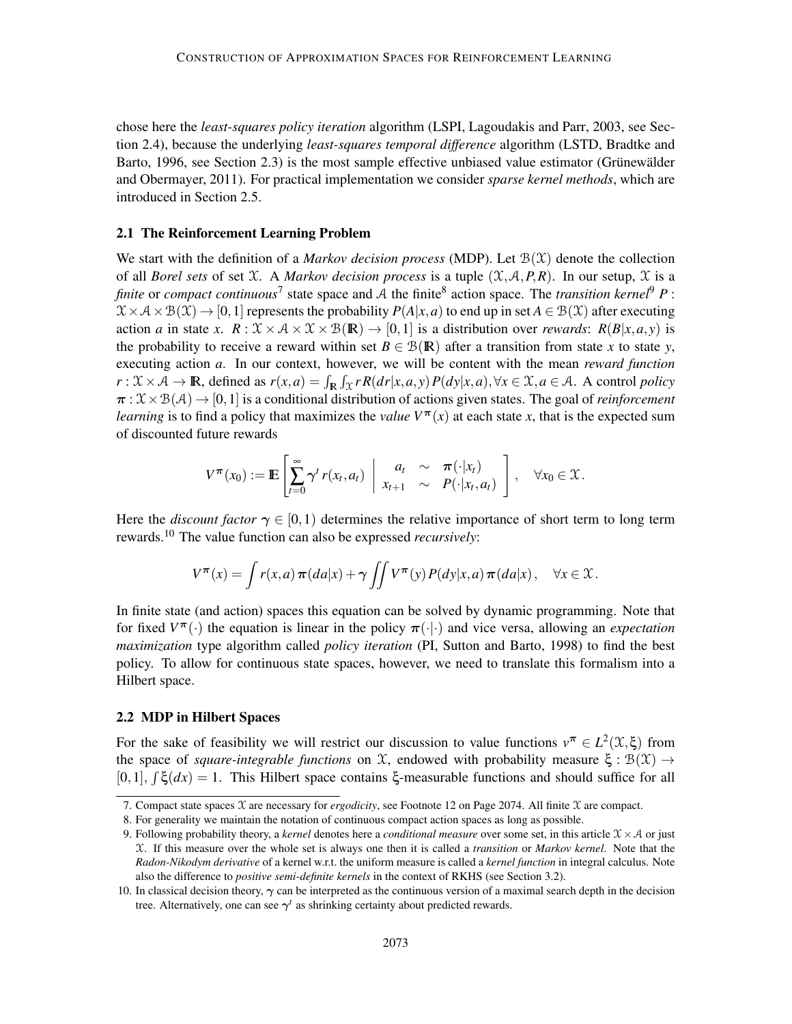chose here the *least-squares policy iteration* algorithm (LSPI, Lagoudakis and Parr, 2003, see Section 2.4), because the underlying *least-squares temporal difference* algorithm (LSTD, Bradtke and Barto, 1996, see Section 2.3) is the most sample effective unbiased value estimator (Grünewälder and Obermayer, 2011). For practical implementation we consider *sparse kernel methods*, which are introduced in Section 2.5.

## 2.1 The Reinforcement Learning Problem

We start with the definition of a *Markov decision process* (MDP). Let  $\mathcal{B}(\mathcal{X})$  denote the collection of all *Borel sets* of set  $X$ . A *Markov decision process* is a tuple  $(X, A, P, R)$ . In our setup,  $X$  is a *finite* or *compact continuous*<sup>7</sup> state space and A the finite<sup>8</sup> action space. The *transition kernel*<sup>9</sup> *P* :  $X \times A \times B(X) \rightarrow [0,1]$  represents the probability  $P(A|x,a)$  to end up in set  $A \in B(X)$  after executing action *a* in state *x*.  $R: \mathcal{X} \times \mathcal{A} \times \mathcal{X} \times \mathcal{B}(\mathbb{R}) \rightarrow [0,1]$  is a distribution over *rewards*:  $R(B|x,a,y)$  is the probability to receive a reward within set  $B \in \mathcal{B}(\mathbb{R})$  after a transition from state *x* to state *y*, executing action *a*. In our context, however, we will be content with the mean *reward function*  $r: \mathcal{X} \times \mathcal{A} \to \mathbb{R}$ , defined as  $r(x, a) = \int_{\mathbb{R}} \int_{\mathcal{X}} r R(dr|x, a, y) P(dy|x, a), \forall x \in \mathcal{X}, a \in \mathcal{A}$ . A control *policy*  $\pi : \mathcal{X} \times \mathcal{B}(\mathcal{A}) \to [0,1]$  is a conditional distribution of actions given states. The goal of *reinforcement learning* is to find a policy that maximizes the *value*  $V^{\pi}(x)$  at each state x, that is the expected sum of discounted future rewards

$$
V^{\boldsymbol{\pi}}(x_0) := \mathbb{E}\left[\sum_{t=0}^{\infty} \gamma^t r(x_t, a_t) \middle| \begin{array}{ccc} a_t & \sim & \boldsymbol{\pi}(\cdot|x_t) \\ x_{t+1} & \sim & P(\cdot|x_t, a_t) \end{array} \right], \quad \forall x_0 \in \mathfrak{X}.
$$

Here the *discount factor*  $\gamma \in [0,1)$  determines the relative importance of short term to long term rewards.<sup>10</sup> The value function can also be expressed *recursively*:

$$
V^{\boldsymbol{\pi}}(x) = \int r(x, a) \, \boldsymbol{\pi}(da|x) + \gamma \iint V^{\boldsymbol{\pi}}(y) P(dy|x, a) \, \boldsymbol{\pi}(da|x), \quad \forall x \in \mathcal{X}.
$$

In finite state (and action) spaces this equation can be solved by dynamic programming. Note that for fixed  $V^{\pi}(\cdot)$  the equation is linear in the policy  $\pi(\cdot|\cdot)$  and vice versa, allowing an *expectation maximization* type algorithm called *policy iteration* (PI, Sutton and Barto, 1998) to find the best policy. To allow for continuous state spaces, however, we need to translate this formalism into a Hilbert space.

## 2.2 MDP in Hilbert Spaces

For the sake of feasibility we will restrict our discussion to value functions  $v^{\pi} \in L^2(\mathfrak{X}, \xi)$  from the space of *square-integrable functions* on  $\mathcal{X}$ , endowed with probability measure  $\xi : \mathcal{B}(\mathcal{X}) \to$ [0,1],  $\int \xi(dx) = 1$ . This Hilbert space contains ξ-measurable functions and should suffice for all

<sup>7.</sup> Compact state spaces X are necessary for *ergodicity*, see Footnote 12 on Page 2074. All finite X are compact.

<sup>8.</sup> For generality we maintain the notation of continuous compact action spaces as long as possible.

<sup>9.</sup> Following probability theory, a *kernel* denotes here a *conditional measure* over some set, in this article  $\mathcal{X} \times \mathcal{A}$  or just X. If this measure over the whole set is always one then it is called a *transition* or *Markov kernel*. Note that the *Radon-Nikodym derivative* of a kernel w.r.t. the uniform measure is called a *kernel function* in integral calculus. Note also the difference to *positive semi-definite kernels* in the context of RKHS (see Section 3.2).

<sup>10.</sup> In classical decision theory,  $\gamma$  can be interpreted as the continuous version of a maximal search depth in the decision tree. Alternatively, one can see  $\gamma^t$  as shrinking certainty about predicted rewards.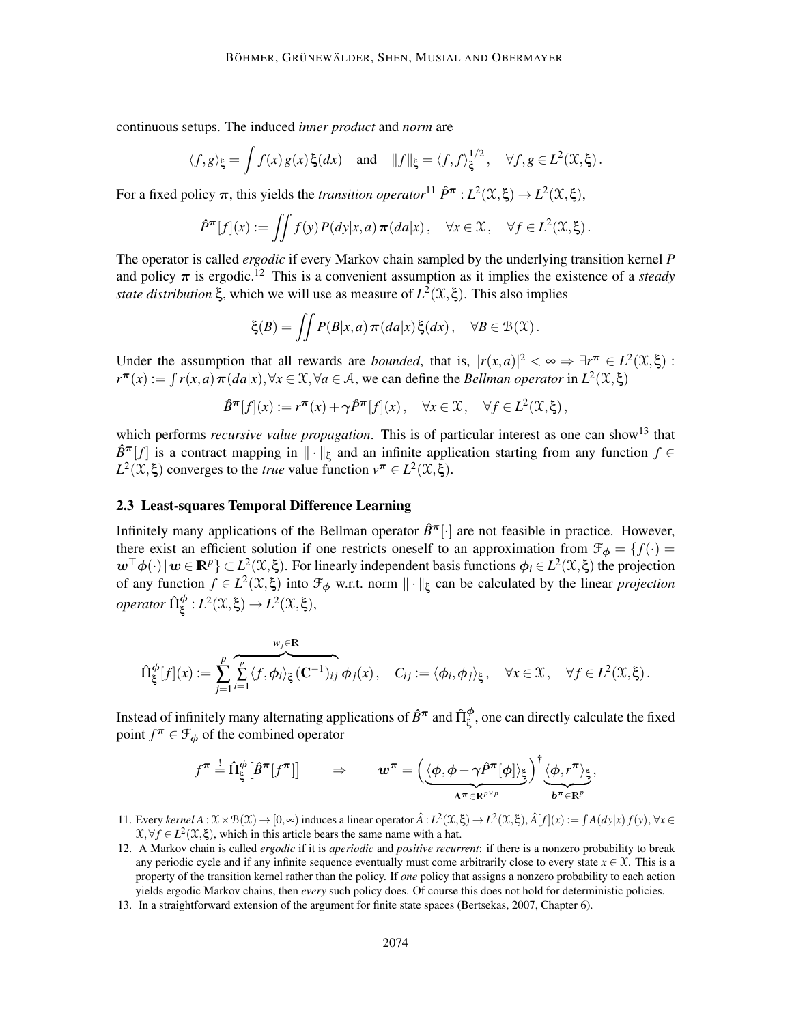continuous setups. The induced *inner product* and *norm* are

$$
\langle f, g \rangle_{\xi} = \int f(x) g(x) \xi(dx)
$$
 and  $||f||_{\xi} = \langle f, f \rangle_{\xi}^{1/2}, \quad \forall f, g \in L^{2}(\mathfrak{X}, \xi)$ .

For a fixed policy  $\pi$ , this yields the *transition operator*<sup>11</sup>  $\hat{P}^{\pi}$  :  $L^2(\mathfrak{X}, \xi) \to L^2(\mathfrak{X}, \xi)$ ,

$$
\hat{P}^{\pi}[f](x) := \iint f(y) P(dy|x, a) \pi(da|x), \quad \forall x \in \mathcal{X}, \quad \forall f \in L^{2}(\mathcal{X}, \xi).
$$

The operator is called *ergodic* if every Markov chain sampled by the underlying transition kernel *P* and policy  $\pi$  is ergodic.<sup>12</sup> This is a convenient assumption as it implies the existence of a *steady state distribution*  $\xi$ , which we will use as measure of  $L^2(\mathfrak{X}, \xi)$ . This also implies

$$
\xi(B) = \iint P(B|x,a) \pi(da|x) \xi(dx), \quad \forall B \in \mathcal{B}(\mathcal{X}).
$$

Under the assumption that all rewards are *bounded*, that is,  $|r(x,a)|^2 < \infty \Rightarrow \exists r^{\pi} \in L^2(\mathfrak{X}, \xi)$ :  $r^{\pi}(x) := \int r(x,a) \pi(da|x), \forall x \in \mathcal{X}, \forall a \in \mathcal{A}$ , we can define the *Bellman operator* in  $L^2(\mathcal{X}, \xi)$ 

$$
\hat{B}^{\pi}[f](x) := r^{\pi}(x) + \gamma \hat{P}^{\pi}[f](x), \quad \forall x \in \mathcal{X}, \quad \forall f \in L^{2}(\mathcal{X}, \xi),
$$

which performs *recursive value propagation*. This is of particular interest as one can show<sup>13</sup> that  $\hat{B}^{\pi}[f]$  is a contract mapping in  $\|\cdot\|_{\xi}$  and an infinite application starting from any function  $f \in$  $L^2(\mathcal{X}, \xi)$  converges to the *true* value function  $v^{\pi} \in L^2(\mathcal{X}, \xi)$ .

#### 2.3 Least-squares Temporal Difference Learning

Infinitely many applications of the Bellman operator  $\hat{B}^{\pi}[\cdot]$  are not feasible in practice. However, there exist an efficient solution if one restricts oneself to an approximation from  $\mathcal{F}_{\phi} = \{f(\cdot) =$  $w^{\top}\phi(\cdot)|w \in \mathbb{R}^p$   $\subset L^2(\mathfrak{X}, \xi)$ . For linearly independent basis functions  $\phi_i \in L^2(\mathfrak{X}, \xi)$  the projection of any function  $f \in L^2(\mathfrak{X}, \xi)$  into  $\mathfrak{F}_{\phi}$  w.r.t. norm  $\|\cdot\|_{\xi}$  can be calculated by the linear *projection*  $\omega$ *operator*  $\hat{\Pi}_{\xi}^{\phi}: L^{2}(\mathfrak{X}, \xi) \rightarrow L^{2}(\mathfrak{X}, \xi),$ 

$$
\hat{\Pi}_{\xi}^{\phi}[f](x) := \sum_{j=1}^{p} \sum_{i=1}^{p} \langle f, \phi_i \rangle_{\xi} (\mathbf{C}^{-1})_{ij} \phi_j(x), \quad C_{ij} := \langle \phi_i, \phi_j \rangle_{\xi}, \quad \forall x \in \mathcal{X}, \quad \forall f \in L^2(\mathcal{X}, \xi).
$$

Instead of infinitely many alternating applications of  $\hat{B}^\pi$  and  $\hat{\Pi}^\phi_\xi$ , one can directly calculate the fixed point  $f^{\pi} \in \mathcal{F}_{\phi}$  of the combined operator

$$
f^{\boldsymbol{\pi}} \stackrel{!}{=} \hat{\Pi}^{\boldsymbol{\phi}}_{\xi} \big[ \hat{B}^{\boldsymbol{\pi}}[f^{\boldsymbol{\pi}}] \big] \qquad \Rightarrow \qquad \boldsymbol{w}^{\boldsymbol{\pi}} = \Big( \underbrace{\langle \boldsymbol{\phi}, \boldsymbol{\phi} - \gamma \hat{P}^{\boldsymbol{\pi}}[\boldsymbol{\phi}] \rangle_{\xi}}_{\mathbf{A}^{\boldsymbol{\pi}} \in \mathbb{R}^{p \times p}} \Big)^{\dagger} \underbrace{\langle \boldsymbol{\phi}, r^{\boldsymbol{\pi}} \rangle_{\xi}}_{\boldsymbol{b}^{\boldsymbol{\pi}} \in \mathbb{R}^{p}},
$$

<sup>11.</sup> Every *kernel*  $A: \mathcal{X} \times \mathcal{B}(\mathcal{X}) \to [0, \infty)$  induces a linear operator  $\hat{A}: L^2(\mathcal{X}, \xi) \to L^2(\mathcal{X}, \xi)$ ,  $\hat{A}[f](x) := \int A(dy|x) f(y)$ ,  $\forall x \in \mathcal{X}$  $X, \forall f \in L^2(\mathfrak{X}, \xi)$ , which in this article bears the same name with a hat.

<sup>12.</sup> A Markov chain is called *ergodic* if it is *aperiodic* and *positive recurrent*: if there is a nonzero probability to break any periodic cycle and if any infinite sequence eventually must come arbitrarily close to every state  $x \in \mathcal{X}$ . This is a property of the transition kernel rather than the policy. If *one* policy that assigns a nonzero probability to each action yields ergodic Markov chains, then *every* such policy does. Of course this does not hold for deterministic policies.

<sup>13.</sup> In a straightforward extension of the argument for finite state spaces (Bertsekas, 2007, Chapter 6).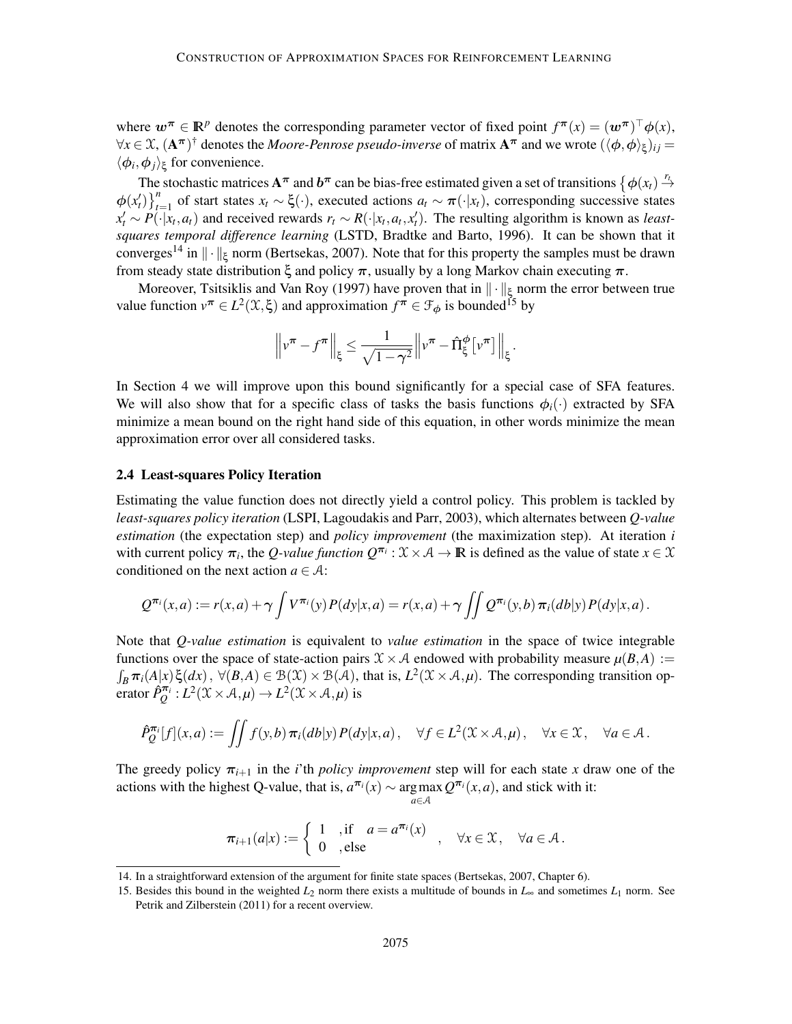where  $w^{\pi} \in \mathbb{R}^p$  denotes the corresponding parameter vector of fixed point  $f^{\pi}(x) = (w^{\pi})^{\top} \phi(x)$ ,  $\forall x \in \mathfrak{X}, (\mathbf{A}^{\boldsymbol{\pi}})^{\dagger}$  denotes the *Moore-Penrose pseudo-inverse* of matrix  $\mathbf{A}^{\boldsymbol{\pi}}$  and we wrote  $(\langle \phi, \phi \rangle_{\xi})_{ij} =$  $\langle \phi_i, \phi_j \rangle_{\xi}$  for convenience.

The stochastic matrices  $A^{\pi}$  and  $b^{\pi}$  can be bias-free estimated given a set of transitions  $\{\phi(x_t) \stackrel{r_t}{\rightarrow}$  $\phi(x_t')\}_{t=1}^n$  of start states  $x_t \sim \xi(\cdot)$ , executed actions  $a_t \sim \pi(\cdot|x_t)$ , corresponding successive states  $x'_t \sim P(\cdot | x_t, a_t)$  and received rewards  $r_t \sim R(\cdot | x_t, a_t, x'_t)$ . The resulting algorithm is known as *leastsquares temporal difference learning* (LSTD, Bradtke and Barto, 1996). It can be shown that it converges<sup>14</sup> in  $\|\cdot\|_{\xi}$  norm (Bertsekas, 2007). Note that for this property the samples must be drawn from steady state distribution ξ and policy  $\pi$ , usually by a long Markov chain executing  $\pi$ .

Moreover, Tsitsiklis and Van Roy (1997) have proven that in  $\|\cdot\|_{\xi}$  norm the error between true value function  $v^{\pi} \in L^2(\mathcal{X}, \xi)$  and approximation  $f^{\pi} \in \mathcal{F}_{\phi}$  is bounded<sup>15</sup> by

$$
\left\|v^{\boldsymbol{\pi}}-f^{\boldsymbol{\pi}}\right\|_{\xi} \leq \frac{1}{\sqrt{1-\gamma^2}}\left\|v^{\boldsymbol{\pi}}-\hat{\Pi}_{\xi}^{\phi}\left[v^{\boldsymbol{\pi}}\right]\right\|_{\xi}.
$$

In Section 4 we will improve upon this bound significantly for a special case of SFA features. We will also show that for a specific class of tasks the basis functions  $\phi_i(\cdot)$  extracted by SFA minimize a mean bound on the right hand side of this equation, in other words minimize the mean approximation error over all considered tasks.

#### 2.4 Least-squares Policy Iteration

Estimating the value function does not directly yield a control policy. This problem is tackled by *least-squares policy iteration* (LSPI, Lagoudakis and Parr, 2003), which alternates between *Q-value estimation* (the expectation step) and *policy improvement* (the maximization step). At iteration *i* with current policy  $\pi_i$ , the *Q-value function*  $Q^{\pi_i}$ :  $\mathfrak{X} \times \mathcal{A} \to \mathbb{R}$  is defined as the value of state  $x \in \mathfrak{X}$ conditioned on the next action  $a \in \mathcal{A}$ :

$$
Q^{\pi_i}(x,a) := r(x,a) + \gamma \int V^{\pi_i}(y) P(dy|x,a) = r(x,a) + \gamma \iint Q^{\pi_i}(y,b) \pi_i(db|y) P(dy|x,a).
$$

Note that *Q-value estimation* is equivalent to *value estimation* in the space of twice integrable functions over the space of state-action pairs  $\mathcal{X} \times \mathcal{A}$  endowed with probability measure  $\mu(B, A) :=$ <br> $\int_B \pi_i(A|x) \xi(dx)$ ,  $\forall (B, A) \in \mathcal{B}(\mathcal{X}) \times \mathcal{B}(\mathcal{A})$ , that is,  $L^2(\mathcal{X} \times \mathcal{A}, \mu)$ . The corresponding transit erator  $\hat{P}_Q^{\pi_i}: L^2(\mathcal{X} \times \mathcal{A}, \mu) \to L^2(\mathcal{X} \times \mathcal{A}, \mu)$  is

$$
\hat{P}_Q^{\pi_i}[f](x,a) := \iint f(y,b) \,\pi_i(db|y) P(dy|x,a) , \quad \forall f \in L^2(\mathfrak{X} \times \mathcal{A}, \mu) , \quad \forall x \in \mathfrak{X}, \quad \forall a \in \mathcal{A} .
$$

The greedy policy  $\pi_{i+1}$  in the *i*'th *policy improvement* step will for each state *x* draw one of the actions with the highest Q-value, that is,  $a^{\pi i}(x) \sim \argmax_{a} Q^{\pi i}(x, a)$ , and stick with it: *<sup>a</sup>*∈<sup>A</sup>

$$
\pi_{i+1}(a|x) := \begin{cases} 1, & \text{if } a = a^{\pi_i}(x) \\ 0, & \text{else} \end{cases}, \forall x \in \mathcal{X}, \forall a \in \mathcal{A}.
$$

<sup>14.</sup> In a straightforward extension of the argument for finite state spaces (Bertsekas, 2007, Chapter 6).

<sup>15.</sup> Besides this bound in the weighted *L*<sup>2</sup> norm there exists a multitude of bounds in *L*<sup>∞</sup> and sometimes *L*<sup>1</sup> norm. See Petrik and Zilberstein (2011) for a recent overview.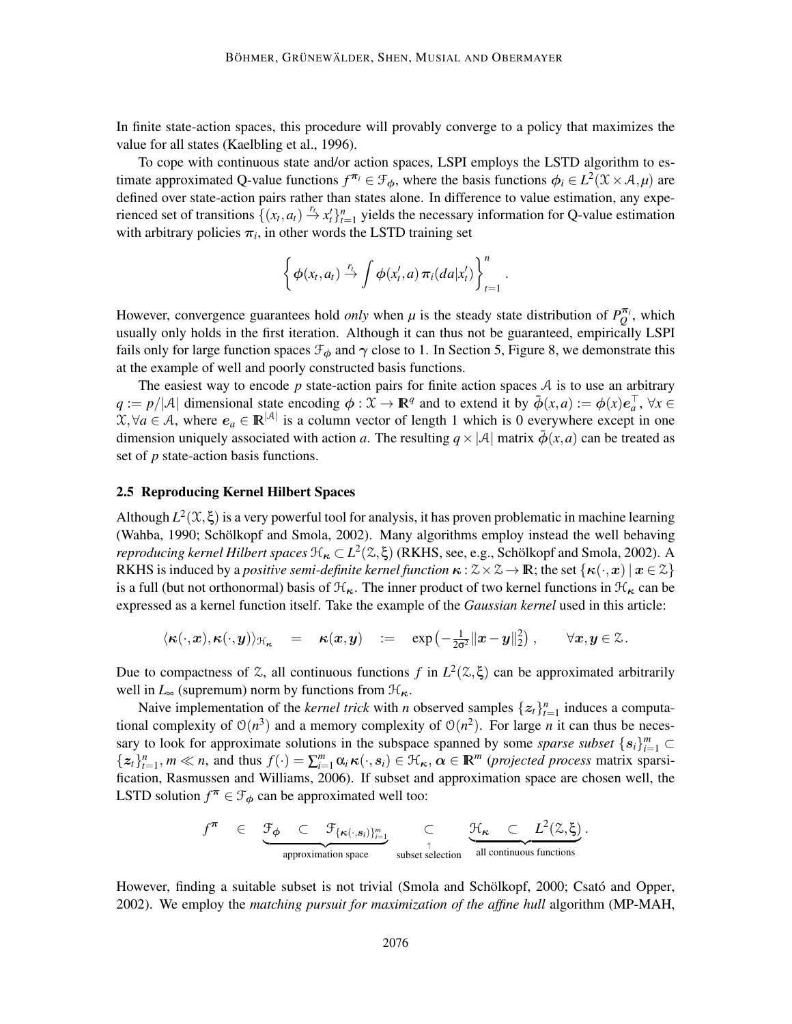In finite state-action spaces, this procedure will provably converge to a policy that maximizes the value for all states (Kaelbling et al., 1996).

To cope with continuous state and/or action spaces, LSPI employs the LSTD algorithm to estimate approximated Q-value functions  $f^{\pi_i} \in \mathcal{F}_{\phi}$ , where the basis functions  $\phi_i \in L^2(\mathcal{X} \times \mathcal{A}, \mu)$  are defined over state-action pairs rather than states alone. In difference to value estimation, any experienced set of transitions  $\{(x_t, a_t) \stackrel{r_t}{\to} x_t'\}_{t=1}^n$  yields the necessary information for Q-value estimation with arbitrary policies  $\pi_i$ , in other words the LSTD training set

$$
\left\{\phi(x_t,a_t)\stackrel{r_t}{\rightarrow}\int\phi(x'_t,a)\,\pi_i(da|x'_t)\right\}_{t=1}^n.
$$

However, convergence guarantees hold *only* when  $\mu$  is the steady state distribution of  $P_Q^{\pi_i}$ , which usually only holds in the first iteration. Although it can thus not be guaranteed, empirically LSPI fails only for large function spaces  $\mathcal{F}_{\phi}$  and  $\gamma$  close to 1. In Section 5, Figure 8, we demonstrate this at the example of well and poorly constructed basis functions.

The easiest way to encode  $p$  state-action pairs for finite action spaces  $A$  is to use an arbitrary  $q := p/|\mathcal{A}|$  dimensional state encoding  $\phi : \mathcal{X} \to \mathbb{R}^q$  and to extend it by  $\overline{\phi}(x, a) := \phi(x) e_a^{\top}, \forall x \in \mathcal{A}$  $X, \forall a \in \mathcal{A}$ , where  $e_a \in \mathbb{R}^{|\mathcal{A}|}$  is a column vector of length 1 which is 0 everywhere except in one dimension uniquely associated with action *a*. The resulting  $q \times |A|$  matrix  $\bar{\phi}(x, a)$  can be treated as set of *p* state-action basis functions.

## 2.5 Reproducing Kernel Hilbert Spaces

Although  $L^2(\mathfrak{X}, \xi)$  is a very powerful tool for analysis, it has proven problematic in machine learning (Wahba, 1990; Schölkopf and Smola, 2002). Many algorithms employ instead the well behaving *reproducing kernel Hilbert spaces*  $\mathcal{H}_{\kappa} \subset L^2(\mathcal{Z}, \xi)$  (RKHS, see, e.g., Schölkopf and Smola, 2002). A RKHS is induced by a *positive semi-definite kernel function*  $\kappa : \mathcal{Z} \times \mathcal{Z} \to \mathbb{R}$ ; the set  $\{\kappa(\cdot, x) | x \in \mathcal{Z}\}\$ is a full (but not orthonormal) basis of  $\mathcal{H}_{\kappa}$ . The inner product of two kernel functions in  $\mathcal{H}_{\kappa}$  can be expressed as a kernel function itself. Take the example of the *Gaussian kernel* used in this article:

$$
\langle \kappa(\cdot, x), \kappa(\cdot, y) \rangle_{\mathfrak{H}_{\kappa}} = \kappa(x, y) \quad := \quad \exp\left(-\frac{1}{2\sigma^2} ||x - y||_2^2\right), \qquad \forall x, y \in \mathbb{Z}.
$$

Due to compactness of  $\mathfrak{X}$ , all continuous functions  $f$  in  $L^2(\mathfrak{X}, \xi)$  can be approximated arbitrarily well in  $L_{\infty}$  (supremum) norm by functions from  $\mathcal{H}_{\kappa}$ .

Naive implementation of the *kernel trick* with *n* observed samples  $\{z_t\}_{t=1}^n$  induces a computational complexity of  $O(n^3)$  and a memory complexity of  $O(n^2)$ . For large *n* it can thus be necessary to look for approximate solutions in the subspace spanned by some *sparse subset*  ${s_i}_{i=1}^m$  ${z_t}_{t=1}^n$ ,  $m \ll n$ , and thus  $f(\cdot) = \sum_{i=1}^m \alpha_i \kappa(\cdot, s_i) \in \mathcal{H}_{\kappa}, \alpha \in \mathbb{R}^m$  (*projected process* matrix sparsification, Rasmussen and Williams, 2006). If subset and approximation space are chosen well, the LSTD solution  $f^{\pi} \in \mathcal{F}_{\phi}$  can be approximated well too:

$$
f^{\boldsymbol{\pi}} \quad \in \quad \underbrace{\mathcal{F}_{\boldsymbol{\phi}} \quad \subset \quad \mathcal{F}_{\{\boldsymbol{\kappa}(\cdot, \boldsymbol{s}_i)\}_{i=1}^m} \quad \subset \quad \underbrace{\mathcal{H}_{\boldsymbol{\kappa}} \quad \subset \quad L^2(\mathcal{Z}, \boldsymbol{\xi})}_{\text{approximation space}}.
$$

However, finding a suitable subset is not trivial (Smola and Schölkopf, 2000; Csató and Opper, 2002). We employ the *matching pursuit for maximization of the affine hull* algorithm (MP-MAH,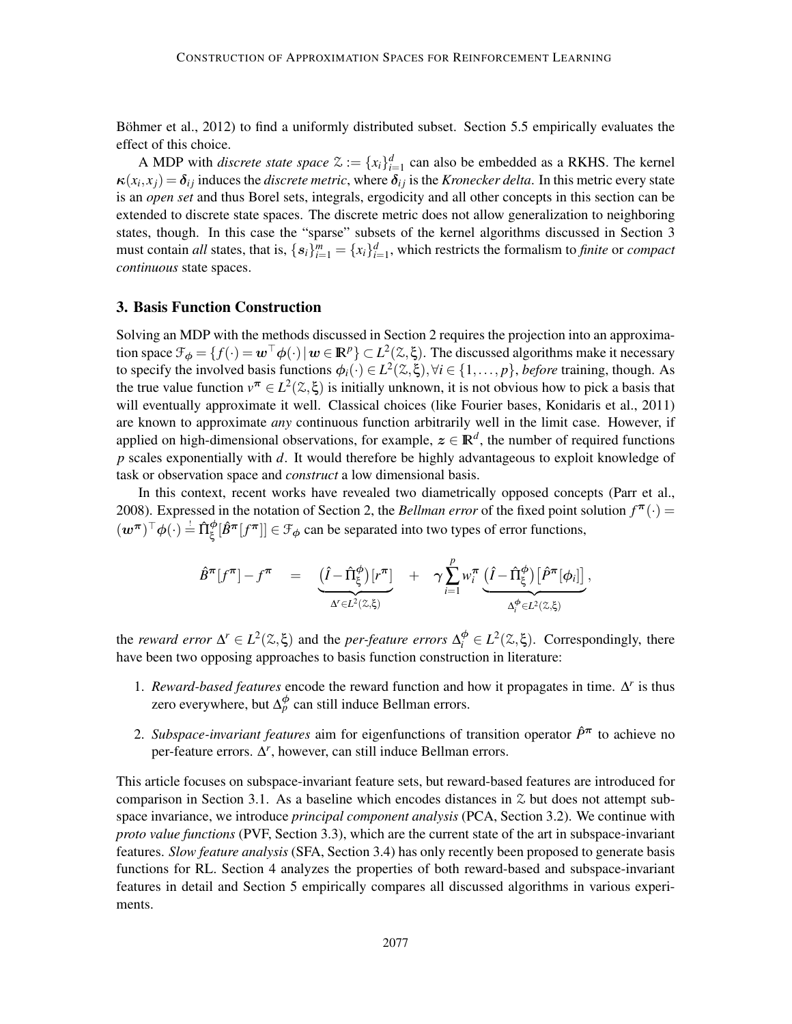Böhmer et al., 2012) to find a uniformly distributed subset. Section 5.5 empirically evaluates the effect of this choice.

A MDP with *discrete state space*  $\mathcal{Z} := \{x_i\}_{i=1}^d$  can also be embedded as a RKHS. The kernel  $\kappa(x_i, x_j) = \delta_{ij}$  induces the *discrete metric*, where  $\delta_{ij}$  is the *Kronecker delta*. In this metric every state is an *open set* and thus Borel sets, integrals, ergodicity and all other concepts in this section can be extended to discrete state spaces. The discrete metric does not allow generalization to neighboring states, though. In this case the "sparse" subsets of the kernel algorithms discussed in Section 3 must contain *all* states, that is,  $\{s_i\}_{i=1}^m = \{x_i\}_{i=1}^d$ , which restricts the formalism to *finite* or *compact continuous* state spaces.

#### 3. Basis Function Construction

Solving an MDP with the methods discussed in Section 2 requires the projection into an approximation space  $\mathcal{F}_{\phi} = \{f(\cdot) = \boldsymbol{w}^\top \phi(\cdot) | \boldsymbol{w} \in \mathbb{R}^p\} \subset L^2(\mathcal{Z}, \xi)$ . The discussed algorithms make it necessary to specify the involved basis functions  $\phi_i(\cdot) \in L^2(\mathbb{Z}, \xi), \forall i \in \{1, \dots, p\}$ , *before* training, though. As the true value function  $v^{\pi} \in L^2(\mathbb{Z}, \xi)$  is initially unknown, it is not obvious how to pick a basis that will eventually approximate it well. Classical choices (like Fourier bases, Konidaris et al., 2011) are known to approximate *any* continuous function arbitrarily well in the limit case. However, if applied on high-dimensional observations, for example,  $z \in \mathbb{R}^d$ , the number of required functions *p* scales exponentially with *d*. It would therefore be highly advantageous to exploit knowledge of task or observation space and *construct* a low dimensional basis.

In this context, recent works have revealed two diametrically opposed concepts (Parr et al., 2008). Expressed in the notation of Section 2, the *Bellman error* of the fixed point solution  $f^{\pi}(\cdot)$  =  $(w^{\pi})^{\top} \phi(\cdot) \stackrel{\perp}{=} \hat{\Pi}^{\phi}_{\xi}[\hat{B}^{\pi}[f^{\pi}]] \in \mathcal{F}_{\phi}$  can be separated into two types of error functions,

$$
\hat{B}^{\pi}[f^{\pi}] - f^{\pi} = \underbrace{\left(\hat{I} - \hat{\Pi}_{\xi}^{\phi}\right)[r^{\pi}]}_{\Delta' \in L^{2}(\mathbb{Z}, \xi)} + \gamma \sum_{i=1}^{p} w_{i}^{\pi} \underbrace{\left(\hat{I} - \hat{\Pi}_{\xi}^{\phi}\right)[\hat{P}^{\pi}[\phi_{i}]]}_{\Delta_{i}^{\phi} \in L^{2}(\mathbb{Z}, \xi)},
$$

the *reward error*  $\Delta^r \in L^2(\mathbb{Z}, \xi)$  and the *per-feature errors*  $\Delta_i^{\phi} \in L^2(\mathbb{Z}, \xi)$ . Correspondingly, there have been two opposing approaches to basis function construction in literature:

- 1. *Reward-based features* encode the reward function and how it propagates in time. ∆<sup>r</sup> is thus zero everywhere, but  $\Delta_p^{\phi}$  can still induce Bellman errors.
- 2. *Subspace-invariant features* aim for eigenfunctions of transition operator *P*ˆ<sup>π</sup> to achieve no per-feature errors.  $\Delta^r$ , however, can still induce Bellman errors.

This article focuses on subspace-invariant feature sets, but reward-based features are introduced for comparison in Section 3.1. As a baseline which encodes distances in  $\mathfrak X$  but does not attempt subspace invariance, we introduce *principal component analysis* (PCA, Section 3.2). We continue with *proto value functions* (PVF, Section 3.3), which are the current state of the art in subspace-invariant features. *Slow feature analysis* (SFA, Section 3.4) has only recently been proposed to generate basis functions for RL. Section 4 analyzes the properties of both reward-based and subspace-invariant features in detail and Section 5 empirically compares all discussed algorithms in various experiments.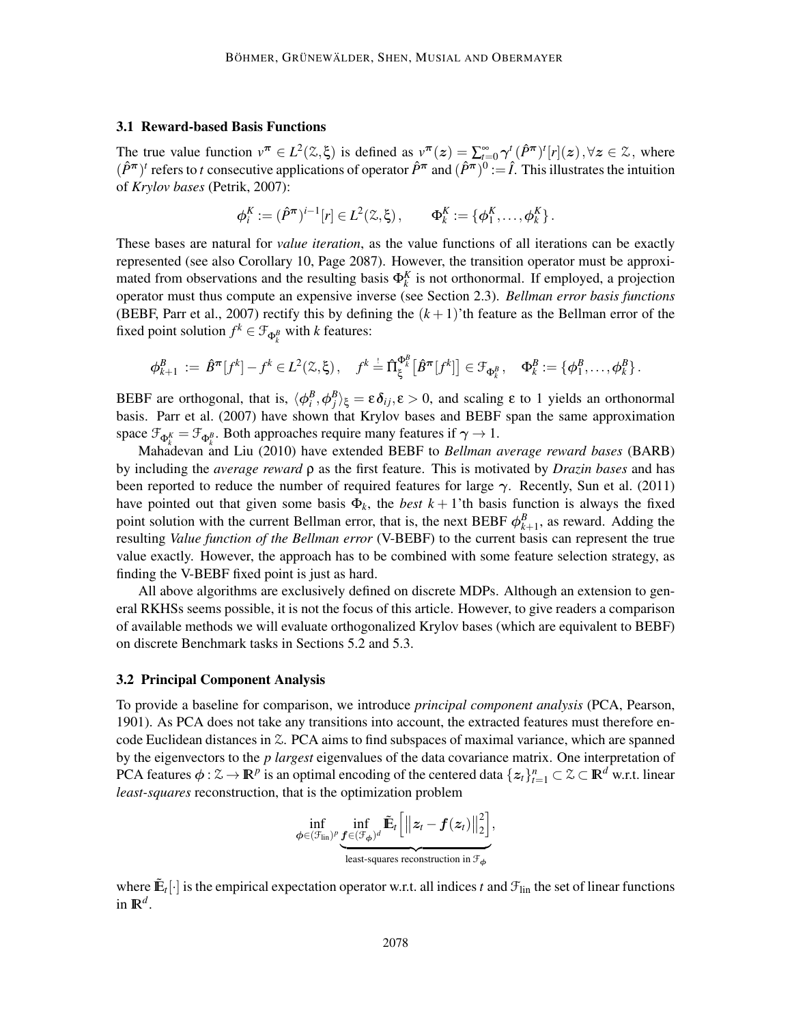#### 3.1 Reward-based Basis Functions

The true value function  $v^{\pi} \in L^2(\mathbb{Z}, \xi)$  is defined as  $v^{\pi}(z) = \sum_{i=0}^{\infty} \gamma_{i}^{i} (\hat{P}^{\pi})^{i} [r](z), \forall z \in \mathbb{Z}$ , where  $(\hat{P}^{\pi})^t$  refers to *t* consecutive applications of operator  $\hat{P}^{\pi}$  and  $(\hat{P}^{\pi})^0 := \hat{I}$ . This illustrates the intuition of *Krylov bases* (Petrik, 2007):

$$
\phi_i^K := (\hat{P}^{\pi})^{i-1}[r] \in L^2(\mathbb{Z}, \xi), \qquad \Phi_k^K := \{\phi_1^K, \dots, \phi_k^K\}.
$$

These bases are natural for *value iteration*, as the value functions of all iterations can be exactly represented (see also Corollary 10, Page 2087). However, the transition operator must be approximated from observations and the resulting basis  $\Phi_k^K$  is not orthonormal. If employed, a projection operator must thus compute an expensive inverse (see Section 2.3). *Bellman error basis functions* (BEBF, Parr et al., 2007) rectify this by defining the  $(k+1)$ 'th feature as the Bellman error of the fixed point solution  $f^k \in \mathcal{F}_{\Phi_k^B}$  with *k* features:

$$
\phi_{k+1}^B := \hat{B}^{\pi}[f^k] - f^k \in L^2(\mathbb{Z}, \xi), \quad f^k = \hat{\Pi}_{\xi}^{\Phi_k^B} [\hat{B}^{\pi}[f^k]] \in \mathcal{F}_{\Phi_k^B}, \quad \Phi_k^B := \{ \phi_1^B, \dots, \phi_k^B \}.
$$

BEBF are orthogonal, that is,  $\langle \phi_i^B, \phi_j^B \rangle_{\xi} = \varepsilon \delta_{ij}, \varepsilon > 0$ , and scaling  $\varepsilon$  to 1 yields an orthonormal basis. Parr et al. (2007) have shown that Krylov bases and BEBF span the same approximation space  $\mathcal{F}_{\Phi_k^K} = \mathcal{F}_{\Phi_k^B}$ . Both approaches require many features if  $\gamma \to 1$ .

Mahadevan and Liu (2010) have extended BEBF to *Bellman average reward bases* (BARB) by including the *average reward* ρ as the first feature. This is motivated by *Drazin bases* and has been reported to reduce the number of required features for large  $\gamma$ . Recently, Sun et al. (2011) have pointed out that given some basis  $\Phi_k$ , the *best*  $k+1$ 'th basis function is always the fixed point solution with the current Bellman error, that is, the next BEBF  $\phi_{k+1}^B$ , as reward. Adding the resulting *Value function of the Bellman error* (V-BEBF) to the current basis can represent the true value exactly. However, the approach has to be combined with some feature selection strategy, as finding the V-BEBF fixed point is just as hard.

All above algorithms are exclusively defined on discrete MDPs. Although an extension to general RKHSs seems possible, it is not the focus of this article. However, to give readers a comparison of available methods we will evaluate orthogonalized Krylov bases (which are equivalent to BEBF) on discrete Benchmark tasks in Sections 5.2 and 5.3.

#### 3.2 Principal Component Analysis

To provide a baseline for comparison, we introduce *principal component analysis* (PCA, Pearson, 1901). As PCA does not take any transitions into account, the extracted features must therefore encode Euclidean distances in Z. PCA aims to find subspaces of maximal variance, which are spanned by the eigenvectors to the *p largest* eigenvalues of the data covariance matrix. One interpretation of PCA features  $\phi: \mathcal{Z} \to \mathbb{R}^p$  is an optimal encoding of the centered data  $\{z_t\}_{t=1}^n \subset \mathcal{Z} \subset \mathbb{R}^d$  w.r.t. linear *least-squares* reconstruction, that is the optimization problem

$$
\inf_{\phi \in (\mathcal{F}_{\text{lin}})^p} \inf_{\substack{\textbf{\textit{f}} \in (\mathcal{F}_{\phi})^d \\ \text{least-squares reconstruction in }\mathcal{F}_{\phi}}} \tilde{\mathbb{E}}_t \bigg[ \big\| z_t - \textbf{\textit{f}}(z_t) \big\|_2^2 \bigg],
$$

where  $\tilde{\mathbf{E}}_t[\cdot]$  is the empirical expectation operator w.r.t. all indices t and  $\mathcal{F}_{lin}$  the set of linear functions in  $\mathbb{R}^d$ .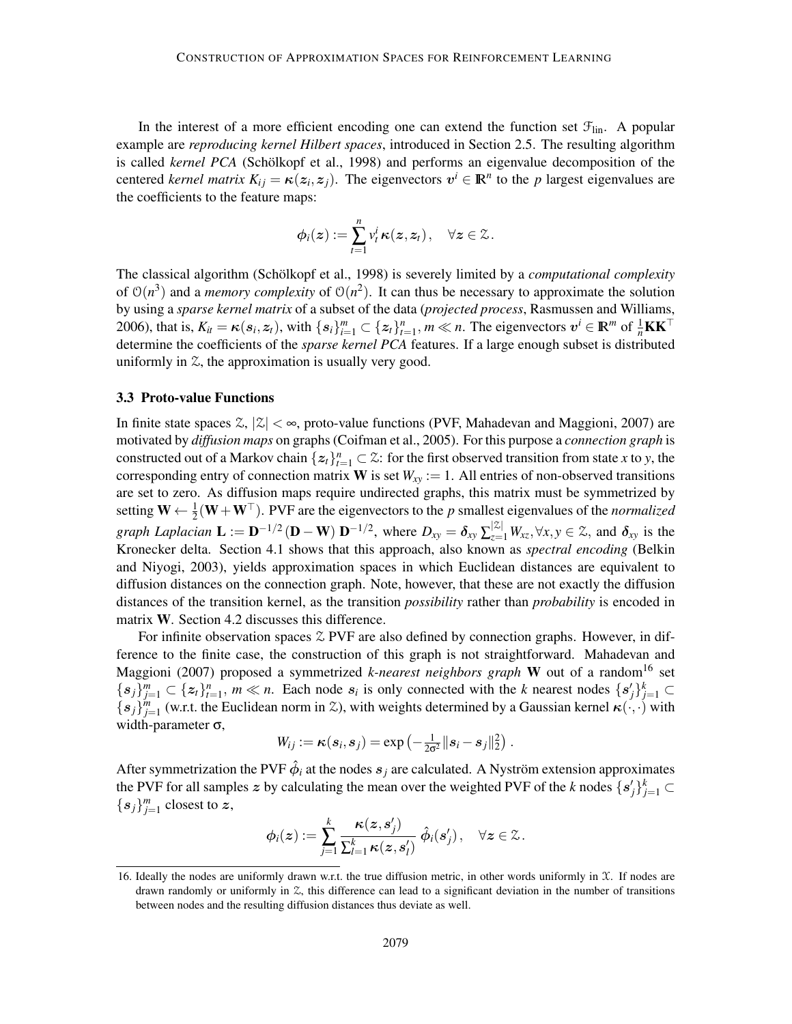In the interest of a more efficient encoding one can extend the function set  $\mathcal{F}_{lin}$ . A popular example are *reproducing kernel Hilbert spaces*, introduced in Section 2.5. The resulting algorithm is called *kernel PCA* (Schölkopf et al., 1998) and performs an eigenvalue decomposition of the centered *kernel matrix*  $K_{ij} = \kappa(z_i, z_j)$ . The eigenvectors  $v^i \in \mathbb{R}^n$  to the *p* largest eigenvalues are the coefficients to the feature maps:

$$
\phi_i(\boldsymbol{z}) := \sum_{t=1}^n v_t^i \kappa(\boldsymbol{z}, \boldsymbol{z}_t), \quad \forall \boldsymbol{z} \in \mathbb{Z}.
$$

The classical algorithm (Schölkopf et al., 1998) is severely limited by a *computational complexity* of  $O(n^3)$  and a *memory complexity* of  $O(n^2)$ . It can thus be necessary to approximate the solution by using a *sparse kernel matrix* of a subset of the data (*projected process*, Rasmussen and Williams, 2006), that is,  $K_{it} = \kappa(s_i, z_t)$ , with  $\{s_i\}_{i=1}^m \subset \{z_t\}_{t=1}^n$ ,  $m \ll n$ . The eigenvectors  $v^i \in \mathbb{R}^m$  of  $\frac{1}{n}\mathbf{K}\mathbf{K}^\top$ determine the coefficients of the *sparse kernel PCA* features. If a large enough subset is distributed uniformly in  $\mathfrak{L}$ , the approximation is usually very good.

#### 3.3 Proto-value Functions

In finite state spaces  $\mathbb{Z}, |\mathbb{Z}| < \infty$ , proto-value functions (PVF, Mahadevan and Maggioni, 2007) are motivated by *diffusion maps* on graphs (Coifman et al., 2005). For this purpose a *connection graph* is constructed out of a Markov chain  $\{z_t\}_{t=1}^n \subset \mathcal{Z}$ : for the first observed transition from state *x* to *y*, the corresponding entry of connection matrix **W** is set  $W_{xy} := 1$ . All entries of non-observed transitions are set to zero. As diffusion maps require undirected graphs, this matrix must be symmetrized by setting  $W \leftarrow \frac{1}{2}(W + W^{\top})$ . PVF are the eigenvectors to the *p* smallest eigenvalues of the *normalized graph Laplacian*  $\mathbf{L} := \mathbf{D}^{-1/2} (\mathbf{D} - \mathbf{W}) \mathbf{D}^{-1/2}$ , where  $D_{xy} = \delta_{xy} \sum_{z=1}^{|\mathcal{Z}|} W_{xz}, \forall x, y \in \mathcal{Z}$ , and  $\delta_{xy}$  is the Kronecker delta. Section 4.1 shows that this approach, also known as *spectral encoding* (Belkin and Niyogi, 2003), yields approximation spaces in which Euclidean distances are equivalent to diffusion distances on the connection graph. Note, however, that these are not exactly the diffusion distances of the transition kernel, as the transition *possibility* rather than *probability* is encoded in matrix W. Section 4.2 discusses this difference.

For infinite observation spaces  $\mathcal{Z}$  PVF are also defined by connection graphs. However, in difference to the finite case, the construction of this graph is not straightforward. Mahadevan and Maggioni (2007) proposed a symmetrized *k-nearest neighbors graph* W out of a random<sup>16</sup> set  ${s_j}_{j=1}^m \subset {z_t}_{t=1}^n$ ,  $m \ll n$ . Each node  $s_i$  is only connected with the *k* nearest nodes  ${s'_j}_{j=1}^k \subset$  ${s_j}_{j=1}^m$  (w.r.t. the Euclidean norm in Z), with weights determined by a Gaussian kernel  $\kappa(\cdot,\cdot)$  with width-parameter  $\sigma$ ,

$$
W_{ij} := \boldsymbol{\kappa}(s_i, s_j) = \exp\left(-\frac{1}{2\sigma^2}||s_i - s_j||_2^2\right).
$$

After symmetrization the PVF  $\hat{\phi}_i$  at the nodes  $s_j$  are calculated. A Nyström extension approximates the PVF for all samples z by calculating the mean over the weighted PVF of the *k* nodes  $\{s'_j\}_{j=1}^k \subset$  ${s_j}_{j=1}^m$  closest to z,

$$
\phi_i(\boldsymbol{z}) := \sum_{j=1}^k \frac{\kappa(\boldsymbol{z}, \boldsymbol{s}^{\prime}_j)}{\sum_{l=1}^k \kappa(\boldsymbol{z}, \boldsymbol{s}^{\prime}_l)} \hat{\phi}_i(\boldsymbol{s}^{\prime}_j), \quad \forall \boldsymbol{z} \in \mathcal{Z}.
$$

<sup>16.</sup> Ideally the nodes are uniformly drawn w.r.t. the true diffusion metric, in other words uniformly in  $X$ . If nodes are drawn randomly or uniformly in Z, this difference can lead to a significant deviation in the number of transitions between nodes and the resulting diffusion distances thus deviate as well.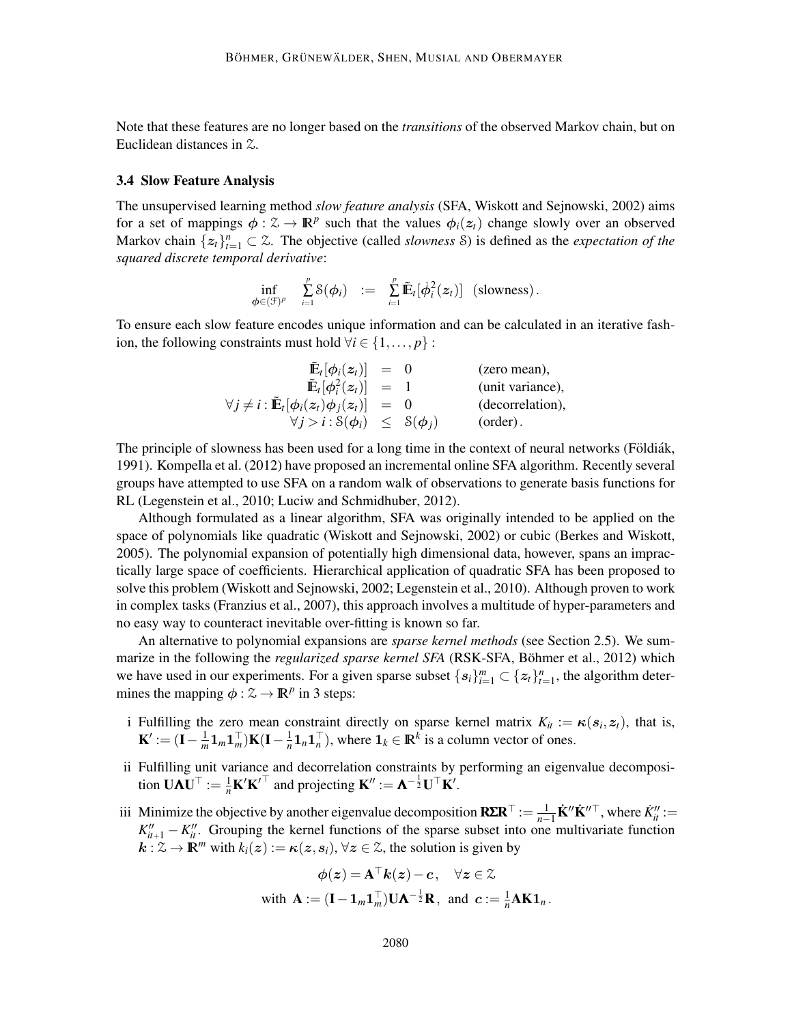Note that these features are no longer based on the *transitions* of the observed Markov chain, but on Euclidean distances in Z.

#### 3.4 Slow Feature Analysis

The unsupervised learning method *slow feature analysis* (SFA, Wiskott and Sejnowski, 2002) aims for a set of mappings  $\phi : \mathcal{Z} \to \mathbb{R}^p$  such that the values  $\phi_i(z_t)$  change slowly over an observed Markov chain  $\{z_t\}_{t=1}^n \subset \mathbb{Z}$ . The objective (called *slowness* S) is defined as the *expectation of the squared discrete temporal derivative*:

$$
\inf_{\boldsymbol{\phi} \in (\mathcal{F})^p} \quad \sum_{i=1}^p \mathcal{S}(\boldsymbol{\phi}_i) \quad := \quad \sum_{i=1}^p \widetilde{\mathbb{E}}_t[\dot{\boldsymbol{\phi}}_i^2(\boldsymbol{z}_t)] \quad \text{(slownness)}.
$$

To ensure each slow feature encodes unique information and can be calculated in an iterative fashion, the following constraints must hold  $\forall i \in \{1, \ldots, p\}$ :

| $\tilde{\mathbf{E}}_t[\phi_i(z_t)] = 0$                           |       | (zero mean),     |
|-------------------------------------------------------------------|-------|------------------|
| $\tilde{\mathbf{E}}_t[\boldsymbol{\phi}_i^2(\boldsymbol{z}_t)] =$ |       | (unit variance), |
| $\forall j \neq i : \tilde{\mathbf{E}}_t[\phi_i(z_t)\phi_j(z_t)]$ | $= 0$ | (decorrelation), |
| $\forall j > i : \mathcal{S}(\phi_i) \leq \mathcal{S}(\phi_j)$    |       | $(order)$ .      |

The principle of slowness has been used for a long time in the context of neural networks (Földiák, 1991). Kompella et al. (2012) have proposed an incremental online SFA algorithm. Recently several groups have attempted to use SFA on a random walk of observations to generate basis functions for RL (Legenstein et al., 2010; Luciw and Schmidhuber, 2012).

Although formulated as a linear algorithm, SFA was originally intended to be applied on the space of polynomials like quadratic (Wiskott and Sejnowski, 2002) or cubic (Berkes and Wiskott, 2005). The polynomial expansion of potentially high dimensional data, however, spans an impractically large space of coefficients. Hierarchical application of quadratic SFA has been proposed to solve this problem (Wiskott and Sejnowski, 2002; Legenstein et al., 2010). Although proven to work in complex tasks (Franzius et al., 2007), this approach involves a multitude of hyper-parameters and no easy way to counteract inevitable over-fitting is known so far.

An alternative to polynomial expansions are *sparse kernel methods* (see Section 2.5). We summarize in the following the *regularized sparse kernel SFA* (RSK-SFA, Böhmer et al., 2012) which we have used in our experiments. For a given sparse subset  $\{s_i\}_{i=1}^m \subset \{z_t\}_{t=1}^n$ , the algorithm determines the mapping  $\phi : \mathcal{Z} \to \mathbb{R}^p$  in 3 steps:

- i Fulfilling the zero mean constraint directly on sparse kernel matrix  $K_{it} := \kappa(s_i, z_t)$ , that is,  $\mathbf{K}' := (\mathbf{I} - \frac{1}{m})$  $\frac{1}{m} \mathbf{1}_m \mathbf{1}_m^\top \big) \mathbf{K}(\mathbf{I} - \frac{1}{n})$  $\frac{1}{n}$ **1**<sub>*n*</sub></sub><sup>T</sup><sub>*n*</sub><sup>T</sup><sub>*n*</sub><sup>T</sup><sub>*n*</sub><sup>T</sup><sub>*n*</sub><sup>T</sup><sub>*n*</sub><sup>T</sup><sub>*n*</sub><sup>T</sup><sub>*n*</sub><sup>*n*</sup><sub>*n*</sub><sup>T</sup><sub>*n*</sub><sup>*n*</sup><sub>*n*</sub><sup>*n*</sup><sub>*n*</sub><sup>*n*</sup><sub>*n*</sub><sup>*n*</sup><sub>*n*</sub><sup>*n*</sup><sub>*n*</sub><sup>*n*</sup><sub>*n*</sub><sup>*n*</sup><sub>*n*</sub><sup>*n*</sup><sub>*n*</sub><sup>*n*</sup><sub>*n*</sub><sup>*n*</sup><sub>*n*</sub><sup>*n*</sup><sub>*n*</sub><sup>*n*</sup><sub>*n*</sub><sup>*n*</sup><sub>*n*</sub>
- ii Fulfilling unit variance and decorrelation constraints by performing an eigenvalue decomposition  $\mathbf{U}\mathbf{\Lambda}\mathbf{U}^{\top} := \frac{1}{n}\mathbf{K}'\mathbf{K}'^{\top}$  and projecting  $\mathbf{K}'' := \mathbf{\Lambda}^{-\frac{1}{2}}\mathbf{U}^{\top}\mathbf{K}'.$
- iii Minimize the objective by another eigenvalue decomposition  $\mathbf{R\Sigma R}^{\top} := \frac{1}{n-1} \mathbf{K}'' \mathbf{K}''^{\top}$ , where  $K''_u := K''$  $K''_{it+1} - K''_{it}$ . Grouping the kernel functions of the sparse subset into one multivariate function  $k : \mathcal{Z} \to \mathbb{R}^m$  with  $k_i(z) := \kappa(z, s_i)$ ,  $\forall z \in \mathcal{Z}$ , the solution is given by

$$
\phi(z) = \mathbf{A}^\top \mathbf{k}(z) - c, \quad \forall z \in \mathcal{Z}
$$
  
with  $\mathbf{A} := (\mathbf{I} - \mathbf{1}_m \mathbf{1}_m^\top) \mathbf{U} \mathbf{A}^{-\frac{1}{2}} \mathbf{R}$ , and  $c := \frac{1}{n} \mathbf{A} \mathbf{K} \mathbf{1}_n$ .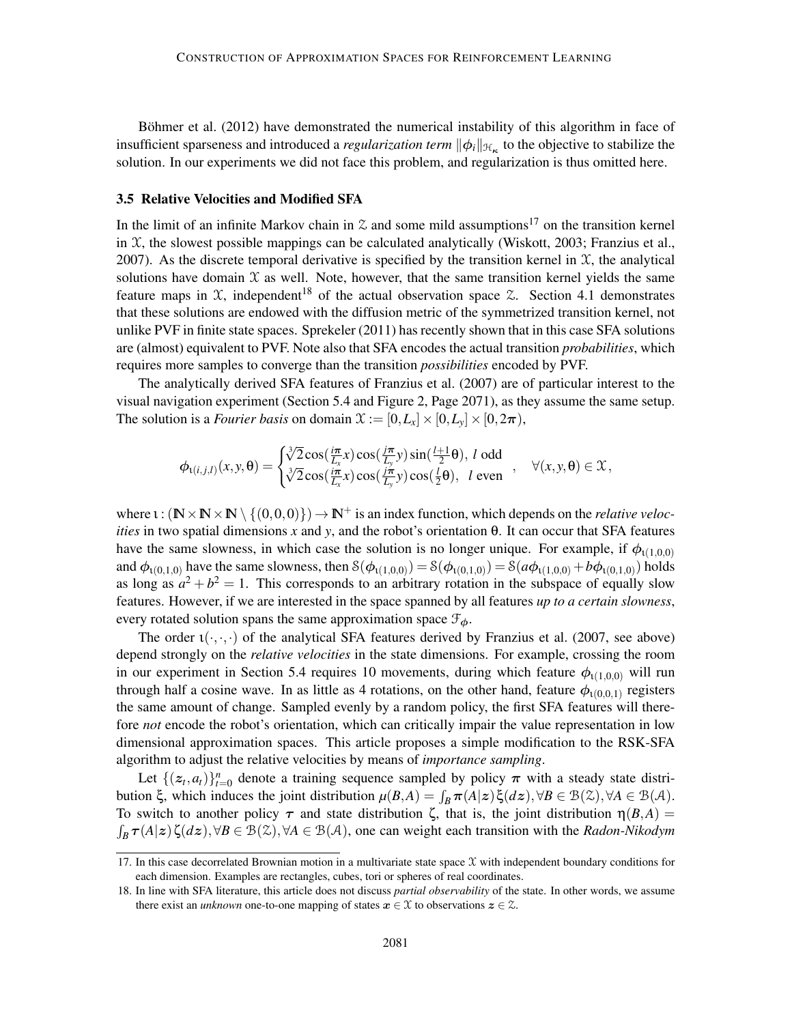Böhmer et al. (2012) have demonstrated the numerical instability of this algorithm in face of insufficient sparseness and introduced a *regularization term*  $\|\phi_i\|_{\mathcal{H}_{\kappa}}$  to the objective to stabilize the solution. In our experiments we did not face this problem, and regularization is thus omitted here.

## 3.5 Relative Velocities and Modified SFA

In the limit of an infinite Markov chain in  $\mathfrak X$  and some mild assumptions<sup>17</sup> on the transition kernel in  $X$ , the slowest possible mappings can be calculated analytically (Wiskott, 2003; Franzius et al., 2007). As the discrete temporal derivative is specified by the transition kernel in  $X$ , the analytical solutions have domain  $\mathfrak X$  as well. Note, however, that the same transition kernel yields the same feature maps in  $X$ , independent<sup>18</sup> of the actual observation space  $\mathcal{Z}$ . Section 4.1 demonstrates that these solutions are endowed with the diffusion metric of the symmetrized transition kernel, not unlike PVF in finite state spaces. Sprekeler (2011) has recently shown that in this case SFA solutions are (almost) equivalent to PVF. Note also that SFA encodes the actual transition *probabilities*, which requires more samples to converge than the transition *possibilities* encoded by PVF.

The analytically derived SFA features of Franzius et al. (2007) are of particular interest to the visual navigation experiment (Section 5.4 and Figure 2, Page 2071), as they assume the same setup. The solution is a *Fourier basis* on domain  $\mathcal{X} := [0, L_x] \times [0, L_y] \times [0, 2\pi)$ ,

$$
\phi_{\iota(i,j,l)}(x,y,\theta) = \begin{cases} \sqrt[3]{2} \cos(\frac{i\pi}{L_x}x) \cos(\frac{j\pi}{L_y}y) \sin(\frac{l+1}{2}\theta), \ l \text{ odd} \\ \sqrt[3]{2} \cos(\frac{i\pi}{L_x}x) \cos(\frac{j\pi}{L_y}y) \cos(\frac{l}{2}\theta), \ l \text{ even} \end{cases}, \quad \forall (x,y,\theta) \in \mathcal{X},
$$

where  $\iota : (\mathbb{N} \times \mathbb{N} \times \mathbb{N} \setminus \{ (0,0,0) \}) \to \mathbb{N}^+$  is an index function, which depends on the *relative velocities* in two spatial dimensions *x* and *y*, and the robot's orientation θ. It can occur that SFA features have the same slowness, in which case the solution is no longer unique. For example, if  $\phi_{(1,0,0)}$ and  $\phi_{1(0,1,0)}$  have the same slowness, then  $\delta(\phi_{1(1,0,0)}) = \delta(\phi_{1(0,1,0)}) = \delta(a\phi_{1(1,0,0)} + b\phi_{1(0,1,0)})$  holds as long as  $a^2 + b^2 = 1$ . This corresponds to an arbitrary rotation in the subspace of equally slow features. However, if we are interested in the space spanned by all features *up to a certain slowness*, every rotated solution spans the same approximation space  $\mathcal{F}_{\phi}$ .

The order  $\iota(\cdot,\cdot,\cdot)$  of the analytical SFA features derived by Franzius et al. (2007, see above) depend strongly on the *relative velocities* in the state dimensions. For example, crossing the room in our experiment in Section 5.4 requires 10 movements, during which feature  $\phi_{\text{t}(1,0,0)}$  will run through half a cosine wave. In as little as 4 rotations, on the other hand, feature  $\phi_{(0,0,1)}$  registers the same amount of change. Sampled evenly by a random policy, the first SFA features will therefore *not* encode the robot's orientation, which can critically impair the value representation in low dimensional approximation spaces. This article proposes a simple modification to the RSK-SFA algorithm to adjust the relative velocities by means of *importance sampling*.

Let  $\{(z_t, a_t)\}_{t=0}^n$  denote a training sequence sampled by policy  $\pi$  with a steady state distribution  $\xi$ , which induces the joint distribution  $\mu(B,A) = \int_B \pi(A|z) \xi(dz), \forall B \in \mathcal{B}(\mathcal{X}), \forall A \in \mathcal{B}(\mathcal{A})$ . To switch to another policy  $\tau$  and state distribution  $\zeta$ , that is, the joint distribution  $\eta(B,A)$  $\int_B \tau(A|z) \zeta(dz), \forall B \in \mathcal{B}(\mathcal{Z}), \forall A \in \mathcal{B}(\mathcal{A})$ , one can weight each transition with the *Radon-Nikodym* 

<sup>17.</sup> In this case decorrelated Brownian motion in a multivariate state space  $\chi$  with independent boundary conditions for each dimension. Examples are rectangles, cubes, tori or spheres of real coordinates.

<sup>18.</sup> In line with SFA literature, this article does not discuss *partial observability* of the state. In other words, we assume there exist an *unknown* one-to-one mapping of states  $x \in \mathcal{X}$  to observations  $z \in \mathcal{Z}$ .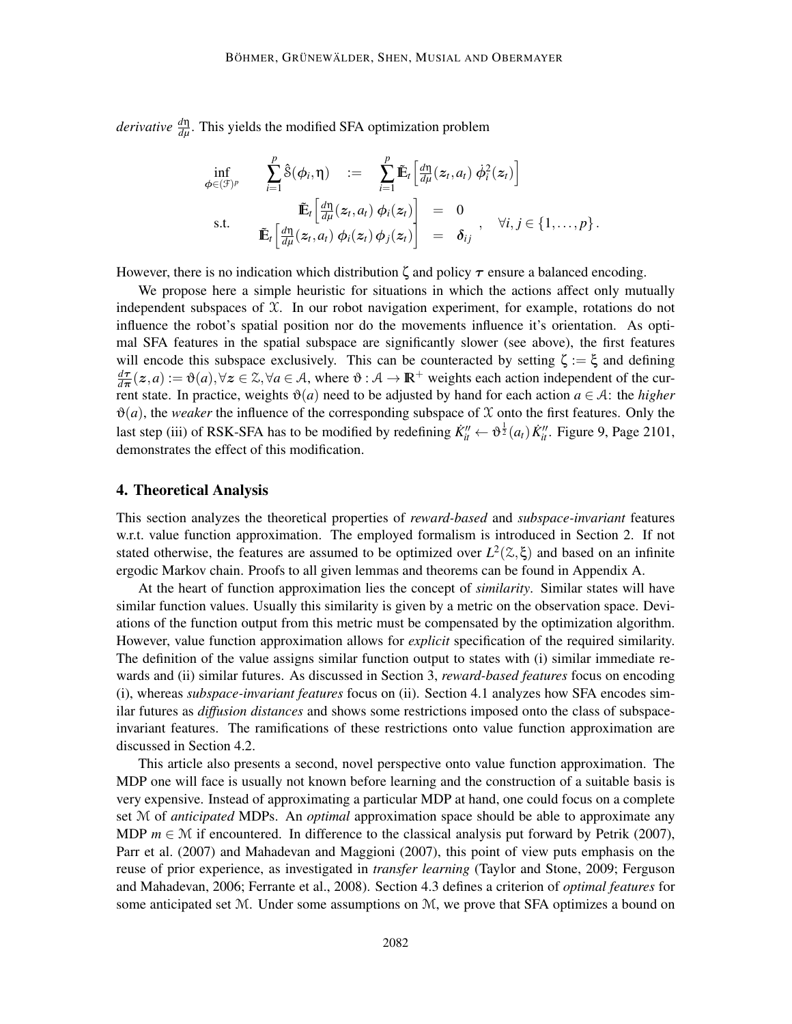*derivative*  $\frac{d\eta}{d\mu}$ . This yields the modified SFA optimization problem

$$
\inf_{\phi \in (\mathcal{F})^p} \qquad \sum_{i=1}^p \hat{\mathcal{S}}(\phi_i, \eta) \quad := \quad \sum_{i=1}^p \tilde{\mathbb{E}}_t \left[ \frac{d\eta}{d\mu}(z_t, a_t) \; \dot{\phi}_i^2(z_t) \right] \n\quad \text{s.t.} \qquad \tilde{\mathbb{E}}_t \left[ \frac{d\eta}{d\mu}(z_t, a_t) \; \phi_i(z_t) \right] \quad = \quad 0 \n\tilde{\mathbb{E}}_t \left[ \frac{d\eta}{d\mu}(z_t, a_t) \; \phi_i(z_t) \phi_j(z_t) \right] \quad = \quad \delta_{ij} \qquad \forall i, j \in \{1, \ldots, p\}.
$$

However, there is no indication which distribution  $\zeta$  and policy  $\tau$  ensure a balanced encoding.

We propose here a simple heuristic for situations in which the actions affect only mutually independent subspaces of  $\mathfrak X$ . In our robot navigation experiment, for example, rotations do not influence the robot's spatial position nor do the movements influence it's orientation. As optimal SFA features in the spatial subspace are significantly slower (see above), the first features will encode this subspace exclusively. This can be counteracted by setting  $\zeta := \xi$  and defining *d*τ  $\frac{d\tau}{d\pi}(z,a) := \vartheta(a), \forall z \in \mathbb{Z}, \forall a \in \mathcal{A}, \text{ where } \vartheta : \mathcal{A} \to \mathbb{R}^+ \text{ weights each action independent of the cur$ rent state. In practice, weights  $\vartheta(a)$  need to be adjusted by hand for each action  $a \in \mathcal{A}$ : the *higher*  $\vartheta(a)$ , the *weaker* the influence of the corresponding subspace of X onto the first features. Only the last step (iii) of RSK-SFA has to be modified by redefining  $\dot{K}''_{it} \leftarrow \vartheta^{\frac{1}{2}}(a_t) \dot{K}''_{it}$ . Figure 9, Page 2101, demonstrates the effect of this modification.

## 4. Theoretical Analysis

This section analyzes the theoretical properties of *reward-based* and *subspace-invariant* features w.r.t. value function approximation. The employed formalism is introduced in Section 2. If not stated otherwise, the features are assumed to be optimized over  $L^2(\mathcal{Z}, \xi)$  and based on an infinite ergodic Markov chain. Proofs to all given lemmas and theorems can be found in Appendix A.

At the heart of function approximation lies the concept of *similarity*. Similar states will have similar function values. Usually this similarity is given by a metric on the observation space. Deviations of the function output from this metric must be compensated by the optimization algorithm. However, value function approximation allows for *explicit* specification of the required similarity. The definition of the value assigns similar function output to states with (i) similar immediate rewards and (ii) similar futures. As discussed in Section 3, *reward-based features* focus on encoding (i), whereas *subspace-invariant features* focus on (ii). Section 4.1 analyzes how SFA encodes similar futures as *diffusion distances* and shows some restrictions imposed onto the class of subspaceinvariant features. The ramifications of these restrictions onto value function approximation are discussed in Section 4.2.

This article also presents a second, novel perspective onto value function approximation. The MDP one will face is usually not known before learning and the construction of a suitable basis is very expensive. Instead of approximating a particular MDP at hand, one could focus on a complete set M of *anticipated* MDPs. An *optimal* approximation space should be able to approximate any MDP  $m \in \mathcal{M}$  if encountered. In difference to the classical analysis put forward by Petrik (2007), Parr et al. (2007) and Mahadevan and Maggioni (2007), this point of view puts emphasis on the reuse of prior experience, as investigated in *transfer learning* (Taylor and Stone, 2009; Ferguson and Mahadevan, 2006; Ferrante et al., 2008). Section 4.3 defines a criterion of *optimal features* for some anticipated set M. Under some assumptions on M, we prove that SFA optimizes a bound on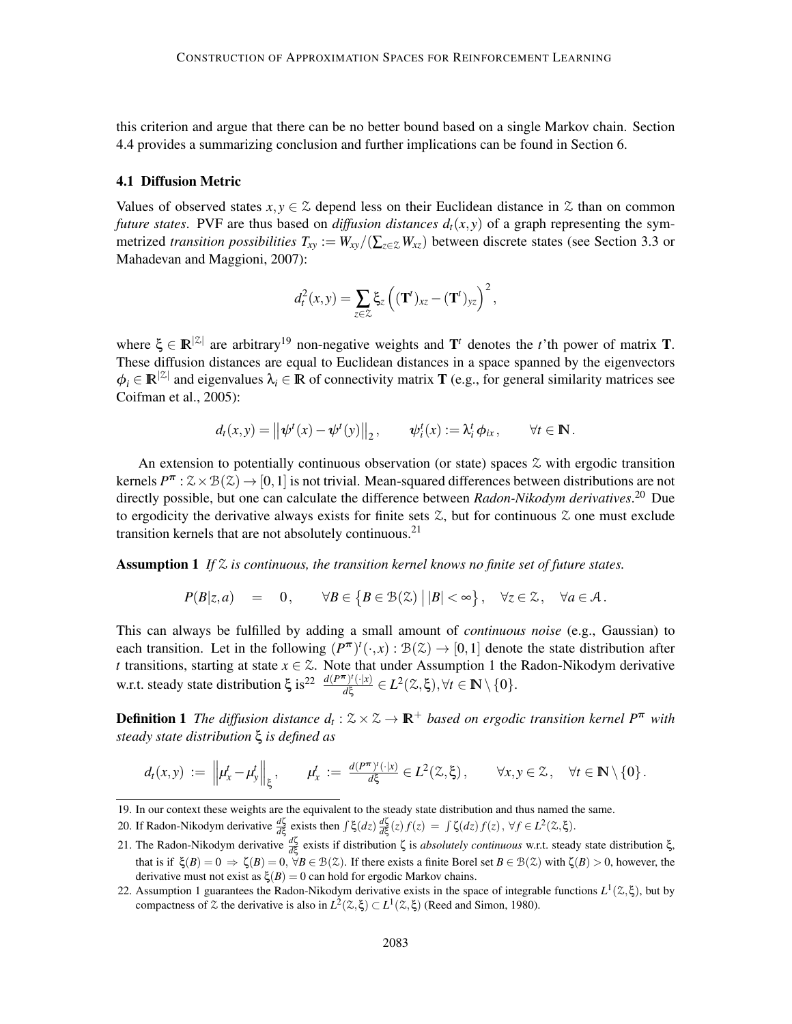this criterion and argue that there can be no better bound based on a single Markov chain. Section 4.4 provides a summarizing conclusion and further implications can be found in Section 6.

#### 4.1 Diffusion Metric

Values of observed states  $x, y \in \mathcal{Z}$  depend less on their Euclidean distance in  $\mathcal{Z}$  than on common *future states*. PVF are thus based on *diffusion distances*  $d_t(x, y)$  of a graph representing the symmetrized *transition possibilities*  $T_{xy} := W_{xy}/(\sum_{z \in \mathcal{Z}} W_{xz})$  between discrete states (see Section 3.3 or Mahadevan and Maggioni, 2007):

$$
d_t^2(x,y) = \sum_{z \in \mathcal{Z}} \xi_z \left( (\mathbf{T}^t)_{xz} - (\mathbf{T}^t)_{yz} \right)^2,
$$

where  $\xi \in \mathbb{R}^{|\mathcal{Z}|}$  are arbitrary<sup>19</sup> non-negative weights and  $\mathbf{T}^t$  denotes the *t*'th power of matrix **T**. These diffusion distances are equal to Euclidean distances in a space spanned by the eigenvectors  $\phi_i \in \mathbb{R}^{|\mathcal{Z}|}$  and eigenvalues  $\lambda_i \in \mathbb{R}$  of connectivity matrix **T** (e.g., for general similarity matrices see Coifman et al., 2005):

$$
d_t(x,y) = ||\psi^t(x) - \psi^t(y)||_2
$$
,  $\psi^t_i(x) := \lambda^t_i \phi_{ix}$ ,  $\forall t \in \mathbb{N}$ .

An extension to potentially continuous observation (or state) spaces  $\mathcal Z$  with ergodic transition kernels  $P^{\pi}$ :  $\mathcal{Z} \times \mathcal{B}(\mathcal{Z}) \to [0,1]$  is not trivial. Mean-squared differences between distributions are not directly possible, but one can calculate the difference between *Radon-Nikodym derivatives*. <sup>20</sup> Due to ergodicity the derivative always exists for finite sets  $\mathcal{Z}$ , but for continuous  $\mathcal{Z}$  one must exclude transition kernels that are not absolutely continuous.<sup>21</sup>

Assumption 1 *If* Z *is continuous, the transition kernel knows no finite set of future states.*

$$
P(B|z,a) = 0, \quad \forall B \in \{B \in \mathcal{B}(\mathcal{Z}) \mid |B| < \infty\}, \quad \forall z \in \mathcal{Z}, \quad \forall a \in \mathcal{A}.
$$

This can always be fulfilled by adding a small amount of *continuous noise* (e.g., Gaussian) to each transition. Let in the following  $(P^{\pi})^t(\cdot,x): \mathcal{B}(\mathcal{Z}) \to [0,1]$  denote the state distribution after *t* transitions, starting at state  $x \in \mathbb{Z}$ . Note that under Assumption 1 the Radon-Nikodym derivative w.r.t. steady state distribution  $\xi$  is<sup>22</sup>  $\frac{d(P^{\pi})'(\cdot|x)}{d\xi} \in L^2(\mathcal{Z}, \xi), \forall t \in \mathbb{N} \setminus \{0\}.$ 

**Definition 1** The diffusion distance  $d_t : \mathbb{Z} \times \mathbb{Z} \to \mathbb{R}^+$  based on ergodic transition kernel  $P^{\pi}$  with *steady state distribution* ξ *is defined as*

$$
d_t(x,y) := \left\|\mu_x^t - \mu_y^t\right\|_{\xi}, \qquad \mu_x^t := \frac{d(P^{\pi})^t(\cdot|x)}{d\xi} \in L^2(\mathbb{Z},\xi), \qquad \forall x, y \in \mathbb{Z}, \quad \forall t \in \mathbb{N} \setminus \{0\}.
$$

<sup>19.</sup> In our context these weights are the equivalent to the steady state distribution and thus named the same.

<sup>20.</sup> If Radon-Nikodym derivative  $\frac{d\zeta}{d\xi}$  exists then  $\int \xi (dz) \frac{d\zeta}{d\xi}(z) f(z) = \int \zeta (dz) f(z)$ ,  $\forall f \in L^2(\mathcal{Z}, \xi)$ .

<sup>21.</sup> The Radon-Nikodym derivative  $\frac{d\zeta}{d\xi}$  exists if distribution ζ is *absolutely continuous* w.r.t. steady state distribution ξ, that is if  $\xi(B) = 0 \Rightarrow \zeta(B) = 0$ ,  $\forall B \in \mathcal{B}(\mathcal{Z})$ . If there exists a finite Borel set  $B \in \mathcal{B}(\mathcal{Z})$  with  $\zeta(B) > 0$ , however, the derivative must not exist as  $\xi(B) = 0$  can hold for ergodic Markov chains.

<sup>22.</sup> Assumption 1 guarantees the Radon-Nikodym derivative exists in the space of integrable functions  $L^1(λ,ξ)$ , but by compactness of  $\&$  the derivative is also in  $L^2(\&,\xi) \subset L^1(\&,\xi)$  (Reed and Simon, 1980).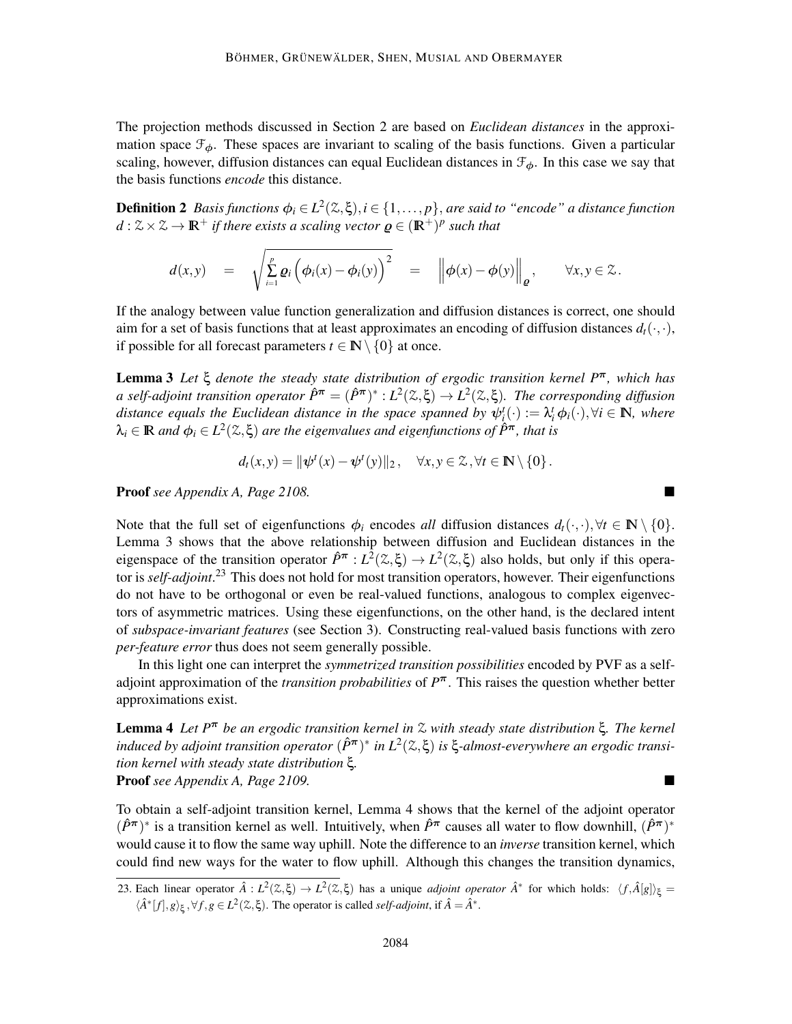The projection methods discussed in Section 2 are based on *Euclidean distances* in the approximation space  $\mathcal{F}_{\phi}$ . These spaces are invariant to scaling of the basis functions. Given a particular scaling, however, diffusion distances can equal Euclidean distances in  $\mathcal{F}_{\phi}$ . In this case we say that the basis functions *encode* this distance.

**Definition 2** Basis functions  $\phi_i \in L^2(\mathbb{Z}, \xi), i \in \{1, \ldots, p\}$ , are said to "encode" a distance function  $d : \mathcal{Z} \times \mathcal{Z} \to \mathbb{R}^+$  *if there exists a scaling vector*  $\boldsymbol{\varrho} \in (\mathbb{R}^+)^p$  such that

$$
d(x,y) = \sqrt{\sum_{i=1}^p \varrho_i \left( \phi_i(x) - \phi_i(y) \right)^2} = \left\| \phi(x) - \phi(y) \right\|_{\varrho}, \quad \forall x, y \in \mathcal{Z}.
$$

If the analogy between value function generalization and diffusion distances is correct, one should aim for a set of basis functions that at least approximates an encoding of diffusion distances  $d_t(\cdot,\cdot)$ , if possible for all forecast parameters  $t \in \mathbb{N} \setminus \{0\}$  at once.

Lemma 3 *Let* ξ *denote the steady state distribution of ergodic transition kernel P*π*, which has*  $a$  self-adjoint transition operator  $\hat{P}^{\pi} = (\hat{P}^{\pi})^* : L^2(\mathbb{Z}, \xi) \to L^2(\mathbb{Z}, \xi)$ . The corresponding diffusion *distance equals the Euclidean distance in the space spanned by*  $\psi^t_{\ell}(\cdot) := \lambda^t_i \phi_i(\cdot), \forall i \in \mathbb{N}$ *, where*  $\lambda_i \in \mathbb{R}$  and  $\phi_i \in L^2(\mathbb{Z}, \xi)$  are the eigenvalues and eigenfunctions of  $\hat{P}^{\pi}$ , that is

$$
d_t(x,y) = \|\psi^t(x) - \psi^t(y)\|_2, \quad \forall x, y \in \mathcal{Z}, \forall t \in \mathbb{N} \setminus \{0\}.
$$

Proof *see Appendix A, Page 2108.*

Note that the full set of eigenfunctions  $\phi_i$  encodes *all* diffusion distances  $d_t(\cdot, \cdot), \forall t \in \mathbb{N} \setminus \{0\}.$ Lemma 3 shows that the above relationship between diffusion and Euclidean distances in the eigenspace of the transition operator  $\hat{P}^{\pi}: L^2(\mathbb{Z}, \xi) \to L^2(\mathbb{Z}, \xi)$  also holds, but only if this operator is *self-adjoint*. <sup>23</sup> This does not hold for most transition operators, however. Their eigenfunctions do not have to be orthogonal or even be real-valued functions, analogous to complex eigenvectors of asymmetric matrices. Using these eigenfunctions, on the other hand, is the declared intent of *subspace-invariant features* (see Section 3). Constructing real-valued basis functions with zero *per-feature error* thus does not seem generally possible.

In this light one can interpret the *symmetrized transition possibilities* encoded by PVF as a selfadjoint approximation of the *transition probabilities* of *P* <sup>π</sup>. This raises the question whether better approximations exist.

Lemma 4 *Let P*<sup>π</sup> *be an ergodic transition kernel in* Z *with steady state distribution* ξ*. The kernel induced by adjoint transition operator*  $(\hat{P}^{\pi})^*$  *in L*<sup>2</sup>( $\mathfrak{Z}, \xi$ ) *is* ξ-*almost-everywhere an ergodic transition kernel with steady state distribution* ξ*.* Proof *see Appendix A, Page 2109.*

To obtain a self-adjoint transition kernel, Lemma 4 shows that the kernel of the adjoint operator  $(\hat{P}^{\pi})^*$  is a transition kernel as well. Intuitively, when  $\hat{P}^{\pi}$  causes all water to flow downhill,  $(\hat{P}^{\pi})^*$ would cause it to flow the same way uphill. Note the difference to an *inverse* transition kernel, which could find new ways for the water to flow uphill. Although this changes the transition dynamics,

<sup>23.</sup> Each linear operator  $\hat{A}: L^2(\mathbb{Z}, \xi) \to L^2(\mathbb{Z}, \xi)$  has a unique *adjoint operator*  $\hat{A}^*$  for which holds:  $\langle f, \hat{A}[g] \rangle_{\xi} =$  $\langle \hat{A}^* [f], g \rangle_{\xi}, \forall f, g \in L^2(\mathcal{Z}, \xi)$ . The operator is called *self-adjoint*, if  $\hat{A} = \hat{A}^*$ .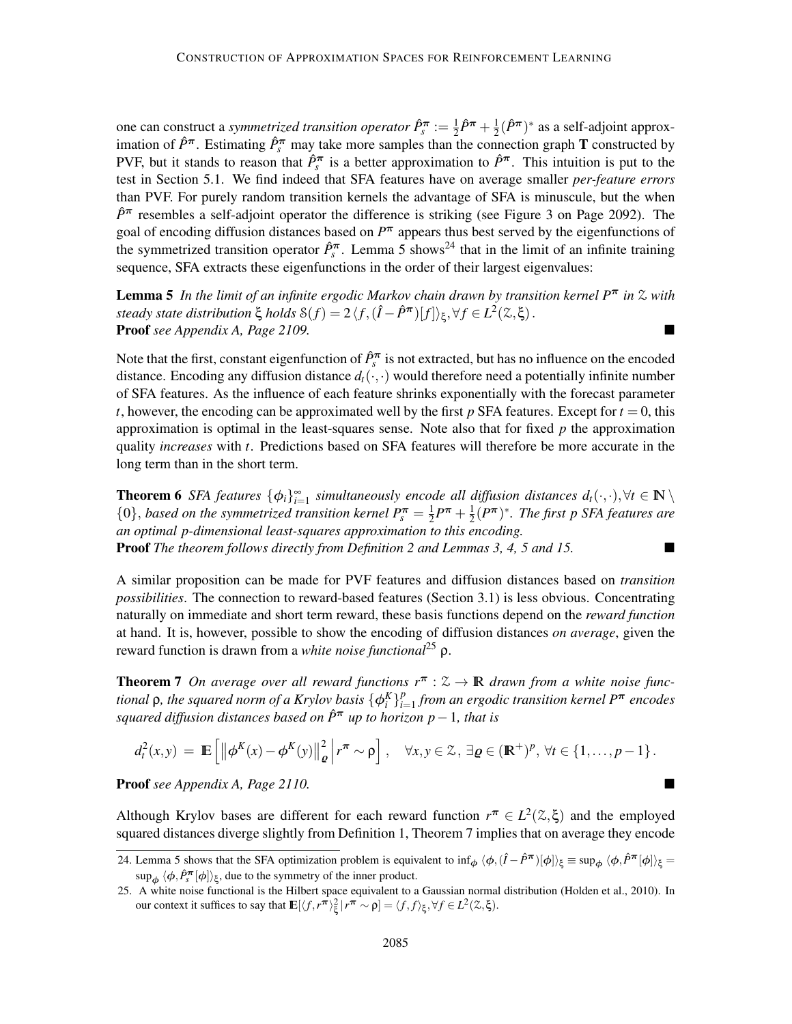one can construct a *symmetrized transition operator*  $\hat{P}_{s}^{\pi} := \frac{1}{2}$  $\frac{1}{2}\hat{P}^{\pi} + \frac{1}{2}$  $\frac{1}{2}(\hat{P}^{\pi})^*$  as a self-adjoint approximation of  $\hat{P}^{\pi}$ . Estimating  $\hat{P}_{s}^{\pi}$  may take more samples than the connection graph **T** constructed by PVF, but it stands to reason that  $\hat{P}_{s}^{\pi}$  is a better approximation to  $\hat{P}^{\pi}$ . This intuition is put to the test in Section 5.1. We find indeed that SFA features have on average smaller *per-feature errors* than PVF. For purely random transition kernels the advantage of SFA is minuscule, but the when  $\hat{P}$ <sup>π</sup> resembles a self-adjoint operator the difference is striking (see Figure 3 on Page 2092). The goal of encoding diffusion distances based on *P* <sup>π</sup> appears thus best served by the eigenfunctions of the symmetrized transition operator  $\hat{P}_{s}^{\pi}$ . Lemma 5 shows<sup>24</sup> that in the limit of an infinite training sequence, SFA extracts these eigenfunctions in the order of their largest eigenvalues:

Lemma 5 *In the limit of an infinite ergodic Markov chain drawn by transition kernel P*<sup>π</sup> *in* Z *with steady state distribution*  $\xi$  *holds*  $\mathcal{S}(f) = 2\langle f, (\hat{I} - \hat{P}^{\pi})[f] \rangle_{\xi}, \forall f \in L^{2}(\mathbb{Z}, \xi)$ . Proof *see Appendix A, Page 2109.*

Note that the first, constant eigenfunction of  $\hat{P}_{s}^{\pi}$  is not extracted, but has no influence on the encoded distance. Encoding any diffusion distance  $d_t(\cdot, \cdot)$  would therefore need a potentially infinite number of SFA features. As the influence of each feature shrinks exponentially with the forecast parameter *t*, however, the encoding can be approximated well by the first  $p$  SFA features. Except for  $t = 0$ , this approximation is optimal in the least-squares sense. Note also that for fixed *p* the approximation quality *increases* with *t*. Predictions based on SFA features will therefore be more accurate in the long term than in the short term.

**Theorem 6** SFA features  $\{\phi_i\}_{i=1}^{\infty}$  simultaneously encode all diffusion distances  $d_t(\cdot,\cdot), \forall t \in \mathbb{N} \setminus \mathbb{N}$  $\{0\}$ , *based on the symmetrized transition kernel*  $P_s^{\pi} = \frac{1}{2}$  $\frac{1}{2}P^{\pi} + \frac{1}{2}$  $\frac{1}{2}(P^{\boldsymbol{\pi}})^*$ *. The first p SFA features are an optimal p-dimensional least-squares approximation to this encoding.* Proof *The theorem follows directly from Definition 2 and Lemmas 3, 4, 5 and 15.*

A similar proposition can be made for PVF features and diffusion distances based on *transition possibilities*. The connection to reward-based features (Section 3.1) is less obvious. Concentrating naturally on immediate and short term reward, these basis functions depend on the *reward function* at hand. It is, however, possible to show the encoding of diffusion distances *on average*, given the reward function is drawn from a *white noise functional*<sup>25</sup> ρ.

**Theorem 7** On average over all reward functions  $r^{\pi}$  :  $\mathcal{Z} \to \mathbb{R}$  drawn from a white noise func*tional*  $\rho$ *, the squared norm of a Krylov basis*  $\{\phi_i^K\}_{i=1}^p$ *i*=1 *from an ergodic transition kernel P*<sup>π</sup> *encodes squared diffusion distances based on <sup>P</sup>*ˆ<sup>π</sup> *up to horizon p*−1*, that is*

$$
d_t^2(x,y) = \mathbb{E}\left[\left\|\phi^K(x) - \phi^K(y)\right\|_{\varrho}^2 \middle| r^{\pi} \sim \rho\right], \quad \forall x, y \in \mathcal{Z}, \exists \varrho \in (\mathbb{R}^+)^p, \forall t \in \{1,\ldots,p-1\}.
$$

Proof *see Appendix A, Page 2110.*

Although Krylov bases are different for each reward function  $r^{\pi} \in L^2(\mathbb{Z}, \xi)$  and the employed squared distances diverge slightly from Definition 1, Theorem 7 implies that on average they encode

<sup>24.</sup> Lemma 5 shows that the SFA optimization problem is equivalent to  $\inf_{\phi} \langle \phi, (\hat{I} - \hat{P}^{\pi})[\phi] \rangle_{\xi} \equiv \sup_{\phi} \langle \phi, \hat{P}^{\pi}[\phi] \rangle_{\xi} =$  $\sup_{\phi} \langle \phi, \hat{P}_{s}^{\pi}[\phi] \rangle_{\xi}$ , due to the symmetry of the inner product.

<sup>25.</sup> A white noise functional is the Hilbert space equivalent to a Gaussian normal distribution (Holden et al., 2010). In our context it suffices to say that  $\mathbb{E}[\langle f, r^{\pi} \rangle_{\xi}^{2} | r^{\pi} \sim \rho] = \langle f, f \rangle_{\xi}, \forall f \in L^{2}(\mathbb{Z}, \xi)$ .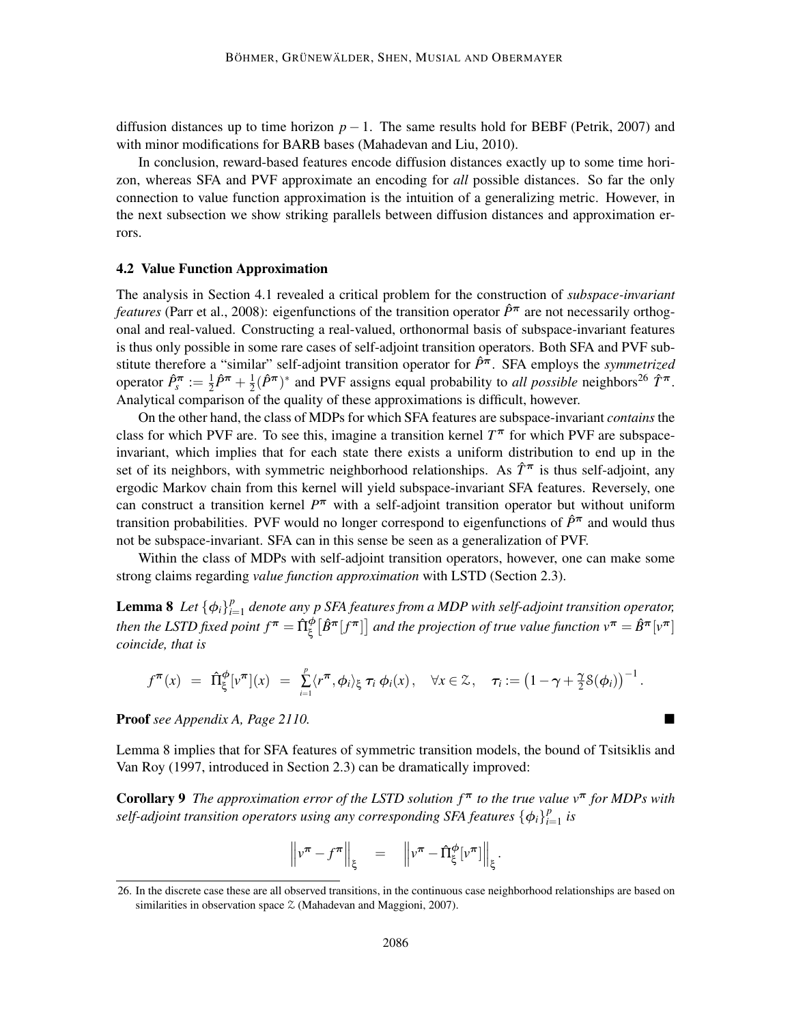diffusion distances up to time horizon  $p - 1$ . The same results hold for BEBF (Petrik, 2007) and with minor modifications for BARB bases (Mahadevan and Liu, 2010).

In conclusion, reward-based features encode diffusion distances exactly up to some time horizon, whereas SFA and PVF approximate an encoding for *all* possible distances. So far the only connection to value function approximation is the intuition of a generalizing metric. However, in the next subsection we show striking parallels between diffusion distances and approximation errors.

#### 4.2 Value Function Approximation

The analysis in Section 4.1 revealed a critical problem for the construction of *subspace-invariant features* (Parr et al., 2008): eigenfunctions of the transition operator  $\hat{P}^{\pi}$  are not necessarily orthogonal and real-valued. Constructing a real-valued, orthonormal basis of subspace-invariant features is thus only possible in some rare cases of self-adjoint transition operators. Both SFA and PVF substitute therefore a "similar" self-adjoint transition operator for *P*ˆπ. SFA employs the *symmetrized* operator  $\hat{P}_{s}^{\boldsymbol{\pi}} := \frac{1}{2}$  $\frac{1}{2}\hat{P}^{\pi} + \frac{1}{2}$  $\frac{1}{2}(\hat{P}^{\pi})^*$  and PVF assigns equal probability to *all possible* neighbors<sup>26</sup>  $\hat{T}^{\pi}$ . Analytical comparison of the quality of these approximations is difficult, however.

On the other hand, the class of MDPs for which SFA features are subspace-invariant *contains* the class for which PVF are. To see this, imagine a transition kernel  $T^{\pi}$  for which PVF are subspaceinvariant, which implies that for each state there exists a uniform distribution to end up in the set of its neighbors, with symmetric neighborhood relationships. As  $\hat{T}^{\pi}$  is thus self-adjoint, any ergodic Markov chain from this kernel will yield subspace-invariant SFA features. Reversely, one can construct a transition kernel *P* <sup>π</sup> with a self-adjoint transition operator but without uniform transition probabilities. PVF would no longer correspond to eigenfunctions of  $\hat{P}^{\pi}$  and would thus not be subspace-invariant. SFA can in this sense be seen as a generalization of PVF.

Within the class of MDPs with self-adjoint transition operators, however, one can make some strong claims regarding *value function approximation* with LSTD (Section 2.3).

Lemma 8 *Let*  $\{\phi_i\}_{i=1}^p$ *i*=1 *denote any p SFA features from a MDP with self-adjoint transition operator,* then the LSTD fixed point  $f^{\bm{\pi}}=\hat{\Pi}^{\bm{\phi}}_{\bm{\xi}}\big[\hat{B}^{\bm{\pi}}[f^{\bm{\pi}}]\big]$  and the projection of true value function  $v^{\bm{\pi}}=\hat{B}^{\bm{\pi}}[v^{\bm{\pi}}]$ *coincide, that is*

$$
f^{\boldsymbol{\pi}}(x) = \hat{\Pi}_{\xi}^{\boldsymbol{\phi}}[v^{\boldsymbol{\pi}}](x) = \sum_{i=1}^{p} \langle r^{\boldsymbol{\pi}}, \boldsymbol{\phi}_i \rangle_{\xi} \tau_i \boldsymbol{\phi}_i(x), \quad \forall x \in \mathcal{Z}, \quad \tau_i := \left(1 - \gamma + \frac{\gamma}{2} \mathcal{S}(\boldsymbol{\phi}_i)\right)^{-1}
$$

.

Proof *see Appendix A, Page 2110.*

Lemma 8 implies that for SFA features of symmetric transition models, the bound of Tsitsiklis and Van Roy (1997, introduced in Section 2.3) can be dramatically improved:

Corollary 9 *The approximation error of the LSTD solution f* <sup>π</sup> *to the true value v*<sup>π</sup> *for MDPs with self-adjoint transition operators using any corresponding SFA features*  $\{\phi_i\}_{i=1}^p$  $_{i=1}^{\rho}$  *is* 

$$
\left\|v^{\boldsymbol{\pi}}-f^{\boldsymbol{\pi}}\right\|_{\xi} = \left\|v^{\boldsymbol{\pi}}-\hat{\Pi}_{\xi}^{\phi}[v^{\boldsymbol{\pi}}]\right\|_{\xi}.
$$

<sup>26.</sup> In the discrete case these are all observed transitions, in the continuous case neighborhood relationships are based on similarities in observation space  $\mathfrak{Z}$  (Mahadevan and Maggioni, 2007).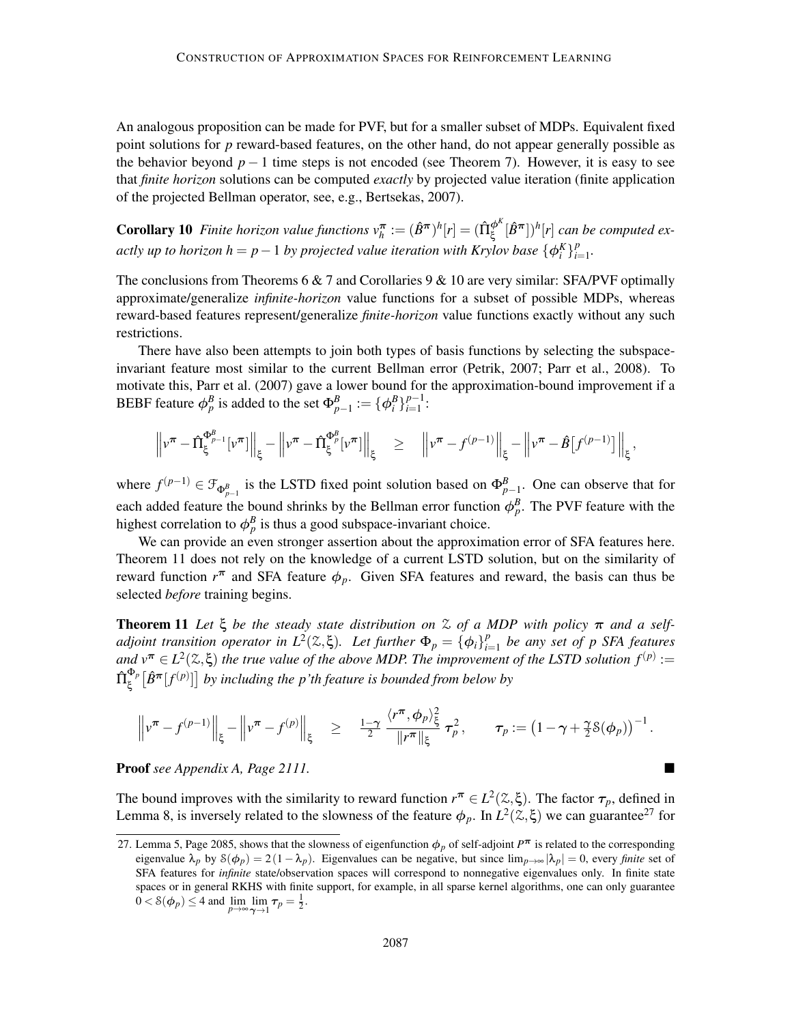An analogous proposition can be made for PVF, but for a smaller subset of MDPs. Equivalent fixed point solutions for *p* reward-based features, on the other hand, do not appear generally possible as the behavior beyond  $p-1$  time steps is not encoded (see Theorem 7). However, it is easy to see that *finite horizon* solutions can be computed *exactly* by projected value iteration (finite application of the projected Bellman operator, see, e.g., Bertsekas, 2007).

**Corollary 10** Finite horizon value functions  $v_h^{\bm{\pi}} := (\hat{B}^{\bm{\pi}})^h[r] = (\hat{\Pi}^{\phi^K}_{\xi}[\hat{B}^{\bm{\pi}}])^h[r]$  can be computed ex*actly up to horizon h* =  $p-1$  *by projected value iteration with Krylov base*  $\{\phi_i^K\}_{i=1}^p$ *i*=1 *.*

The conclusions from Theorems 6  $\&$  7 and Corollaries 9  $\&$  10 are very similar: SFA/PVF optimally approximate/generalize *infinite-horizon* value functions for a subset of possible MDPs, whereas reward-based features represent/generalize *finite-horizon* value functions exactly without any such restrictions.

There have also been attempts to join both types of basis functions by selecting the subspaceinvariant feature most similar to the current Bellman error (Petrik, 2007; Parr et al., 2008). To motivate this, Parr et al. (2007) gave a lower bound for the approximation-bound improvement if a BEBF feature  $\phi_p^B$  is added to the set  $\Phi_{p-1}^B := {\phi_i^B}_{i=1}^{p-1}$ :

$$
\left\|v^{\boldsymbol{\pi}}-\hat{\Pi}_{\xi}^{\Phi_{p-1}^{\boldsymbol{\beta}}}[v^{\boldsymbol{\pi}}]\right\|_{\xi}-\left\|v^{\boldsymbol{\pi}}-\hat{\Pi}_{\xi}^{\Phi_{p}^{\boldsymbol{\beta}}}[v^{\boldsymbol{\pi}}]\right\|_{\xi} \quad \geq \quad \left\|v^{\boldsymbol{\pi}}-f^{(p-1)}\right\|_{\xi}-\left\|v^{\boldsymbol{\pi}}-\hat{B}\big[f^{(p-1)}\big]\right\|_{\xi},
$$

where  $f^{(p-1)} \in \mathcal{F}_{\Phi_{p-1}^B}$  is the LSTD fixed point solution based on  $\Phi_{p-1}^B$ . One can observe that for each added feature the bound shrinks by the Bellman error function  $\phi_p^B$ . The PVF feature with the highest correlation to  $\phi_p^B$  is thus a good subspace-invariant choice.

We can provide an even stronger assertion about the approximation error of SFA features here. Theorem 11 does not rely on the knowledge of a current LSTD solution, but on the similarity of reward function  $r^{\pi}$  and SFA feature  $\phi_p$ . Given SFA features and reward, the basis can thus be selected *before* training begins.

**Theorem 11** Let  $\xi$  be the steady state distribution on  $\lambda$  of a MDP with policy  $\pi$  and a self*adjoint transition operator in*  $L^2(\mathbb{Z}, \xi)$ . Let further  $\Phi_p = {\phi_i}_i^p$ *i*=1 *be any set of p SFA features* and  $v^{\pi} \in L^2(\mathbb{Z}, \xi)$  *the true value of the above MDP. The improvement of the LSTD solution*  $f^{(p)} :=$  $\hat{\Pi}^{\Phi_p}_\varepsilon$  $\int_{\xi}^{\Phi_p} [\hat{B}^{\bm{\pi}}[f^{(p)}]]$  by including the p'th feature is bounded from below by

$$
\left\|v^{\pi}-f^{(p-1)}\right\|_{\xi}-\left\|v^{\pi}-f^{(p)}\right\|_{\xi} \geq \frac{1-\gamma}{2}\frac{\langle r^{\pi}, \phi_p\rangle_{\xi}^2}{\|r^{\pi}\|_{\xi}} \tau_p^2, \quad \tau_p := \left(1-\gamma+\frac{\gamma}{2}\delta(\phi_p)\right)^{-1}.
$$

Proof *see Appendix A, Page 2111.*

The bound improves with the similarity to reward function  $r^{\pi} \in L^2(\mathcal{Z}, \xi)$ . The factor  $\tau_p$ , defined in Lemma 8, is inversely related to the slowness of the feature  $\phi_p$ . In  $L^2(\mathbb{Z}, \xi)$  we can guarantee<sup>27</sup> for

<sup>27.</sup> Lemma 5, Page 2085, shows that the slowness of eigenfunction  $\phi_p$  of self-adjoint  $P^{\pi}$  is related to the corresponding eigenvalue  $\lambda_p$  by  $S(\phi_p) = 2(1 - \lambda_p)$ . Eigenvalues can be negative, but since  $\lim_{p \to \infty} |\lambda_p| = 0$ , every *finite* set of SFA features for *infinite* state/observation spaces will correspond to nonnegative eigenvalues only. In finite state spaces or in general RKHS with finite support, for example, in all sparse kernel algorithms, one can only guarantee  $0 < \mathcal{S}(\phi_p) \leq 4$  and  $\lim_{p \to \infty} \lim_{\gamma \to 1} \tau_p = \frac{1}{2}$ .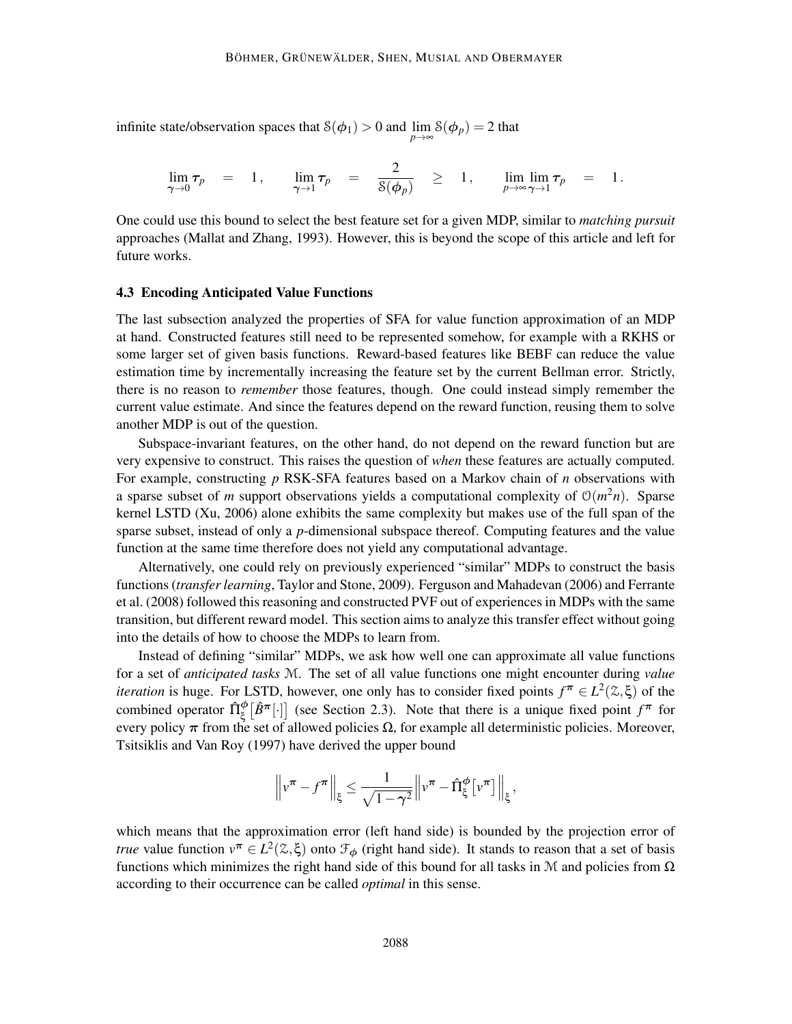infinite state/observation spaces that  $S(\phi_1) > 0$  and  $\lim_{p \to \infty} S(\phi_p) = 2$  that

$$
\lim_{\gamma \to 0} \tau_p = 1, \quad \lim_{\gamma \to 1} \tau_p = \frac{2}{\mathcal{S}(\phi_p)} \geq 1, \quad \lim_{p \to \infty} \lim_{\gamma \to 1} \tau_p = 1.
$$

One could use this bound to select the best feature set for a given MDP, similar to *matching pursuit* approaches (Mallat and Zhang, 1993). However, this is beyond the scope of this article and left for future works.

#### 4.3 Encoding Anticipated Value Functions

The last subsection analyzed the properties of SFA for value function approximation of an MDP at hand. Constructed features still need to be represented somehow, for example with a RKHS or some larger set of given basis functions. Reward-based features like BEBF can reduce the value estimation time by incrementally increasing the feature set by the current Bellman error. Strictly, there is no reason to *remember* those features, though. One could instead simply remember the current value estimate. And since the features depend on the reward function, reusing them to solve another MDP is out of the question.

Subspace-invariant features, on the other hand, do not depend on the reward function but are very expensive to construct. This raises the question of *when* these features are actually computed. For example, constructing *p* RSK-SFA features based on a Markov chain of *n* observations with a sparse subset of *m* support observations yields a computational complexity of  $O(m^2n)$ . Sparse kernel LSTD (Xu, 2006) alone exhibits the same complexity but makes use of the full span of the sparse subset, instead of only a *p*-dimensional subspace thereof. Computing features and the value function at the same time therefore does not yield any computational advantage.

Alternatively, one could rely on previously experienced "similar" MDPs to construct the basis functions (*transfer learning*, Taylor and Stone, 2009). Ferguson and Mahadevan (2006) and Ferrante et al. (2008) followed this reasoning and constructed PVF out of experiences in MDPs with the same transition, but different reward model. This section aims to analyze this transfer effect without going into the details of how to choose the MDPs to learn from.

Instead of defining "similar" MDPs, we ask how well one can approximate all value functions for a set of *anticipated tasks* M. The set of all value functions one might encounter during *value iteration* is huge. For LSTD, however, one only has to consider fixed points  $f^{\pi} \in L^2(\mathbb{Z}, \xi)$  of the combined operator  $\hat{\Pi}_{\xi}^{\phi}[\hat{B}^{\pi}[\cdot]]$  (see Section 2.3). Note that there is a unique fixed point  $f^{\pi}$  for every policy  $\pi$  from the set of allowed policies  $\Omega$ , for example all deterministic policies. Moreover, Tsitsiklis and Van Roy (1997) have derived the upper bound

$$
\left\|v^{\pi} - f^{\pi}\right\|_{\xi} \leq \frac{1}{\sqrt{1-\gamma^2}} \left\|v^{\pi} - \hat{\Pi}_{\xi}^{\phi}\left[v^{\pi}\right]\right\|_{\xi},
$$

which means that the approximation error (left hand side) is bounded by the projection error of *true* value function  $v^{\pi} \in L^2(\mathbb{Z}, \xi)$  onto  $\mathcal{F}_{\phi}$  (right hand side). It stands to reason that a set of basis functions which minimizes the right hand side of this bound for all tasks in M and policies from  $\Omega$ according to their occurrence can be called *optimal* in this sense.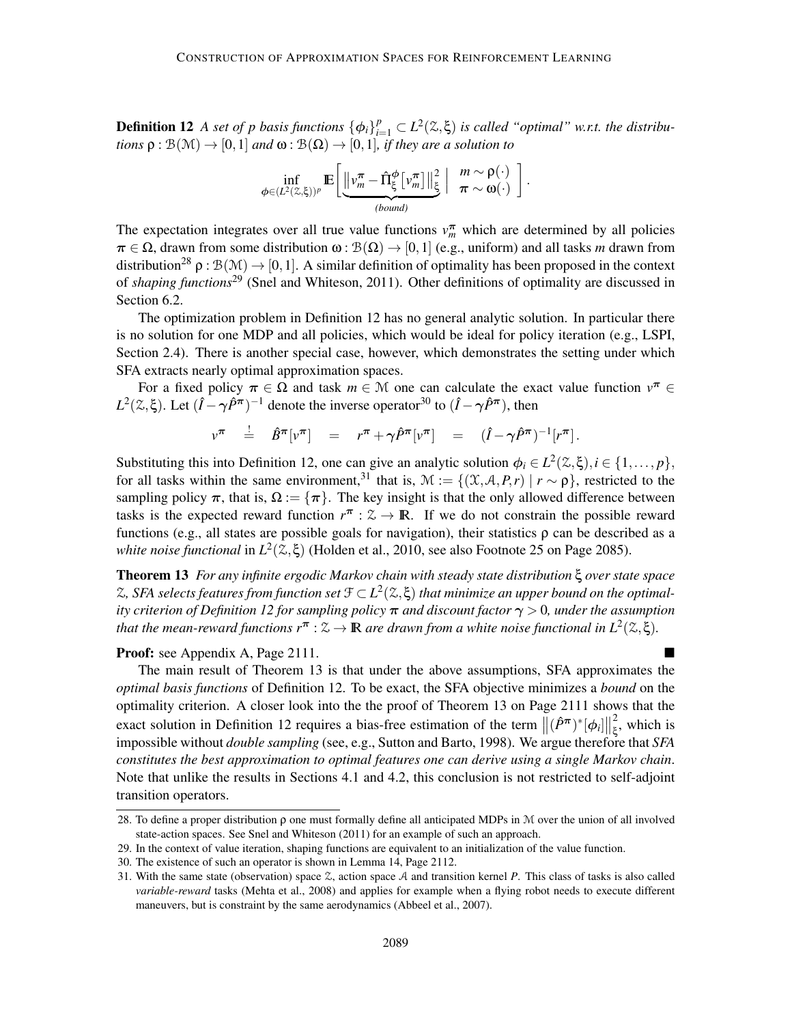**Definition 12** *A set of p basis functions*  $\{\phi_i\}_{i=1}^p \subset L^2(\mathbb{Z}, \xi)$  *is called "optimal" w.r.t. the distributions*  $\rho : \mathcal{B}(\mathcal{M}) \to [0,1]$  *and*  $\omega : \mathcal{B}(\Omega) \to [0,1]$ *, if they are a solution to* 

$$
\inf_{\phi\in (L^2(\mathbb{Z},\xi))^p}\mathbb{E}\bigg[\underbrace{\big\|\nu_m^{\boldsymbol{\pi}}-\hat{\Pi}_{\xi}^{\boldsymbol{\phi}}\big[\nu_m^{\boldsymbol{\pi}}\big]\big\|_{\xi}^2}_{(bound)}\bigg\vert\ \frac{m\sim \rho(\cdot)}{\pi\sim \omega(\cdot)}\ \bigg]\,.
$$

The expectation integrates over all true value functions  $v_m^{\pi}$  which are determined by all policies  $\pi \in \Omega$ , drawn from some distribution  $\omega : \mathcal{B}(\Omega) \to [0,1]$  (e.g., uniform) and all tasks *m* drawn from distribution<sup>28</sup>  $\rho : \mathcal{B}(\mathcal{M}) \to [0,1]$ . A similar definition of optimality has been proposed in the context of *shaping functions*<sup>29</sup> (Snel and Whiteson, 2011). Other definitions of optimality are discussed in Section 6.2.

The optimization problem in Definition 12 has no general analytic solution. In particular there is no solution for one MDP and all policies, which would be ideal for policy iteration (e.g., LSPI, Section 2.4). There is another special case, however, which demonstrates the setting under which SFA extracts nearly optimal approximation spaces.

For a fixed policy  $\pi \in \Omega$  and task  $m \in \mathcal{M}$  one can calculate the exact value function  $v^{\pi} \in \Omega$ *L*<sup>2</sup>( $\ddot{\lambda}$ , ξ). Let  $(I - \gamma \hat{P}^{\pi})^{-1}$  denote the inverse operator<sup>30</sup> to  $(I - \gamma \hat{P}^{\pi})$ , then

$$
v^{\pi} \quad \stackrel{!}{=} \quad \hat{B}^{\pi} [v^{\pi}] \quad = \quad r^{\pi} + \gamma \hat{P}^{\pi} [v^{\pi}] \quad = \quad (\hat{I} - \gamma \hat{P}^{\pi})^{-1} [r^{\pi}].
$$

Substituting this into Definition 12, one can give an analytic solution  $\phi_i \in L^2(\mathbb{Z}, \xi), i \in \{1, ..., p\},$ for all tasks within the same environment,<sup>31</sup> that is,  $\mathcal{M} := \{(\mathcal{X}, \mathcal{A}, P, r) | r \sim \rho\}$ , restricted to the sampling policy  $\pi$ , that is,  $\Omega := {\pi}$ . The key insight is that the only allowed difference between tasks is the expected reward function  $r^{\pi}$  :  $\mathcal{Z} \to \mathbb{R}$ . If we do not constrain the possible reward functions (e.g., all states are possible goals for navigation), their statistics  $\rho$  can be described as a *white noise functional* in  $L^2(\mathbb{Z}, \xi)$  (Holden et al., 2010, see also Footnote 25 on Page 2085).

Theorem 13 *For any infinite ergodic Markov chain with steady state distribution* ξ *over state space*  $\mathbb{Z},$  SFA selects features from function set  $\mathfrak{F}\subset L^2(\mathbb{Z},\xi)$  that minimize an upper bound on the optimal*ity criterion of Definition 12 for sampling policy* π *and discount factor* γ > 0*, under the assumption that the mean-reward functions*  $r^{\pi}$  :  $\mathbb{Z} \to \mathbb{R}$  *are drawn from a white noise functional in*  $L^2(\mathbb{Z}, \xi)$ .

#### Proof: see Appendix A, Page 2111.

The main result of Theorem 13 is that under the above assumptions, SFA approximates the *optimal basis functions* of Definition 12. To be exact, the SFA objective minimizes a *bound* on the optimality criterion. A closer look into the the proof of Theorem 13 on Page 2111 shows that the exact solution in Definition 12 requires a bias-free estimation of the term  $\|(\hat{P}^{\pi})^*[\phi_i]\|$ 2  $\frac{2}{5}$ , which is impossible without *double sampling* (see, e.g., Sutton and Barto, 1998). We argue therefore that *SFA constitutes the best approximation to optimal features one can derive using a single Markov chain*. Note that unlike the results in Sections 4.1 and 4.2, this conclusion is not restricted to self-adjoint transition operators.

<sup>28.</sup> To define a proper distribution ρ one must formally define all anticipated MDPs in M over the union of all involved state-action spaces. See Snel and Whiteson (2011) for an example of such an approach.

<sup>29.</sup> In the context of value iteration, shaping functions are equivalent to an initialization of the value function.

<sup>30.</sup> The existence of such an operator is shown in Lemma 14, Page 2112.

<sup>31.</sup> With the same state (observation) space Z, action space A and transition kernel *P*. This class of tasks is also called *variable-reward* tasks (Mehta et al., 2008) and applies for example when a flying robot needs to execute different maneuvers, but is constraint by the same aerodynamics (Abbeel et al., 2007).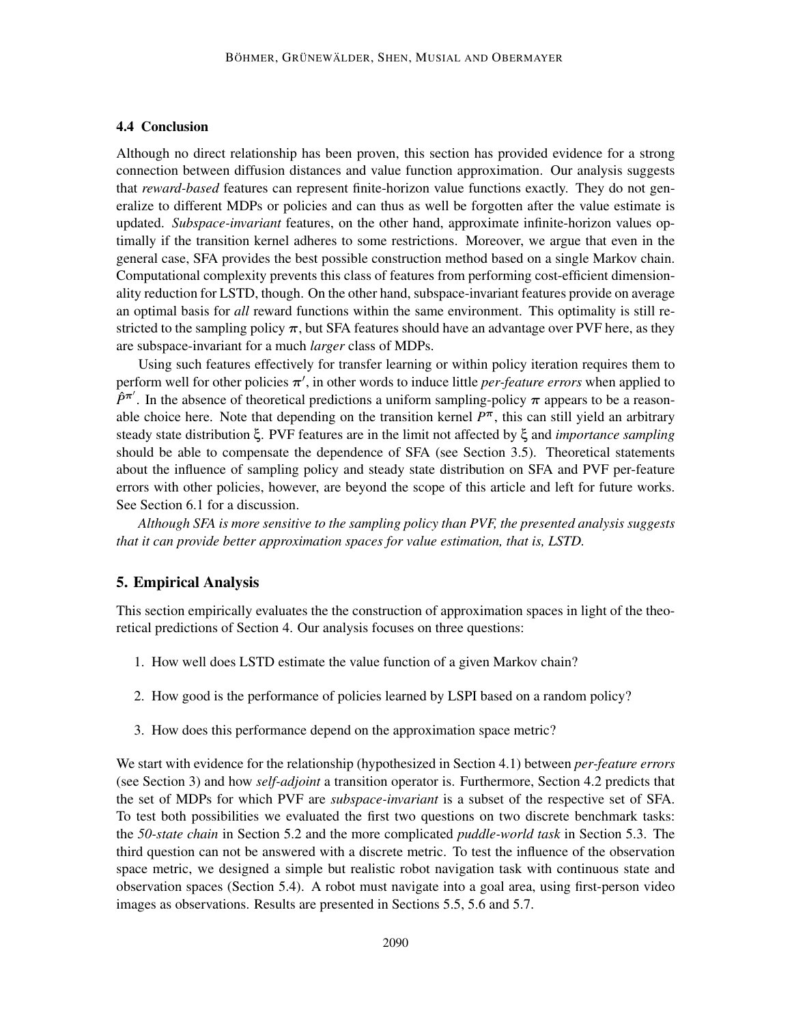## 4.4 Conclusion

Although no direct relationship has been proven, this section has provided evidence for a strong connection between diffusion distances and value function approximation. Our analysis suggests that *reward-based* features can represent finite-horizon value functions exactly. They do not generalize to different MDPs or policies and can thus as well be forgotten after the value estimate is updated. *Subspace-invariant* features, on the other hand, approximate infinite-horizon values optimally if the transition kernel adheres to some restrictions. Moreover, we argue that even in the general case, SFA provides the best possible construction method based on a single Markov chain. Computational complexity prevents this class of features from performing cost-efficient dimensionality reduction for LSTD, though. On the other hand, subspace-invariant features provide on average an optimal basis for *all* reward functions within the same environment. This optimality is still restricted to the sampling policy  $\pi$ , but SFA features should have an advantage over PVF here, as they are subspace-invariant for a much *larger* class of MDPs.

Using such features effectively for transfer learning or within policy iteration requires them to perform well for other policies π ′ , in other words to induce little *per-feature errors* when applied to  $\hat{P}^{\pi'}$ . In the absence of theoretical predictions a uniform sampling-policy  $\pi$  appears to be a reasonable choice here. Note that depending on the transition kernel  $P^{\pi}$ , this can still yield an arbitrary steady state distribution ξ. PVF features are in the limit not affected by ξ and *importance sampling* should be able to compensate the dependence of SFA (see Section 3.5). Theoretical statements about the influence of sampling policy and steady state distribution on SFA and PVF per-feature errors with other policies, however, are beyond the scope of this article and left for future works. See Section 6.1 for a discussion.

*Although SFA is more sensitive to the sampling policy than PVF, the presented analysis suggests that it can provide better approximation spaces for value estimation, that is, LSTD.*

## 5. Empirical Analysis

This section empirically evaluates the the construction of approximation spaces in light of the theoretical predictions of Section 4. Our analysis focuses on three questions:

- 1. How well does LSTD estimate the value function of a given Markov chain?
- 2. How good is the performance of policies learned by LSPI based on a random policy?
- 3. How does this performance depend on the approximation space metric?

We start with evidence for the relationship (hypothesized in Section 4.1) between *per-feature errors* (see Section 3) and how *self-adjoint* a transition operator is. Furthermore, Section 4.2 predicts that the set of MDPs for which PVF are *subspace-invariant* is a subset of the respective set of SFA. To test both possibilities we evaluated the first two questions on two discrete benchmark tasks: the *50-state chain* in Section 5.2 and the more complicated *puddle-world task* in Section 5.3. The third question can not be answered with a discrete metric. To test the influence of the observation space metric, we designed a simple but realistic robot navigation task with continuous state and observation spaces (Section 5.4). A robot must navigate into a goal area, using first-person video images as observations. Results are presented in Sections 5.5, 5.6 and 5.7.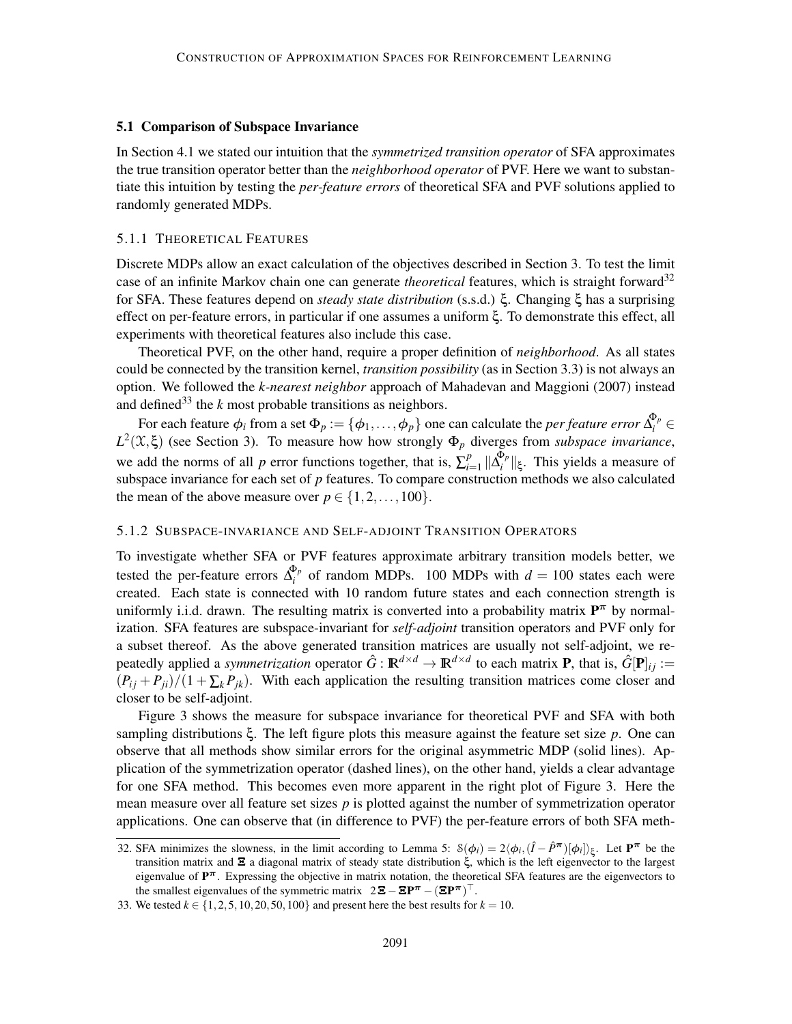### 5.1 Comparison of Subspace Invariance

In Section 4.1 we stated our intuition that the *symmetrized transition operator* of SFA approximates the true transition operator better than the *neighborhood operator* of PVF. Here we want to substantiate this intuition by testing the *per-feature errors* of theoretical SFA and PVF solutions applied to randomly generated MDPs.

#### 5.1.1 THEORETICAL FEATURES

Discrete MDPs allow an exact calculation of the objectives described in Section 3. To test the limit case of an infinite Markov chain one can generate *theoretical* features, which is straight forward<sup>32</sup> for SFA. These features depend on *steady state distribution* (s.s.d.) ξ. Changing ξ has a surprising effect on per-feature errors, in particular if one assumes a uniform ξ. To demonstrate this effect, all experiments with theoretical features also include this case.

Theoretical PVF, on the other hand, require a proper definition of *neighborhood*. As all states could be connected by the transition kernel, *transition possibility* (as in Section 3.3) is not always an option. We followed the *k-nearest neighbor* approach of Mahadevan and Maggioni (2007) instead and defined<sup>33</sup> the  $k$  most probable transitions as neighbors.

For each feature  $\phi_i$  from a set  $\Phi_p := \{\phi_1, \ldots, \phi_p\}$  one can calculate the *per feature error*  $\Delta_i^{\Phi_p}$   $\in$  $L^2(\mathfrak{X}, \xi)$  (see Section 3). To measure how how strongly  $\Phi_p$  diverges from *subspace invariance*, we add the norms of all *p* error functions together, that is,  $\sum_{i=1}^{p}$  $\sum_{i=1}^p ||\Delta_i^{\Phi_p}$  $\| \xi_i^{\nu_p} \|_{\xi}$ . This yields a measure of subspace invariance for each set of *p* features. To compare construction methods we also calculated the mean of the above measure over  $p \in \{1, 2, \ldots, 100\}$ .

## 5.1.2 SUBSPACE-INVARIANCE AND SELF-ADJOINT TRANSITION OPERATORS

To investigate whether SFA or PVF features approximate arbitrary transition models better, we tested the per-feature errors  $\Delta_i^{\Phi_p}$  $i_i^{\nu_p}$  of random MDPs. 100 MDPs with  $d = 100$  states each were created. Each state is connected with 10 random future states and each connection strength is uniformly i.i.d. drawn. The resulting matrix is converted into a probability matrix  $P^{\pi}$  by normalization. SFA features are subspace-invariant for *self-adjoint* transition operators and PVF only for a subset thereof. As the above generated transition matrices are usually not self-adjoint, we repeatedly applied a *symmetrization* operator  $\hat{G} : \mathbb{R}^{d \times d} \to \mathbb{R}^{d \times d}$  to each matrix **P**, that is,  $\hat{G}[\mathbf{P}]_{ij} :=$  $(P_{ij} + P_{ji})/(1 + \sum_k P_{jk})$ . With each application the resulting transition matrices come closer and closer to be self-adjoint.

Figure 3 shows the measure for subspace invariance for theoretical PVF and SFA with both sampling distributions ξ. The left figure plots this measure against the feature set size *p*. One can observe that all methods show similar errors for the original asymmetric MDP (solid lines). Application of the symmetrization operator (dashed lines), on the other hand, yields a clear advantage for one SFA method. This becomes even more apparent in the right plot of Figure 3. Here the mean measure over all feature set sizes  $p$  is plotted against the number of symmetrization operator applications. One can observe that (in difference to PVF) the per-feature errors of both SFA meth-

<sup>32.</sup> SFA minimizes the slowness, in the limit according to Lemma 5:  $\delta(\phi_i) = 2\langle \phi_i, (\hat{I} - \hat{P}^{\pi})[\phi_i] \rangle_{\xi}$ . Let  $P^{\pi}$  be the transition matrix and  $\Xi$  a diagonal matrix of steady state distribution  $\xi$ , which is the left eigenvector to the largest eigenvalue of  $P^{\pi}$ . Expressing the objective in matrix notation, the theoretical SFA features are the eigenvectors to the smallest eigenvalues of the symmetric matrix  $2\mathbf{E} - \mathbf{E} \mathbf{P}^{\pi} - (\mathbf{E} \mathbf{P}^{\pi})^{\top}$ .

<sup>33.</sup> We tested *k* ∈ {1, 2, 5, 10, 20, 50, 100} and present here the best results for *k* = 10.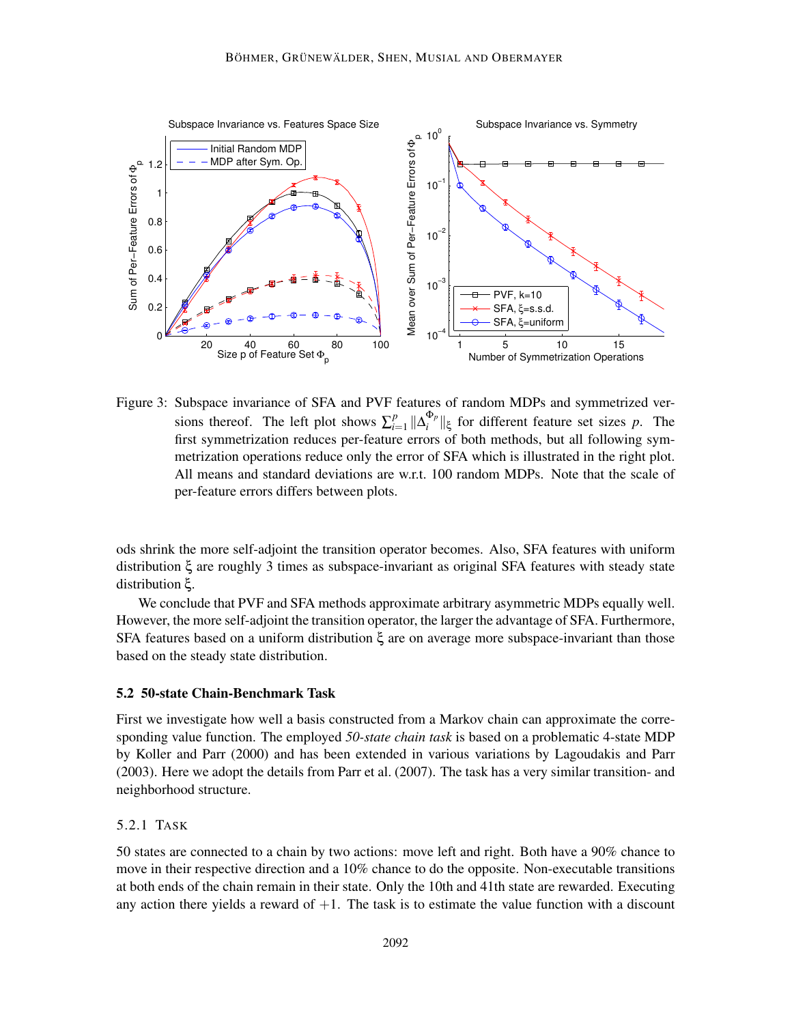

Figure 3: Subspace invariance of SFA and PVF features of random MDPs and symmetrized versions thereof. The left plot shows  $\sum_{i=1}^{p}$  $\sum_{i=1}^p ||\Delta_i^{\Phi_p}$  $\int_i^{\Phi_p}$   $||\xi|$  for different feature set sizes *p*. The first symmetrization reduces per-feature errors of both methods, but all following symmetrization operations reduce only the error of SFA which is illustrated in the right plot. All means and standard deviations are w.r.t. 100 random MDPs. Note that the scale of per-feature errors differs between plots.

ods shrink the more self-adjoint the transition operator becomes. Also, SFA features with uniform distribution ξ are roughly 3 times as subspace-invariant as original SFA features with steady state distribution ξ.

We conclude that PVF and SFA methods approximate arbitrary asymmetric MDPs equally well. However, the more self-adjoint the transition operator, the larger the advantage of SFA. Furthermore, SFA features based on a uniform distribution ξ are on average more subspace-invariant than those based on the steady state distribution.

## 5.2 50-state Chain-Benchmark Task

First we investigate how well a basis constructed from a Markov chain can approximate the corresponding value function. The employed *50-state chain task* is based on a problematic 4-state MDP by Koller and Parr (2000) and has been extended in various variations by Lagoudakis and Parr (2003). Here we adopt the details from Parr et al. (2007). The task has a very similar transition- and neighborhood structure.

## 5.2.1 TASK

50 states are connected to a chain by two actions: move left and right. Both have a 90% chance to move in their respective direction and a 10% chance to do the opposite. Non-executable transitions at both ends of the chain remain in their state. Only the 10th and 41th state are rewarded. Executing any action there yields a reward of  $+1$ . The task is to estimate the value function with a discount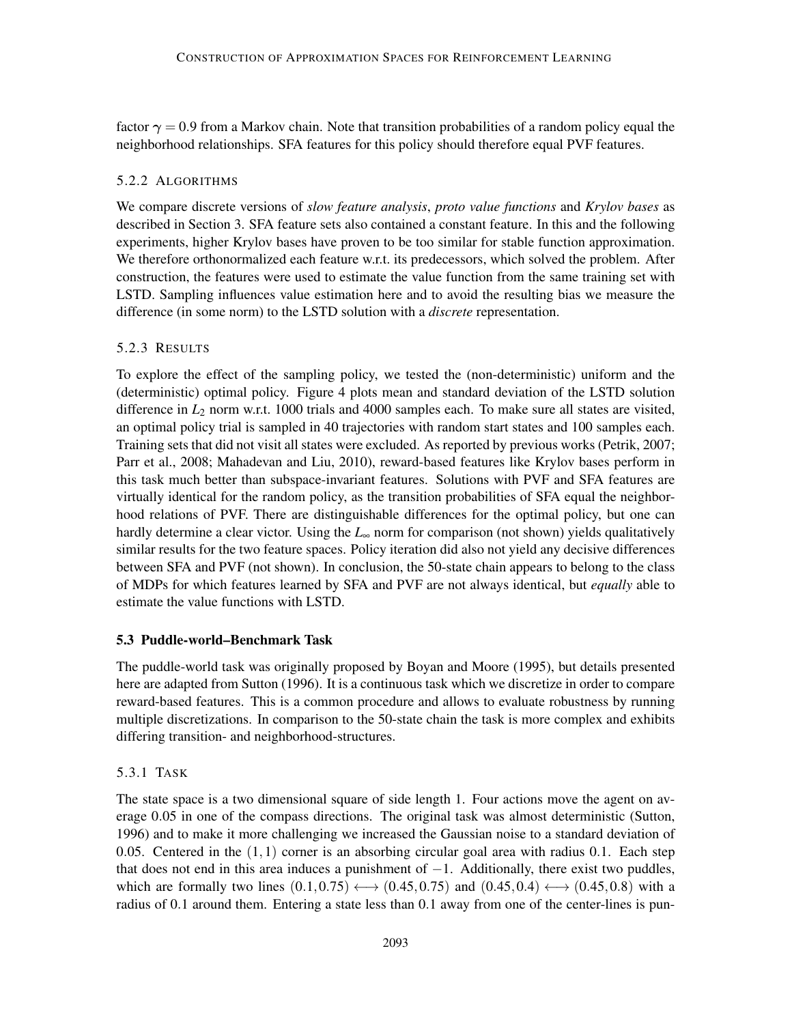factor  $\gamma = 0.9$  from a Markov chain. Note that transition probabilities of a random policy equal the neighborhood relationships. SFA features for this policy should therefore equal PVF features.

## 5.2.2 ALGORITHMS

We compare discrete versions of *slow feature analysis*, *proto value functions* and *Krylov bases* as described in Section 3. SFA feature sets also contained a constant feature. In this and the following experiments, higher Krylov bases have proven to be too similar for stable function approximation. We therefore orthonormalized each feature w.r.t. its predecessors, which solved the problem. After construction, the features were used to estimate the value function from the same training set with LSTD. Sampling influences value estimation here and to avoid the resulting bias we measure the difference (in some norm) to the LSTD solution with a *discrete* representation.

## 5.2.3 RESULTS

To explore the effect of the sampling policy, we tested the (non-deterministic) uniform and the (deterministic) optimal policy. Figure 4 plots mean and standard deviation of the LSTD solution difference in  $L_2$  norm w.r.t. 1000 trials and 4000 samples each. To make sure all states are visited, an optimal policy trial is sampled in 40 trajectories with random start states and 100 samples each. Training sets that did not visit all states were excluded. As reported by previous works (Petrik, 2007; Parr et al., 2008; Mahadevan and Liu, 2010), reward-based features like Krylov bases perform in this task much better than subspace-invariant features. Solutions with PVF and SFA features are virtually identical for the random policy, as the transition probabilities of SFA equal the neighborhood relations of PVF. There are distinguishable differences for the optimal policy, but one can hardly determine a clear victor. Using the *L*<sup>∞</sup> norm for comparison (not shown) yields qualitatively similar results for the two feature spaces. Policy iteration did also not yield any decisive differences between SFA and PVF (not shown). In conclusion, the 50-state chain appears to belong to the class of MDPs for which features learned by SFA and PVF are not always identical, but *equally* able to estimate the value functions with LSTD.

## 5.3 Puddle-world–Benchmark Task

The puddle-world task was originally proposed by Boyan and Moore (1995), but details presented here are adapted from Sutton (1996). It is a continuous task which we discretize in order to compare reward-based features. This is a common procedure and allows to evaluate robustness by running multiple discretizations. In comparison to the 50-state chain the task is more complex and exhibits differing transition- and neighborhood-structures.

## 5.3.1 TASK

The state space is a two dimensional square of side length 1. Four actions move the agent on average 0.05 in one of the compass directions. The original task was almost deterministic (Sutton, 1996) and to make it more challenging we increased the Gaussian noise to a standard deviation of 0.05. Centered in the  $(1,1)$  corner is an absorbing circular goal area with radius 0.1. Each step that does not end in this area induces a punishment of  $-1$ . Additionally, there exist two puddles, which are formally two lines  $(0.1, 0.75) \longleftrightarrow (0.45, 0.75)$  and  $(0.45, 0.4) \longleftrightarrow (0.45, 0.8)$  with a radius of 0.1 around them. Entering a state less than 0.1 away from one of the center-lines is pun-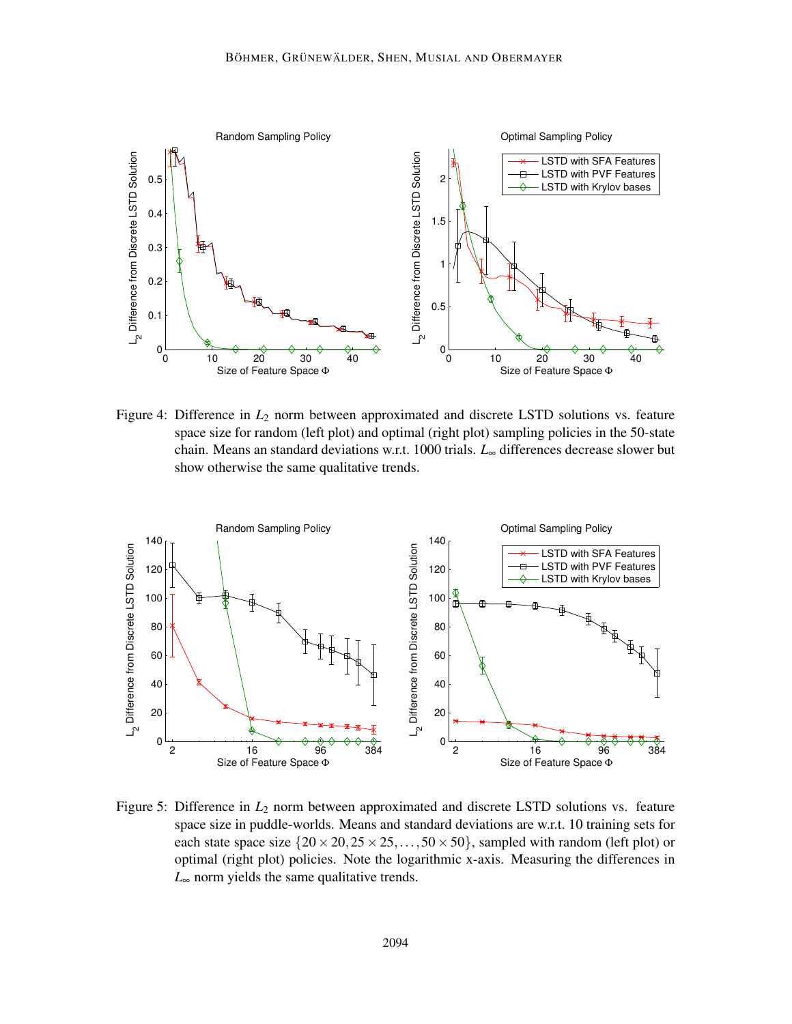

Figure 4: Difference in  $L_2$  norm between approximated and discrete LSTD solutions vs. feature space size for random (left plot) and optimal (right plot) sampling policies in the 50-state chain. Means an standard deviations w.r.t. 1000 trials. *L*<sup>∞</sup> differences decrease slower but show otherwise the same qualitative trends.



Figure 5: Difference in  $L_2$  norm between approximated and discrete LSTD solutions vs. feature space size in puddle-worlds. Means and standard deviations are w.r.t. 10 training sets for each state space size  $\{20 \times 20, 25 \times 25, \ldots, 50 \times 50\}$ , sampled with random (left plot) or optimal (right plot) policies. Note the logarithmic x-axis. Measuring the differences in *L*<sup>∞</sup> norm yields the same qualitative trends.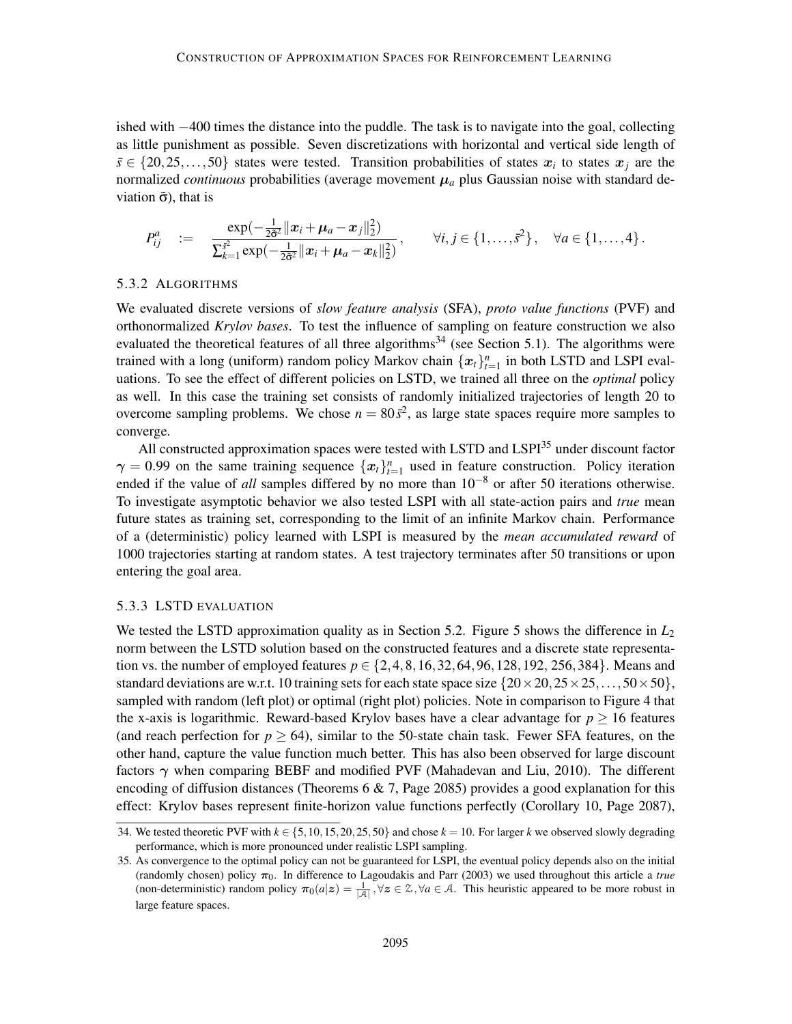ished with −400 times the distance into the puddle. The task is to navigate into the goal, collecting as little punishment as possible. Seven discretizations with horizontal and vertical side length of  $s \in \{20, 25, ..., 50\}$  states were tested. Transition probabilities of states  $x_i$  to states  $x_j$  are the normalized *continuous* probabilities (average movement  $\mu_a$  plus Gaussian noise with standard deviation  $\tilde{\sigma}$ ), that is

$$
P_{ij}^a := \frac{\exp(-\frac{1}{2\tilde{\sigma}^2}||x_i + \mu_a - x_j||_2^2)}{\sum_{k=1}^{\tilde{s}^2} \exp(-\frac{1}{2\tilde{\sigma}^2}||x_i + \mu_a - x_k||_2^2)}, \qquad \forall i, j \in \{1, ..., \tilde{s}^2\}, \quad \forall a \in \{1, ..., 4\}.
$$

#### 5.3.2 ALGORITHMS

We evaluated discrete versions of *slow feature analysis* (SFA), *proto value functions* (PVF) and orthonormalized *Krylov bases*. To test the influence of sampling on feature construction we also evaluated the theoretical features of all three algorithms<sup>34</sup> (see Section 5.1). The algorithms were trained with a long (uniform) random policy Markov chain  $\{x_t\}_{t=1}^n$  in both LSTD and LSPI evaluations. To see the effect of different policies on LSTD, we trained all three on the *optimal* policy as well. In this case the training set consists of randomly initialized trajectories of length 20 to overcome sampling problems. We chose  $n = 80\bar{s}^2$ , as large state spaces require more samples to converge.

All constructed approximation spaces were tested with LSTD and LSPI<sup>35</sup> under discount factor  $\gamma = 0.99$  on the same training sequence  $\{x_t\}_{t=1}^n$  used in feature construction. Policy iteration ended if the value of *all* samples differed by no more than 10−<sup>8</sup> or after 50 iterations otherwise. To investigate asymptotic behavior we also tested LSPI with all state-action pairs and *true* mean future states as training set, corresponding to the limit of an infinite Markov chain. Performance of a (deterministic) policy learned with LSPI is measured by the *mean accumulated reward* of 1000 trajectories starting at random states. A test trajectory terminates after 50 transitions or upon entering the goal area.

#### 5.3.3 LSTD EVALUATION

We tested the LSTD approximation quality as in Section 5.2. Figure 5 shows the difference in  $L_2$ norm between the LSTD solution based on the constructed features and a discrete state representation vs. the number of employed features  $p \in \{2, 4, 8, 16, 32, 64, 96, 128, 192, 256, 384\}$ . Means and standard deviations are w.r.t. 10 training sets for each state space size  $\{20 \times 20, 25 \times 25, \ldots, 50 \times 50\}$ , sampled with random (left plot) or optimal (right plot) policies. Note in comparison to Figure 4 that the x-axis is logarithmic. Reward-based Krylov bases have a clear advantage for  $p \ge 16$  features (and reach perfection for  $p \ge 64$ ), similar to the 50-state chain task. Fewer SFA features, on the other hand, capture the value function much better. This has also been observed for large discount factors  $\gamma$  when comparing BEBF and modified PVF (Mahadevan and Liu, 2010). The different encoding of diffusion distances (Theorems 6 & 7, Page 2085) provides a good explanation for this effect: Krylov bases represent finite-horizon value functions perfectly (Corollary 10, Page 2087),

<sup>34.</sup> We tested theoretic PVF with  $k \in \{5, 10, 15, 20, 25, 50\}$  and chose  $k = 10$ . For larger *k* we observed slowly degrading performance, which is more pronounced under realistic LSPI sampling.

<sup>35.</sup> As convergence to the optimal policy can not be guaranteed for LSPI, the eventual policy depends also on the initial (randomly chosen) policy  $\pi_0$ . In difference to Lagoudakis and Parr (2003) we used throughout this article a *true* (non-deterministic) random policy  $\pi_0(a|z) = \frac{1}{|A|}$ ,  $\forall z \in \mathcal{Z}, \forall a \in A$ . This heuristic appeared to be more robust in large feature spaces.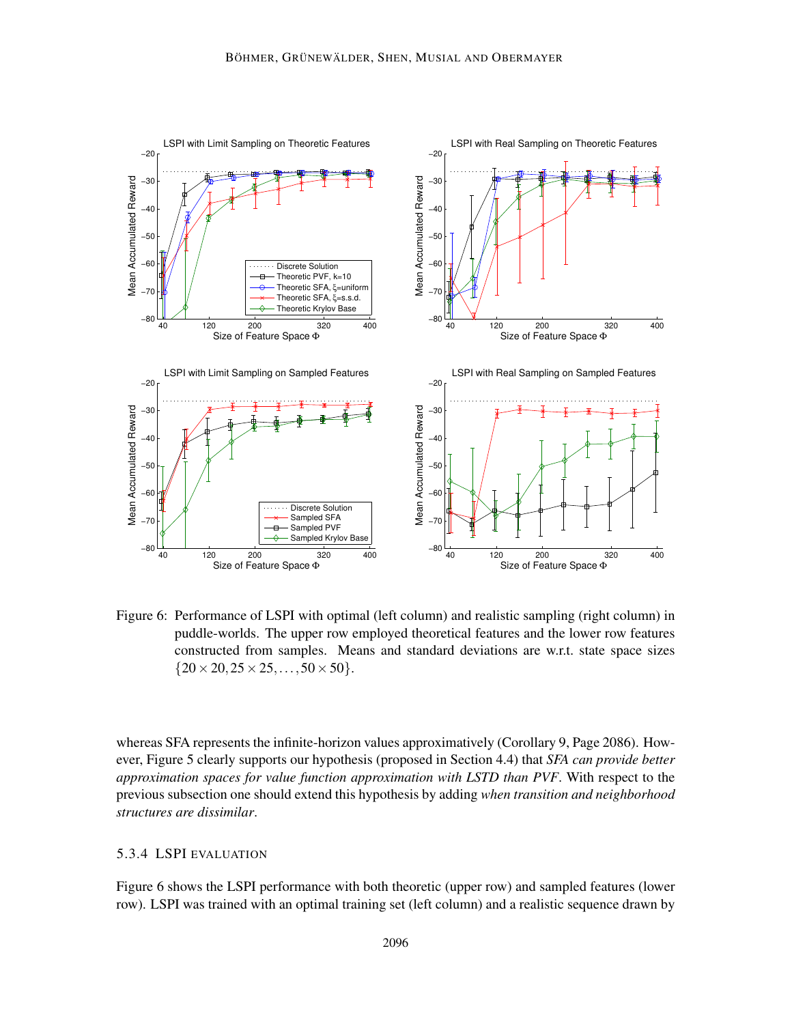

Figure 6: Performance of LSPI with optimal (left column) and realistic sampling (right column) in puddle-worlds. The upper row employed theoretical features and the lower row features constructed from samples. Means and standard deviations are w.r.t. state space sizes  ${20 \times 20, 25 \times 25, \ldots, 50 \times 50}.$ 

whereas SFA represents the infinite-horizon values approximatively (Corollary 9, Page 2086). However, Figure 5 clearly supports our hypothesis (proposed in Section 4.4) that *SFA can provide better approximation spaces for value function approximation with LSTD than PVF*. With respect to the previous subsection one should extend this hypothesis by adding *when transition and neighborhood structures are dissimilar*.

## 5.3.4 LSPI EVALUATION

Figure 6 shows the LSPI performance with both theoretic (upper row) and sampled features (lower row). LSPI was trained with an optimal training set (left column) and a realistic sequence drawn by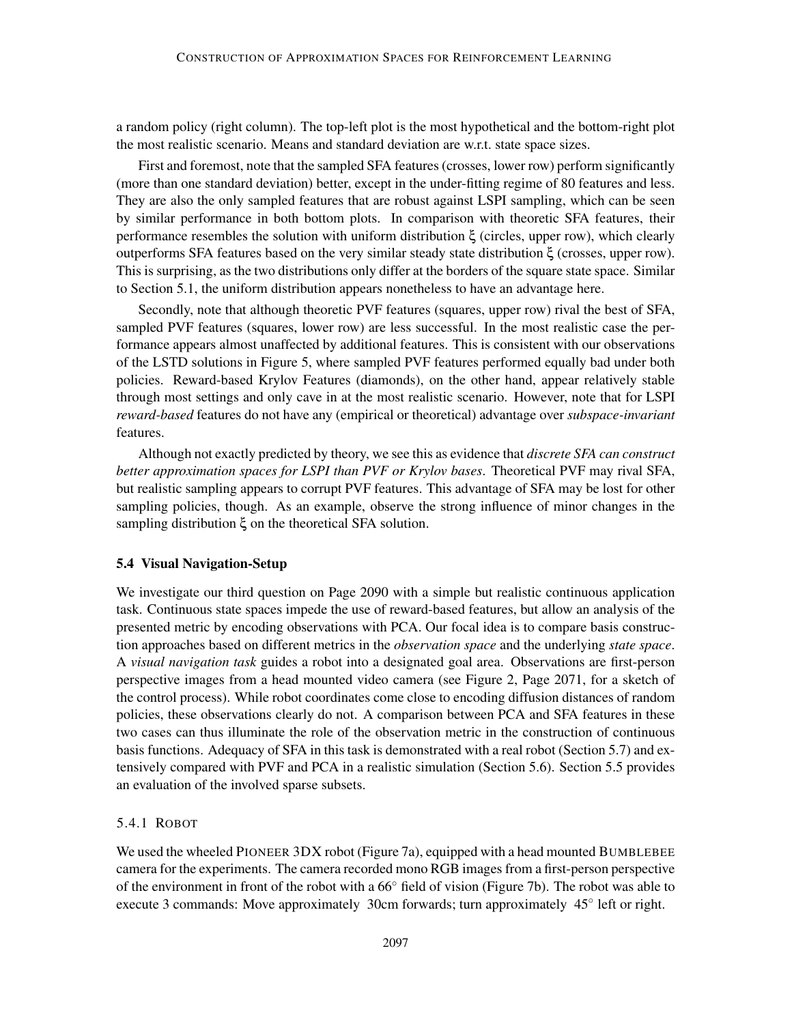a random policy (right column). The top-left plot is the most hypothetical and the bottom-right plot the most realistic scenario. Means and standard deviation are w.r.t. state space sizes.

First and foremost, note that the sampled SFA features (crosses, lower row) perform significantly (more than one standard deviation) better, except in the under-fitting regime of 80 features and less. They are also the only sampled features that are robust against LSPI sampling, which can be seen by similar performance in both bottom plots. In comparison with theoretic SFA features, their performance resembles the solution with uniform distribution ξ (circles, upper row), which clearly outperforms SFA features based on the very similar steady state distribution ξ (crosses, upper row). This is surprising, as the two distributions only differ at the borders of the square state space. Similar to Section 5.1, the uniform distribution appears nonetheless to have an advantage here.

Secondly, note that although theoretic PVF features (squares, upper row) rival the best of SFA, sampled PVF features (squares, lower row) are less successful. In the most realistic case the performance appears almost unaffected by additional features. This is consistent with our observations of the LSTD solutions in Figure 5, where sampled PVF features performed equally bad under both policies. Reward-based Krylov Features (diamonds), on the other hand, appear relatively stable through most settings and only cave in at the most realistic scenario. However, note that for LSPI *reward-based* features do not have any (empirical or theoretical) advantage over *subspace-invariant* features.

Although not exactly predicted by theory, we see this as evidence that *discrete SFA can construct better approximation spaces for LSPI than PVF or Krylov bases*. Theoretical PVF may rival SFA, but realistic sampling appears to corrupt PVF features. This advantage of SFA may be lost for other sampling policies, though. As an example, observe the strong influence of minor changes in the sampling distribution ξ on the theoretical SFA solution.

## 5.4 Visual Navigation-Setup

We investigate our third question on Page 2090 with a simple but realistic continuous application task. Continuous state spaces impede the use of reward-based features, but allow an analysis of the presented metric by encoding observations with PCA. Our focal idea is to compare basis construction approaches based on different metrics in the *observation space* and the underlying *state space*. A *visual navigation task* guides a robot into a designated goal area. Observations are first-person perspective images from a head mounted video camera (see Figure 2, Page 2071, for a sketch of the control process). While robot coordinates come close to encoding diffusion distances of random policies, these observations clearly do not. A comparison between PCA and SFA features in these two cases can thus illuminate the role of the observation metric in the construction of continuous basis functions. Adequacy of SFA in this task is demonstrated with a real robot (Section 5.7) and extensively compared with PVF and PCA in a realistic simulation (Section 5.6). Section 5.5 provides an evaluation of the involved sparse subsets.

#### 5.4.1 ROBOT

We used the wheeled PIONEER 3DX robot (Figure 7a), equipped with a head mounted BUMBLEBEE camera for the experiments. The camera recorded mono RGB images from a first-person perspective of the environment in front of the robot with a 66◦ field of vision (Figure 7b). The robot was able to execute 3 commands: Move approximately 30cm forwards; turn approximately 45° left or right.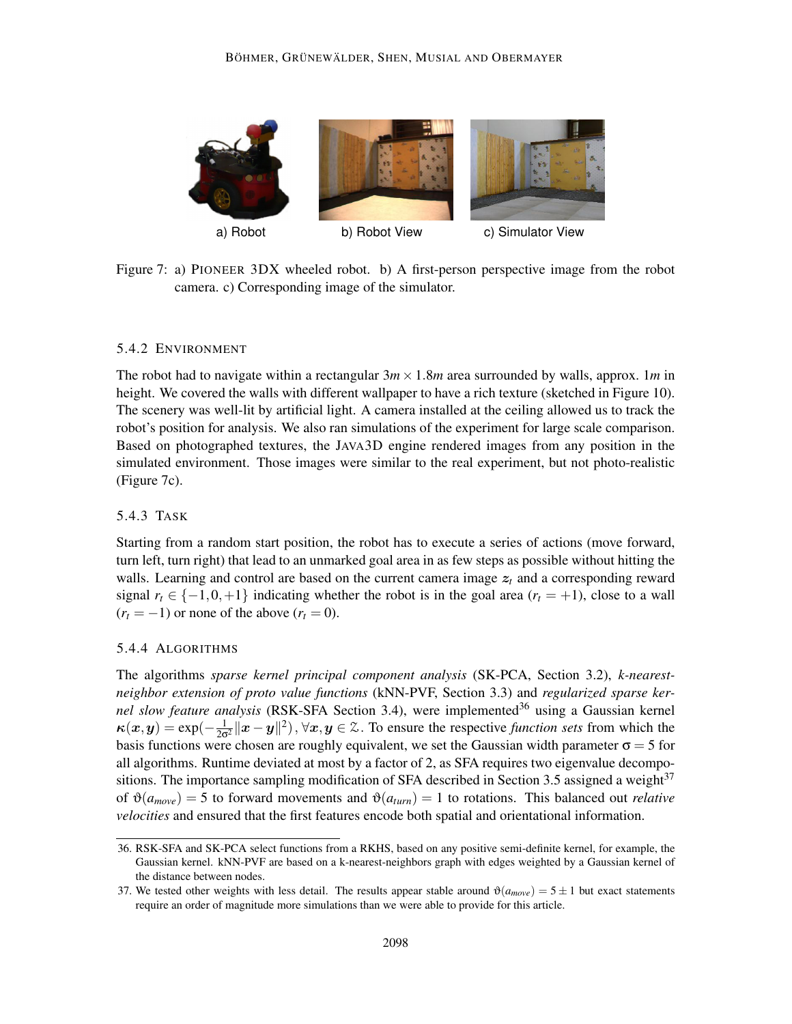

Figure 7: a) PIONEER 3DX wheeled robot. b) A first-person perspective image from the robot camera. c) Corresponding image of the simulator.

## 5.4.2 ENVIRONMENT

The robot had to navigate within a rectangular  $3m \times 1.8m$  area surrounded by walls, approx. 1*m* in height. We covered the walls with different wallpaper to have a rich texture (sketched in Figure 10). The scenery was well-lit by artificial light. A camera installed at the ceiling allowed us to track the robot's position for analysis. We also ran simulations of the experiment for large scale comparison. Based on photographed textures, the JAVA3D engine rendered images from any position in the simulated environment. Those images were similar to the real experiment, but not photo-realistic (Figure 7c).

## 5.4.3 TASK

Starting from a random start position, the robot has to execute a series of actions (move forward, turn left, turn right) that lead to an unmarked goal area in as few steps as possible without hitting the walls. Learning and control are based on the current camera image  $z_t$  and a corresponding reward signal  $r_t \in \{-1, 0, +1\}$  indicating whether the robot is in the goal area  $(r_t = +1)$ , close to a wall  $(r<sub>t</sub> = -1)$  or none of the above  $(r<sub>t</sub> = 0)$ .

## 5.4.4 ALGORITHMS

The algorithms *sparse kernel principal component analysis* (SK-PCA, Section 3.2), *k-nearestneighbor extension of proto value functions* (kNN-PVF, Section 3.3) and *regularized sparse kernel slow feature analysis* (RSK-SFA Section 3.4), were implemented<sup>36</sup> using a Gaussian kernel  $\kappa(x, y) = \exp(-\frac{1}{2\sigma^2}||x - y||^2), \forall x, y \in \mathbb{Z}$ . To ensure the respective *function sets* from which the basis functions were chosen are roughly equivalent, we set the Gaussian width parameter  $\sigma = 5$  for all algorithms. Runtime deviated at most by a factor of 2, as SFA requires two eigenvalue decompositions. The importance sampling modification of SFA described in Section 3.5 assigned a weight $37$ of  $\vartheta(a_{move}) = 5$  to forward movements and  $\vartheta(a_{turn}) = 1$  to rotations. This balanced out *relative velocities* and ensured that the first features encode both spatial and orientational information.

<sup>36.</sup> RSK-SFA and SK-PCA select functions from a RKHS, based on any positive semi-definite kernel, for example, the Gaussian kernel. kNN-PVF are based on a k-nearest-neighbors graph with edges weighted by a Gaussian kernel of the distance between nodes.

<sup>37.</sup> We tested other weights with less detail. The results appear stable around  $\vartheta(a_{move}) = 5 \pm 1$  but exact statements require an order of magnitude more simulations than we were able to provide for this article.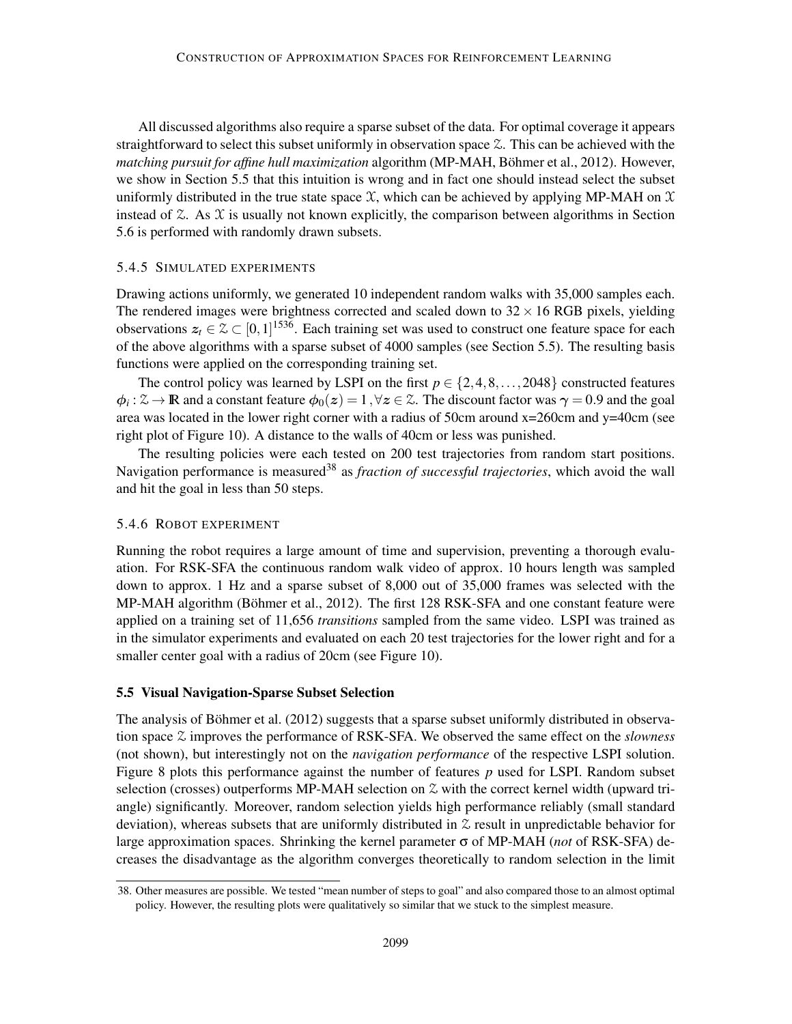All discussed algorithms also require a sparse subset of the data. For optimal coverage it appears straightforward to select this subset uniformly in observation space  $\mathfrak{X}$ . This can be achieved with the *matching pursuit for affine hull maximization* algorithm (MP-MAH, Böhmer et al., 2012). However, we show in Section 5.5 that this intuition is wrong and in fact one should instead select the subset uniformly distributed in the true state space  $X$ , which can be achieved by applying MP-MAH on  $X$ instead of  $\mathfrak{X}$ . As  $\mathfrak{X}$  is usually not known explicitly, the comparison between algorithms in Section 5.6 is performed with randomly drawn subsets.

#### 5.4.5 SIMULATED EXPERIMENTS

Drawing actions uniformly, we generated 10 independent random walks with 35,000 samples each. The rendered images were brightness corrected and scaled down to  $32 \times 16$  RGB pixels, yielding observations  $z_t \in \mathcal{Z} \subset [0,1]^{1536}$ . Each training set was used to construct one feature space for each of the above algorithms with a sparse subset of 4000 samples (see Section 5.5). The resulting basis functions were applied on the corresponding training set.

The control policy was learned by LSPI on the first  $p \in \{2, 4, 8, \ldots, 2048\}$  constructed features  $\phi_i : \mathcal{Z} \to \mathbb{R}$  and a constant feature  $\phi_0(z) = 1$ ,  $\forall z \in \mathcal{Z}$ . The discount factor was  $\gamma = 0.9$  and the goal area was located in the lower right corner with a radius of 50cm around x=260cm and y=40cm (see right plot of Figure 10). A distance to the walls of 40cm or less was punished.

The resulting policies were each tested on 200 test trajectories from random start positions. Navigation performance is measured<sup>38</sup> as *fraction of successful trajectories*, which avoid the wall and hit the goal in less than 50 steps.

#### 5.4.6 ROBOT EXPERIMENT

Running the robot requires a large amount of time and supervision, preventing a thorough evaluation. For RSK-SFA the continuous random walk video of approx. 10 hours length was sampled down to approx. 1 Hz and a sparse subset of 8,000 out of 35,000 frames was selected with the MP-MAH algorithm (Böhmer et al., 2012). The first 128 RSK-SFA and one constant feature were applied on a training set of 11,656 *transitions* sampled from the same video. LSPI was trained as in the simulator experiments and evaluated on each 20 test trajectories for the lower right and for a smaller center goal with a radius of 20cm (see Figure 10).

#### 5.5 Visual Navigation-Sparse Subset Selection

The analysis of Böhmer et al.  $(2012)$  suggests that a sparse subset uniformly distributed in observation space Z improves the performance of RSK-SFA. We observed the same effect on the *slowness* (not shown), but interestingly not on the *navigation performance* of the respective LSPI solution. Figure 8 plots this performance against the number of features *p* used for LSPI. Random subset selection (crosses) outperforms MP-MAH selection on  $\mathcal Z$  with the correct kernel width (upward triangle) significantly. Moreover, random selection yields high performance reliably (small standard deviation), whereas subsets that are uniformly distributed in  $\mathfrak X$  result in unpredictable behavior for large approximation spaces. Shrinking the kernel parameter σ of MP-MAH (*not* of RSK-SFA) decreases the disadvantage as the algorithm converges theoretically to random selection in the limit

<sup>38.</sup> Other measures are possible. We tested "mean number of steps to goal" and also compared those to an almost optimal policy. However, the resulting plots were qualitatively so similar that we stuck to the simplest measure.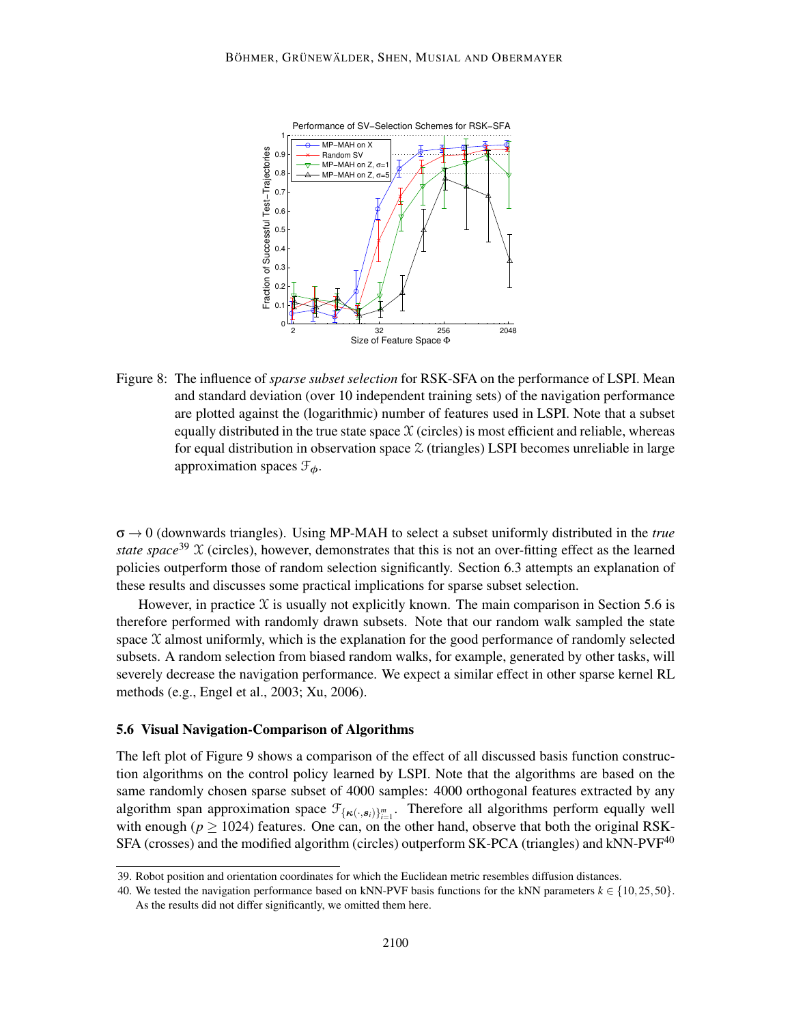

Figure 8: The influence of *sparse subset selection* for RSK-SFA on the performance of LSPI. Mean and standard deviation (over 10 independent training sets) of the navigation performance are plotted against the (logarithmic) number of features used in LSPI. Note that a subset equally distributed in the true state space  $X$  (circles) is most efficient and reliable, whereas for equal distribution in observation space  $\mathfrak{Z}$  (triangles) LSPI becomes unreliable in large approximation spaces  $\mathcal{F}_{\phi}$ .

 $\sigma \rightarrow 0$  (downwards triangles). Using MP-MAH to select a subset uniformly distributed in the *true state space*<sup>39</sup>  $\chi$  (circles), however, demonstrates that this is not an over-fitting effect as the learned policies outperform those of random selection significantly. Section 6.3 attempts an explanation of these results and discusses some practical implications for sparse subset selection.

However, in practice  $\chi$  is usually not explicitly known. The main comparison in Section 5.6 is therefore performed with randomly drawn subsets. Note that our random walk sampled the state space  $\mathfrak X$  almost uniformly, which is the explanation for the good performance of randomly selected subsets. A random selection from biased random walks, for example, generated by other tasks, will severely decrease the navigation performance. We expect a similar effect in other sparse kernel RL methods (e.g., Engel et al., 2003; Xu, 2006).

#### 5.6 Visual Navigation-Comparison of Algorithms

The left plot of Figure 9 shows a comparison of the effect of all discussed basis function construction algorithms on the control policy learned by LSPI. Note that the algorithms are based on the same randomly chosen sparse subset of 4000 samples: 4000 orthogonal features extracted by any algorithm span approximation space  $\mathcal{F}_{\{\kappa(\cdot,s_i)\}_{i=1}^m}$ . Therefore all algorithms perform equally well with enough ( $p \ge 1024$ ) features. One can, on the other hand, observe that both the original RSK-SFA (crosses) and the modified algorithm (circles) outperform  $SK-PCA$  (triangles) and kNN-PVF<sup>40</sup>

<sup>39.</sup> Robot position and orientation coordinates for which the Euclidean metric resembles diffusion distances.

<sup>40.</sup> We tested the navigation performance based on kNN-PVF basis functions for the kNN parameters  $k \in \{10, 25, 50\}$ . As the results did not differ significantly, we omitted them here.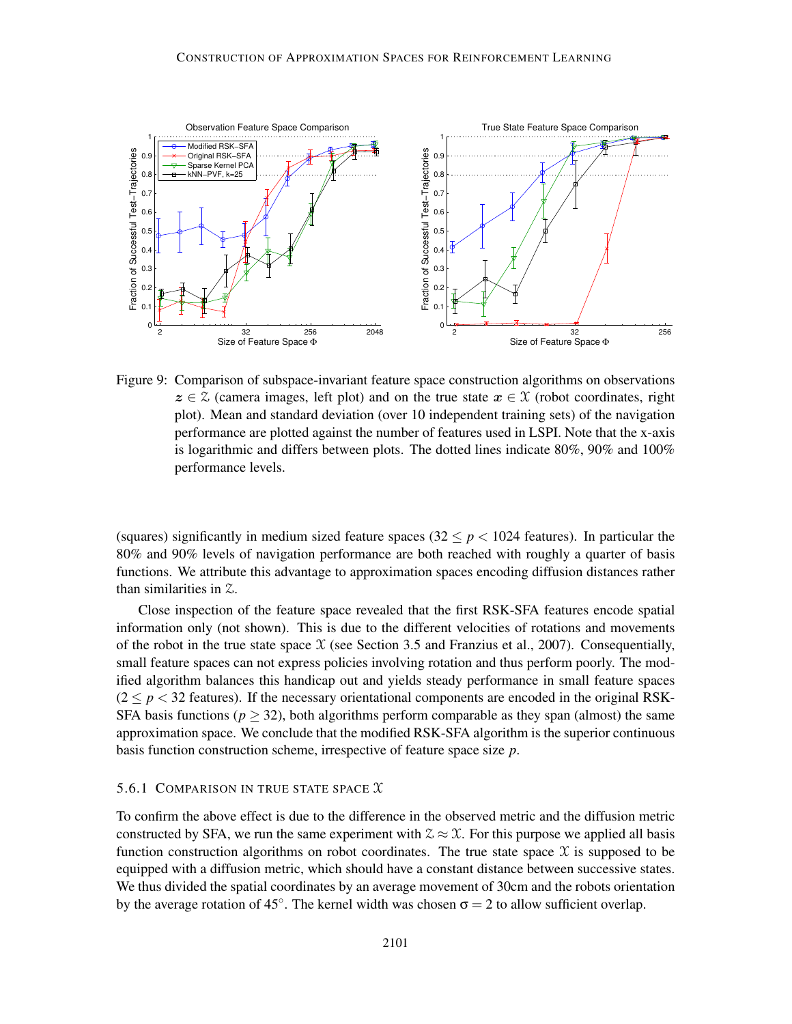

Figure 9: Comparison of subspace-invariant feature space construction algorithms on observations  $z \in \mathcal{Z}$  (camera images, left plot) and on the true state  $x \in \mathcal{X}$  (robot coordinates, right plot). Mean and standard deviation (over 10 independent training sets) of the navigation performance are plotted against the number of features used in LSPI. Note that the x-axis is logarithmic and differs between plots. The dotted lines indicate 80%, 90% and 100% performance levels.

(squares) significantly in medium sized feature spaces  $(32 \le p < 1024$  features). In particular the 80% and 90% levels of navigation performance are both reached with roughly a quarter of basis functions. We attribute this advantage to approximation spaces encoding diffusion distances rather than similarities in Z.

Close inspection of the feature space revealed that the first RSK-SFA features encode spatial information only (not shown). This is due to the different velocities of rotations and movements of the robot in the true state space  $X$  (see Section 3.5 and Franzius et al., 2007). Consequentially, small feature spaces can not express policies involving rotation and thus perform poorly. The modified algorithm balances this handicap out and yields steady performance in small feature spaces  $(2 \le p < 32$  features). If the necessary orientational components are encoded in the original RSK-SFA basis functions ( $p \geq 32$ ), both algorithms perform comparable as they span (almost) the same approximation space. We conclude that the modified RSK-SFA algorithm is the superior continuous basis function construction scheme, irrespective of feature space size *p*.

## 5.6.1 COMPARISON IN TRUE STATE SPACE  $\mathfrak X$

To confirm the above effect is due to the difference in the observed metric and the diffusion metric constructed by SFA, we run the same experiment with  $\mathcal{Z} \approx \mathcal{X}$ . For this purpose we applied all basis function construction algorithms on robot coordinates. The true state space  $\mathfrak X$  is supposed to be equipped with a diffusion metric, which should have a constant distance between successive states. We thus divided the spatial coordinates by an average movement of 30cm and the robots orientation by the average rotation of 45°. The kernel width was chosen  $\sigma = 2$  to allow sufficient overlap.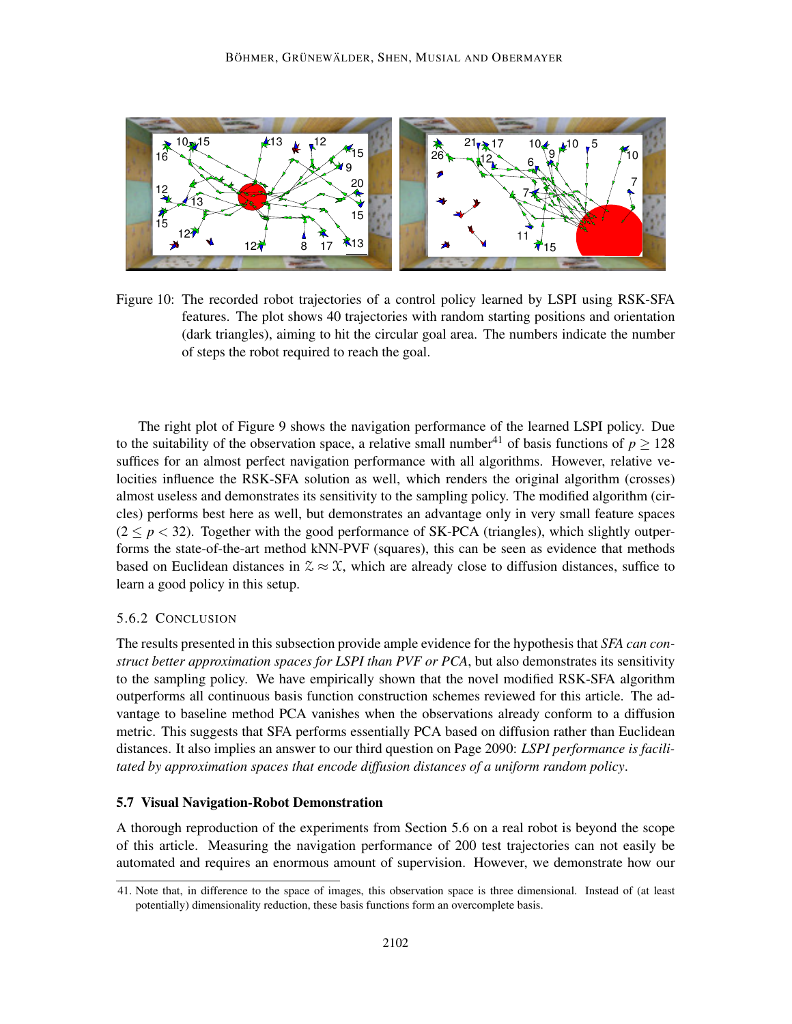

Figure 10: The recorded robot trajectories of a control policy learned by LSPI using RSK-SFA features. The plot shows 40 trajectories with random starting positions and orientation (dark triangles), aiming to hit the circular goal area. The numbers indicate the number of steps the robot required to reach the goal.

The right plot of Figure 9 shows the navigation performance of the learned LSPI policy. Due to the suitability of the observation space, a relative small number<sup>41</sup> of basis functions of  $p > 128$ suffices for an almost perfect navigation performance with all algorithms. However, relative velocities influence the RSK-SFA solution as well, which renders the original algorithm (crosses) almost useless and demonstrates its sensitivity to the sampling policy. The modified algorithm (circles) performs best here as well, but demonstrates an advantage only in very small feature spaces  $(2 \le p \le 32)$ . Together with the good performance of SK-PCA (triangles), which slightly outperforms the state-of-the-art method kNN-PVF (squares), this can be seen as evidence that methods based on Euclidean distances in  $\mathcal{Z} \approx \mathcal{X}$ , which are already close to diffusion distances, suffice to learn a good policy in this setup.

## 5.6.2 CONCLUSION

The results presented in this subsection provide ample evidence for the hypothesis that *SFA can construct better approximation spaces for LSPI than PVF or PCA*, but also demonstrates its sensitivity to the sampling policy. We have empirically shown that the novel modified RSK-SFA algorithm outperforms all continuous basis function construction schemes reviewed for this article. The advantage to baseline method PCA vanishes when the observations already conform to a diffusion metric. This suggests that SFA performs essentially PCA based on diffusion rather than Euclidean distances. It also implies an answer to our third question on Page 2090: *LSPI performance is facilitated by approximation spaces that encode diffusion distances of a uniform random policy*.

## 5.7 Visual Navigation-Robot Demonstration

A thorough reproduction of the experiments from Section 5.6 on a real robot is beyond the scope of this article. Measuring the navigation performance of 200 test trajectories can not easily be automated and requires an enormous amount of supervision. However, we demonstrate how our

<sup>41.</sup> Note that, in difference to the space of images, this observation space is three dimensional. Instead of (at least potentially) dimensionality reduction, these basis functions form an overcomplete basis.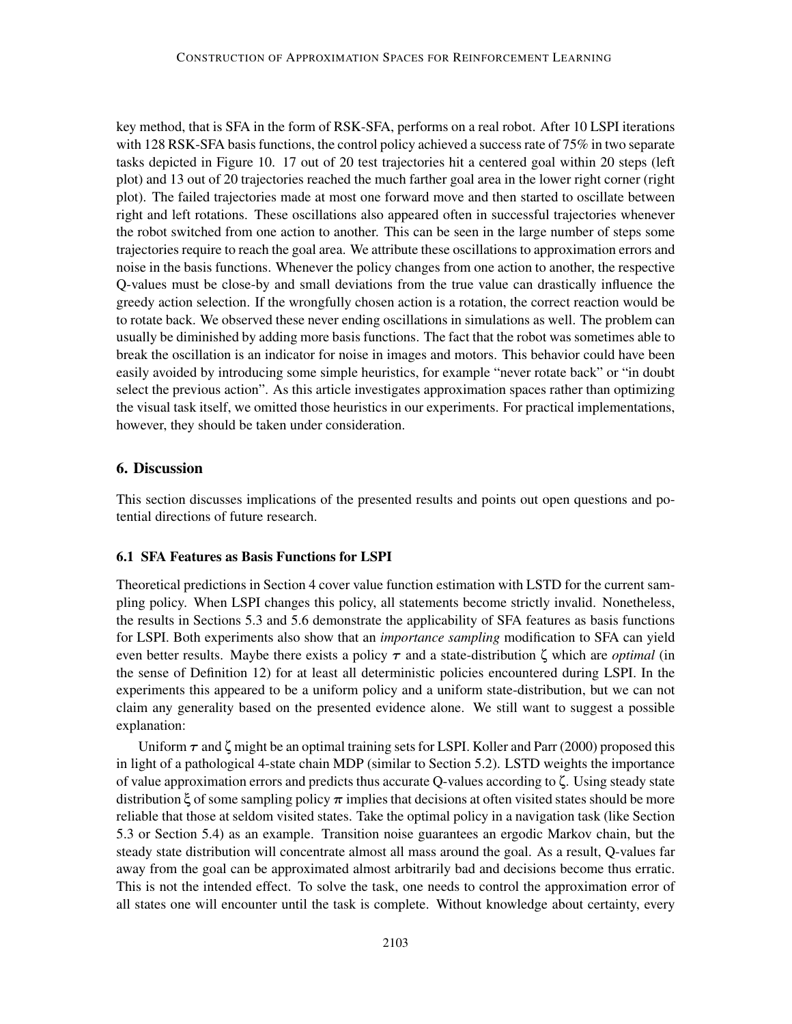key method, that is SFA in the form of RSK-SFA, performs on a real robot. After 10 LSPI iterations with 128 RSK-SFA basis functions, the control policy achieved a success rate of  $75\%$  in two separate tasks depicted in Figure 10. 17 out of 20 test trajectories hit a centered goal within 20 steps (left plot) and 13 out of 20 trajectories reached the much farther goal area in the lower right corner (right plot). The failed trajectories made at most one forward move and then started to oscillate between right and left rotations. These oscillations also appeared often in successful trajectories whenever the robot switched from one action to another. This can be seen in the large number of steps some trajectories require to reach the goal area. We attribute these oscillations to approximation errors and noise in the basis functions. Whenever the policy changes from one action to another, the respective Q-values must be close-by and small deviations from the true value can drastically influence the greedy action selection. If the wrongfully chosen action is a rotation, the correct reaction would be to rotate back. We observed these never ending oscillations in simulations as well. The problem can usually be diminished by adding more basis functions. The fact that the robot was sometimes able to break the oscillation is an indicator for noise in images and motors. This behavior could have been easily avoided by introducing some simple heuristics, for example "never rotate back" or "in doubt select the previous action". As this article investigates approximation spaces rather than optimizing the visual task itself, we omitted those heuristics in our experiments. For practical implementations, however, they should be taken under consideration.

## 6. Discussion

This section discusses implications of the presented results and points out open questions and potential directions of future research.

#### 6.1 SFA Features as Basis Functions for LSPI

Theoretical predictions in Section 4 cover value function estimation with LSTD for the current sampling policy. When LSPI changes this policy, all statements become strictly invalid. Nonetheless, the results in Sections 5.3 and 5.6 demonstrate the applicability of SFA features as basis functions for LSPI. Both experiments also show that an *importance sampling* modification to SFA can yield even better results. Maybe there exists a policy  $\tau$  and a state-distribution  $\zeta$  which are *optimal* (in the sense of Definition 12) for at least all deterministic policies encountered during LSPI. In the experiments this appeared to be a uniform policy and a uniform state-distribution, but we can not claim any generality based on the presented evidence alone. We still want to suggest a possible explanation:

Uniform  $\tau$  and  $\zeta$  might be an optimal training sets for LSPI. Koller and Parr (2000) proposed this in light of a pathological 4-state chain MDP (similar to Section 5.2). LSTD weights the importance of value approximation errors and predicts thus accurate Q-values according to ζ. Using steady state distribution  $\xi$  of some sampling policy  $\pi$  implies that decisions at often visited states should be more reliable that those at seldom visited states. Take the optimal policy in a navigation task (like Section 5.3 or Section 5.4) as an example. Transition noise guarantees an ergodic Markov chain, but the steady state distribution will concentrate almost all mass around the goal. As a result, Q-values far away from the goal can be approximated almost arbitrarily bad and decisions become thus erratic. This is not the intended effect. To solve the task, one needs to control the approximation error of all states one will encounter until the task is complete. Without knowledge about certainty, every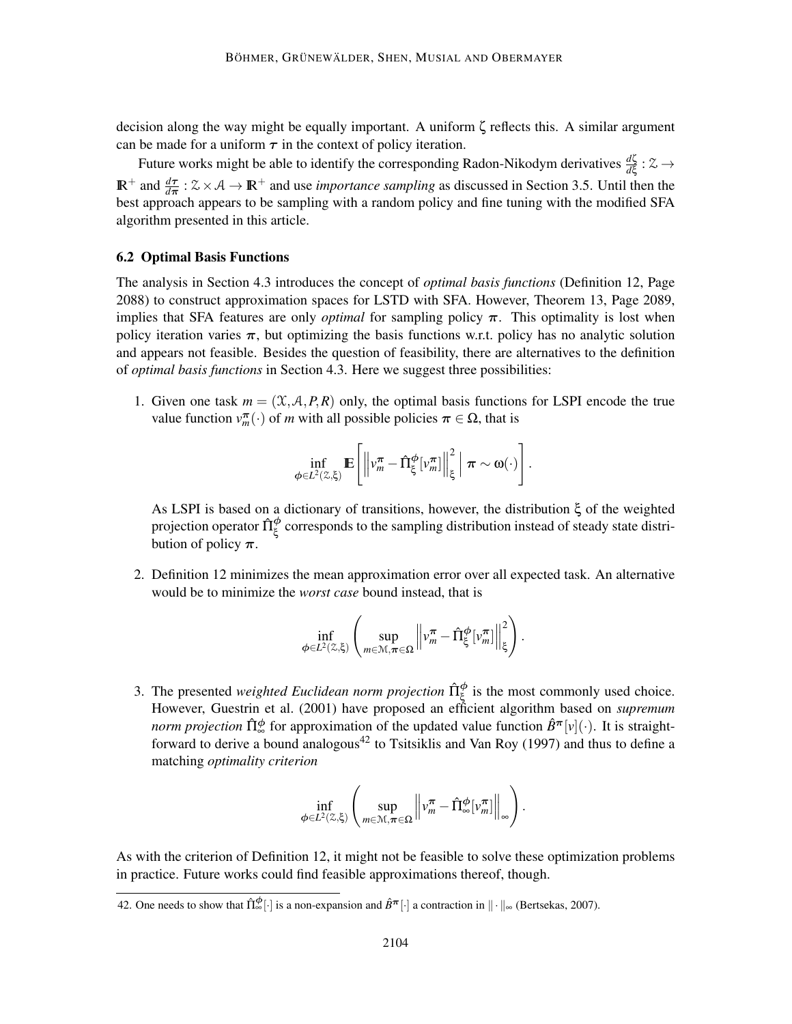decision along the way might be equally important. A uniform ζ reflects this. A similar argument can be made for a uniform  $\tau$  in the context of policy iteration.

Future works might be able to identify the corresponding Radon-Nikodym derivatives  $\frac{d\zeta}{d\xi}$ :  $\approx \rightarrow$  $\mathbb{R}^+$  and  $\frac{d\tau}{d\pi}$  :  $\× \mathcal{A} \to \mathbb{R}^+$  and use *importance sampling* as discussed in Section 3.5. Until then the best approach appears to be sampling with a random policy and fine tuning with the modified SFA algorithm presented in this article.

## 6.2 Optimal Basis Functions

The analysis in Section 4.3 introduces the concept of *optimal basis functions* (Definition 12, Page 2088) to construct approximation spaces for LSTD with SFA. However, Theorem 13, Page 2089, implies that SFA features are only *optimal* for sampling policy  $\pi$ . This optimality is lost when policy iteration varies  $\pi$ , but optimizing the basis functions w.r.t. policy has no analytic solution and appears not feasible. Besides the question of feasibility, there are alternatives to the definition of *optimal basis functions* in Section 4.3. Here we suggest three possibilities:

1. Given one task  $m = (\mathcal{X}, \mathcal{A}, P, R)$  only, the optimal basis functions for LSPI encode the true value function  $v_m^{\pi}(\cdot)$  of *m* with all possible policies  $\pi \in Ω$ , that is

$$
\inf_{\phi \in L^2(\mathbb{Z},\xi)} \mathbb{E}\left[\left\|\nu_m^{\boldsymbol{\pi}} - \hat{\Pi}_{\xi}^{\boldsymbol{\phi}}[\nu_m^{\boldsymbol{\pi}}]\right\|_{\xi}^2 \, \middle|\, \boldsymbol{\pi} \sim \boldsymbol{\omega}(\cdot)\right].
$$

As LSPI is based on a dictionary of transitions, however, the distribution ξ of the weighted projection operator  $\hat{\Pi}_{\xi}^{\phi}$  corresponds to the sampling distribution instead of steady state distribution of policy  $\pi$ .

2. Definition 12 minimizes the mean approximation error over all expected task. An alternative would be to minimize the *worst case* bound instead, that is

$$
\inf_{\phi\in L^2(\mathbb{Z},\xi)}\left(\sup_{m\in\mathcal{M},\pi\in\Omega}\left\|v_m^\pi-\hat{\Pi}^{\phi}_{\xi}[v_m^\pi]\right\|^2_{\xi}\right).
$$

3. The presented *weighted Euclidean norm projection*  $\hat{\Pi}_{\xi}^{\phi}$  is the most commonly used choice. However, Guestrin et al. (2001) have proposed an efficient algorithm based on *supremum norm projection*  $\hat{\Pi}_{\infty}^{\phi}$  for approximation of the updated value function  $\hat{B}^{\pi}[\nu](\cdot)$ . It is straightforward to derive a bound analogous<sup>42</sup> to Tsitsiklis and Van Roy (1997) and thus to define a matching *optimality criterion*

$$
\inf_{\phi \in L^2(\mathbb{Z},\xi)} \left( \sup_{m \in \mathcal{M}, \pi \in \Omega} \left\| v_m^{\pi} - \hat{\Pi}_{\infty}^{\phi}[v_m^{\pi}] \right\|_{\infty} \right).
$$

As with the criterion of Definition 12, it might not be feasible to solve these optimization problems in practice. Future works could find feasible approximations thereof, though.

<sup>42.</sup> One needs to show that  $\hat{\Pi}_{\infty}^{\phi}[\cdot]$  is a non-expansion and  $\hat{B}^{\pi}[\cdot]$  a contraction in  $\|\cdot\|_{\infty}$  (Bertsekas, 2007).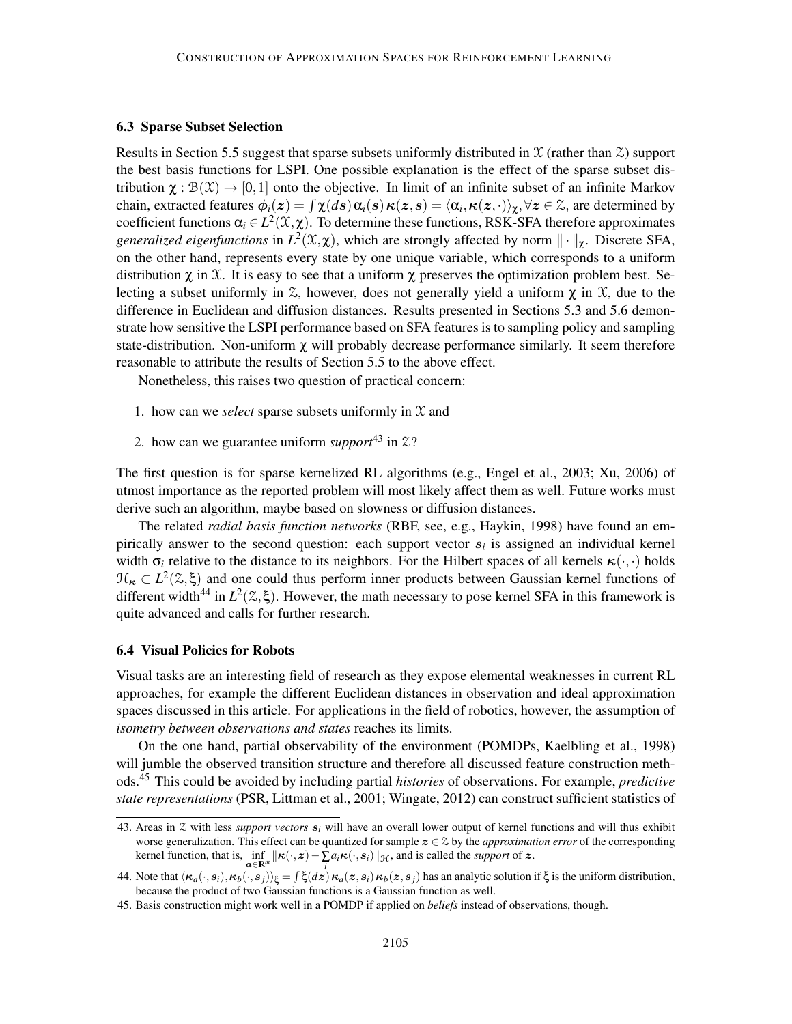#### 6.3 Sparse Subset Selection

Results in Section 5.5 suggest that sparse subsets uniformly distributed in  $\mathfrak X$  (rather than  $\mathfrak X$ ) support the best basis functions for LSPI. One possible explanation is the effect of the sparse subset distribution  $\chi : \mathcal{B}(\mathcal{X}) \to [0,1]$  onto the objective. In limit of an infinite subset of an infinite Markov chain, extracted features  $\phi_i(z) = \int \chi(ds) \alpha_i(s) \kappa(z,s) = \langle \alpha_i, \kappa(z,\cdot) \rangle_{\chi}, \forall z \in \mathcal{Z},$  are determined by coefficient functions  $\alpha_i \in L^2(\mathfrak{X}, \chi)$ . To determine these functions, RSK-SFA therefore approximates *generalized eigenfunctions* in  $L^2(\mathfrak{X}, \chi)$ , which are strongly affected by norm  $\|\cdot\|_{\chi}$ . Discrete SFA, on the other hand, represents every state by one unique variable, which corresponds to a uniform distribution  $\chi$  in X. It is easy to see that a uniform  $\chi$  preserves the optimization problem best. Selecting a subset uniformly in  $\mathcal{Z}$ , however, does not generally yield a uniform  $\chi$  in  $\mathcal{X}$ , due to the difference in Euclidean and diffusion distances. Results presented in Sections 5.3 and 5.6 demonstrate how sensitive the LSPI performance based on SFA features is to sampling policy and sampling state-distribution. Non-uniform  $\chi$  will probably decrease performance similarly. It seem therefore reasonable to attribute the results of Section 5.5 to the above effect.

Nonetheless, this raises two question of practical concern:

- 1. how can we *select* sparse subsets uniformly in  $\mathfrak X$  and
- 2. how can we guarantee uniform *support*<sup>43</sup> in  $\mathfrak{Z}$ ?

The first question is for sparse kernelized RL algorithms (e.g., Engel et al., 2003; Xu, 2006) of utmost importance as the reported problem will most likely affect them as well. Future works must derive such an algorithm, maybe based on slowness or diffusion distances.

The related *radial basis function networks* (RBF, see, e.g., Haykin, 1998) have found an empirically answer to the second question: each support vector s*<sup>i</sup>* is assigned an individual kernel width  $\sigma_i$  relative to the distance to its neighbors. For the Hilbert spaces of all kernels  $\kappa(\cdot,\cdot)$  holds  $\mathcal{H}_{\kappa} \subset L^2(\mathbb{Z}, \xi)$  and one could thus perform inner products between Gaussian kernel functions of different width<sup>44</sup> in  $L^2(\mathbb{Z}, \xi)$ . However, the math necessary to pose kernel SFA in this framework is quite advanced and calls for further research.

#### 6.4 Visual Policies for Robots

Visual tasks are an interesting field of research as they expose elemental weaknesses in current RL approaches, for example the different Euclidean distances in observation and ideal approximation spaces discussed in this article. For applications in the field of robotics, however, the assumption of *isometry between observations and states* reaches its limits.

On the one hand, partial observability of the environment (POMDPs, Kaelbling et al., 1998) will jumble the observed transition structure and therefore all discussed feature construction methods.<sup>45</sup> This could be avoided by including partial *histories* of observations. For example, *predictive state representations* (PSR, Littman et al., 2001; Wingate, 2012) can construct sufficient statistics of

<sup>43.</sup> Areas in Z with less *support vectors* s*<sup>i</sup>* will have an overall lower output of kernel functions and will thus exhibit worse generalization. This effect can be quantized for sample  $z \in \mathcal{Z}$  by the *approximation error* of the corresponding kernel function, that is,  $\inf_{\mathbf{\alpha} \in \mathbb{R}^m} ||\mathbf{\kappa}(\cdot, \mathbf{z}) - \sum_i a_i \mathbf{\kappa}(\cdot, \mathbf{s}_i)||_{\mathcal{H}}$ , and is called the *support* of z.

<sup>44.</sup> Note that  $\langle \kappa_a(\cdot,s_i), \kappa_b(\cdot,s_j) \rangle_{\xi} = \int \xi(dz) \kappa_a(z,s_i) \kappa_b(z,s_j)$  has an analytic solution if  $\xi$  is the uniform distribution, because the product of two Gaussian functions is a Gaussian function as well.

<sup>45.</sup> Basis construction might work well in a POMDP if applied on *beliefs* instead of observations, though.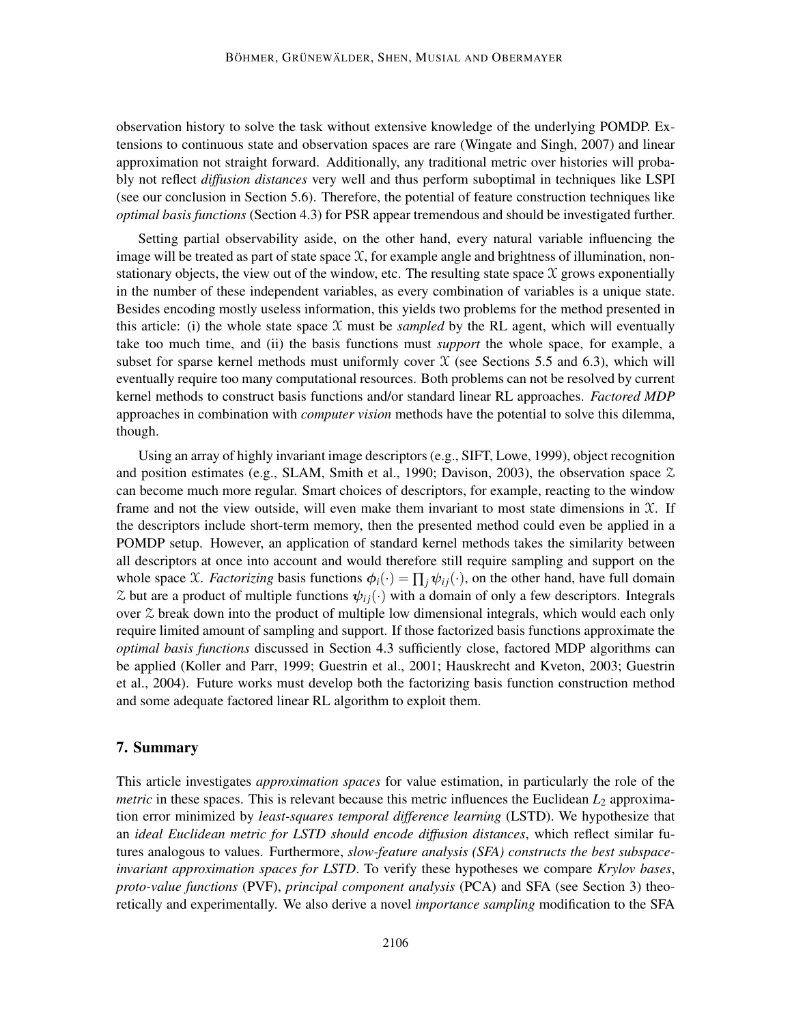observation history to solve the task without extensive knowledge of the underlying POMDP. Extensions to continuous state and observation spaces are rare (Wingate and Singh, 2007) and linear approximation not straight forward. Additionally, any traditional metric over histories will probably not reflect *diffusion distances* very well and thus perform suboptimal in techniques like LSPI (see our conclusion in Section 5.6). Therefore, the potential of feature construction techniques like *optimal basis functions* (Section 4.3) for PSR appear tremendous and should be investigated further.

Setting partial observability aside, on the other hand, every natural variable influencing the image will be treated as part of state space  $X$ , for example angle and brightness of illumination, nonstationary objects, the view out of the window, etc. The resulting state space  $\chi$  grows exponentially in the number of these independent variables, as every combination of variables is a unique state. Besides encoding mostly useless information, this yields two problems for the method presented in this article: (i) the whole state space  $X$  must be *sampled* by the RL agent, which will eventually take too much time, and (ii) the basis functions must *support* the whole space, for example, a subset for sparse kernel methods must uniformly cover  $X$  (see Sections 5.5 and 6.3), which will eventually require too many computational resources. Both problems can not be resolved by current kernel methods to construct basis functions and/or standard linear RL approaches. *Factored MDP* approaches in combination with *computer vision* methods have the potential to solve this dilemma, though.

Using an array of highly invariant image descriptors (e.g., SIFT, Lowe, 1999), object recognition and position estimates (e.g., SLAM, Smith et al., 1990; Davison, 2003), the observation space  $\chi$ can become much more regular. Smart choices of descriptors, for example, reacting to the window frame and not the view outside, will even make them invariant to most state dimensions in  $\mathfrak{X}$ . If the descriptors include short-term memory, then the presented method could even be applied in a POMDP setup. However, an application of standard kernel methods takes the similarity between all descriptors at once into account and would therefore still require sampling and support on the whole space X. *Factorizing* basis functions  $\phi_i(\cdot) = \prod_i \psi_{ij}(\cdot)$ , on the other hand, have full domain  $\&$  but are a product of multiple functions  $\psi_{ii}(\cdot)$  with a domain of only a few descriptors. Integrals over  $\chi$  break down into the product of multiple low dimensional integrals, which would each only require limited amount of sampling and support. If those factorized basis functions approximate the *optimal basis functions* discussed in Section 4.3 sufficiently close, factored MDP algorithms can be applied (Koller and Parr, 1999; Guestrin et al., 2001; Hauskrecht and Kveton, 2003; Guestrin et al., 2004). Future works must develop both the factorizing basis function construction method and some adequate factored linear RL algorithm to exploit them.

## 7. Summary

This article investigates *approximation spaces* for value estimation, in particularly the role of the *metric* in these spaces. This is relevant because this metric influences the Euclidean *L*<sup>2</sup> approximation error minimized by *least-squares temporal difference learning* (LSTD). We hypothesize that an *ideal Euclidean metric for LSTD should encode diffusion distances*, which reflect similar futures analogous to values. Furthermore, *slow-feature analysis (SFA) constructs the best subspaceinvariant approximation spaces for LSTD*. To verify these hypotheses we compare *Krylov bases*, *proto-value functions* (PVF), *principal component analysis* (PCA) and SFA (see Section 3) theoretically and experimentally. We also derive a novel *importance sampling* modification to the SFA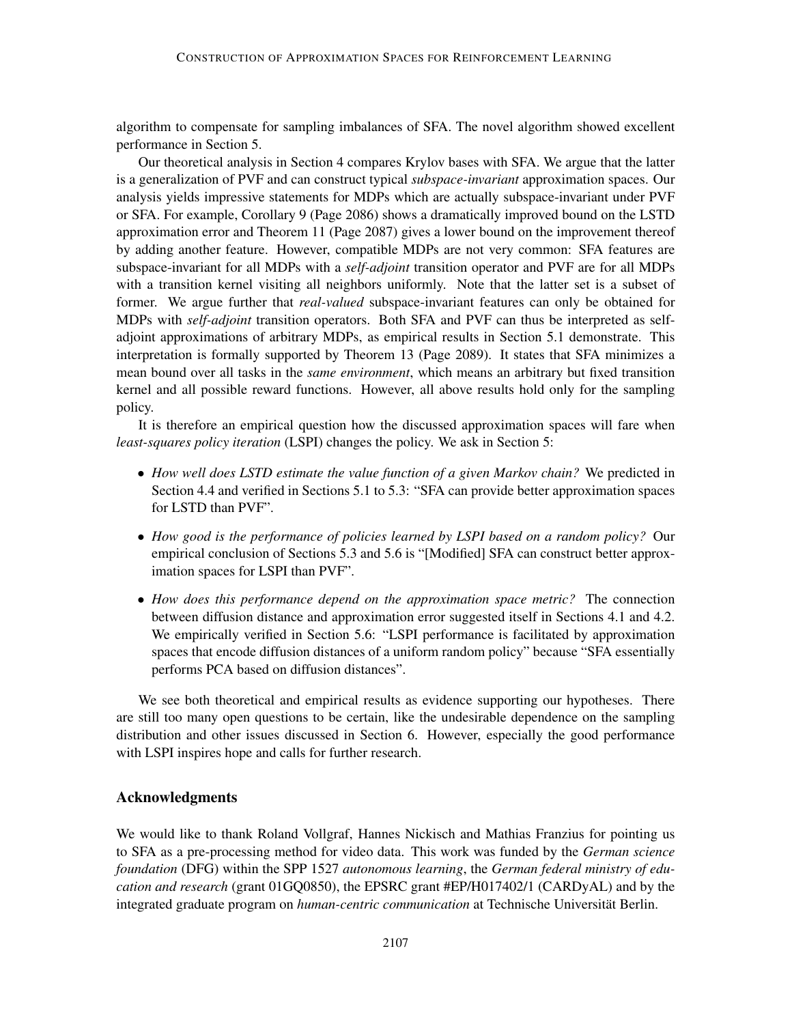algorithm to compensate for sampling imbalances of SFA. The novel algorithm showed excellent performance in Section 5.

Our theoretical analysis in Section 4 compares Krylov bases with SFA. We argue that the latter is a generalization of PVF and can construct typical *subspace-invariant* approximation spaces. Our analysis yields impressive statements for MDPs which are actually subspace-invariant under PVF or SFA. For example, Corollary 9 (Page 2086) shows a dramatically improved bound on the LSTD approximation error and Theorem 11 (Page 2087) gives a lower bound on the improvement thereof by adding another feature. However, compatible MDPs are not very common: SFA features are subspace-invariant for all MDPs with a *self-adjoint* transition operator and PVF are for all MDPs with a transition kernel visiting all neighbors uniformly. Note that the latter set is a subset of former. We argue further that *real-valued* subspace-invariant features can only be obtained for MDPs with *self-adjoint* transition operators. Both SFA and PVF can thus be interpreted as selfadjoint approximations of arbitrary MDPs, as empirical results in Section 5.1 demonstrate. This interpretation is formally supported by Theorem 13 (Page 2089). It states that SFA minimizes a mean bound over all tasks in the *same environment*, which means an arbitrary but fixed transition kernel and all possible reward functions. However, all above results hold only for the sampling policy.

It is therefore an empirical question how the discussed approximation spaces will fare when *least-squares policy iteration* (LSPI) changes the policy. We ask in Section 5:

- *How well does LSTD estimate the value function of a given Markov chain?* We predicted in Section 4.4 and verified in Sections 5.1 to 5.3: "SFA can provide better approximation spaces for LSTD than PVF".
- *How good is the performance of policies learned by LSPI based on a random policy?* Our empirical conclusion of Sections 5.3 and 5.6 is "[Modified] SFA can construct better approximation spaces for LSPI than PVF".
- *How does this performance depend on the approximation space metric?* The connection between diffusion distance and approximation error suggested itself in Sections 4.1 and 4.2. We empirically verified in Section 5.6: "LSPI performance is facilitated by approximation spaces that encode diffusion distances of a uniform random policy" because "SFA essentially performs PCA based on diffusion distances".

We see both theoretical and empirical results as evidence supporting our hypotheses. There are still too many open questions to be certain, like the undesirable dependence on the sampling distribution and other issues discussed in Section 6. However, especially the good performance with LSPI inspires hope and calls for further research.

## Acknowledgments

We would like to thank Roland Vollgraf, Hannes Nickisch and Mathias Franzius for pointing us to SFA as a pre-processing method for video data. This work was funded by the *German science foundation* (DFG) within the SPP 1527 *autonomous learning*, the *German federal ministry of education and research* (grant 01GQ0850), the EPSRC grant #EP/H017402/1 (CARDyAL) and by the integrated graduate program on *human-centric communication* at Technische Universitat Berlin. ¨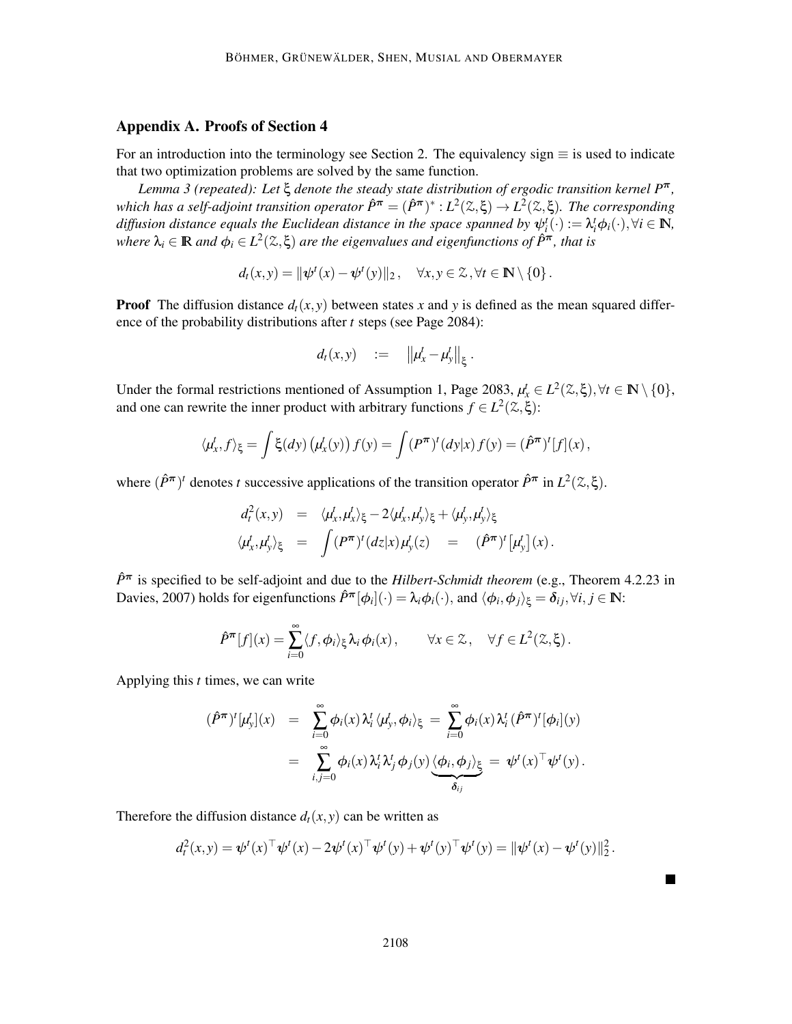## Appendix A. Proofs of Section 4

For an introduction into the terminology see Section 2. The equivalency sign  $\equiv$  is used to indicate that two optimization problems are solved by the same function.

*Lemma 3 (repeated): Let* ξ *denote the steady state distribution of ergodic transition kernel P*π*,*  $which has a self-adjoint transition operator \n\hat{P}^{\pi} = (\hat{P}^{\pi})^* : L^2(\mathbb{Z}, \xi) \to L^2(\mathbb{Z}, \xi)$ . The corresponding *diffusion distance equals the Euclidean distance in the space spanned by*  $\psi_i^t(\cdot) := \lambda_i^t \phi_i(\cdot), \forall i \in \mathbb{N}$ ,  $\omega$ *where*  $\lambda_i \in \mathbb{R}$  and  $\phi_i \in L^2(\mathbb{Z}, \xi)$  are the eigenvalues and eigenfunctions of  $\hat{P}^{\pi}$ , that is

$$
d_t(x,y) = \|\psi^t(x) - \psi^t(y)\|_2, \quad \forall x, y \in \mathcal{Z}, \forall t \in \mathbb{N} \setminus \{0\}.
$$

**Proof** The diffusion distance  $d_t(x, y)$  between states x and y is defined as the mean squared difference of the probability distributions after *t* steps (see Page 2084):

$$
d_t(x,y) \quad := \quad \left\| \mu_x^t - \mu_y^t \right\|_{\xi}.
$$

Under the formal restrictions mentioned of Assumption 1, Page 2083,  $\mu_x^t \in L^2(\mathbb{Z}, \xi), \forall t \in \mathbb{N} \setminus \{0\},$ and one can rewrite the inner product with arbitrary functions  $f \in L^2(\mathbb{Z}, \xi)$ :

$$
\langle \mu_x^t, f \rangle_{\xi} = \int \xi(dy) \left( \mu_x^t(y) \right) f(y) = \int (P^{\pi})^t (dy | x) f(y) = (\hat{P}^{\pi})^t [f](x),
$$

where  $(\hat{P}^{\pi})^t$  denotes *t* successive applications of the transition operator  $\hat{P}^{\pi}$  in  $L^2(\mathcal{Z}, \xi)$ .

$$
d_t^2(x,y) = \langle \mu_x^t, \mu_x^t \rangle_{\xi} - 2 \langle \mu_x^t, \mu_y^t \rangle_{\xi} + \langle \mu_y^t, \mu_y^t \rangle_{\xi}
$$
  

$$
\langle \mu_x^t, \mu_y^t \rangle_{\xi} = \int (P^{\pi})^t (dz|x) \mu_y^t(z) = (\hat{P}^{\pi})^t [\mu_y^t](x).
$$

 $\hat{P}^{\pi}$  is specified to be self-adjoint and due to the *Hilbert-Schmidt theorem* (e.g., Theorem 4.2.23 in Davies, 2007) holds for eigenfunctions  $\hat{P}^{\pi}[\phi_i](\cdot) = \lambda_i \phi_i(\cdot)$ , and  $\langle \phi_i, \phi_j \rangle_{\xi} = \delta_{ij}, \forall i, j \in \mathbb{N}$ :

$$
\hat{P}^{\pi}[f](x) = \sum_{i=0}^{\infty} \langle f, \phi_i \rangle_{\xi} \lambda_i \phi_i(x), \qquad \forall x \in \mathcal{Z}, \quad \forall f \in L^2(\mathcal{Z}, \xi).
$$

Applying this *t* times, we can write

$$
\begin{array}{rcl}\n(\hat{P}^{\pi})^{t}[\mu_{y}^{t}](x) & = & \sum_{i=0}^{\infty} \phi_{i}(x) \, \lambda_{i}^{t} \, \langle \mu_{y}^{t}, \phi_{i} \rangle_{\xi} = \sum_{i=0}^{\infty} \phi_{i}(x) \, \lambda_{i}^{t} \, (\hat{P}^{\pi})^{t}[\phi_{i}](y) \\
& = & \sum_{i,j=0}^{\infty} \phi_{i}(x) \, \lambda_{i}^{t} \, \lambda_{j}^{t} \, \phi_{j}(y) \underbrace{\langle \phi_{i}, \phi_{j} \rangle_{\xi}}_{\delta_{ij}} = \psi^{t}(x)^{\top} \psi^{t}(y).\n\end{array}
$$

Therefore the diffusion distance  $d_t(x, y)$  can be written as

$$
d_t^2(x, y) = \psi^t(x)^\top \psi^t(x) - 2\psi^t(x)^\top \psi^t(y) + \psi^t(y)^\top \psi^t(y) = \|\psi^t(x) - \psi^t(y)\|_2^2.
$$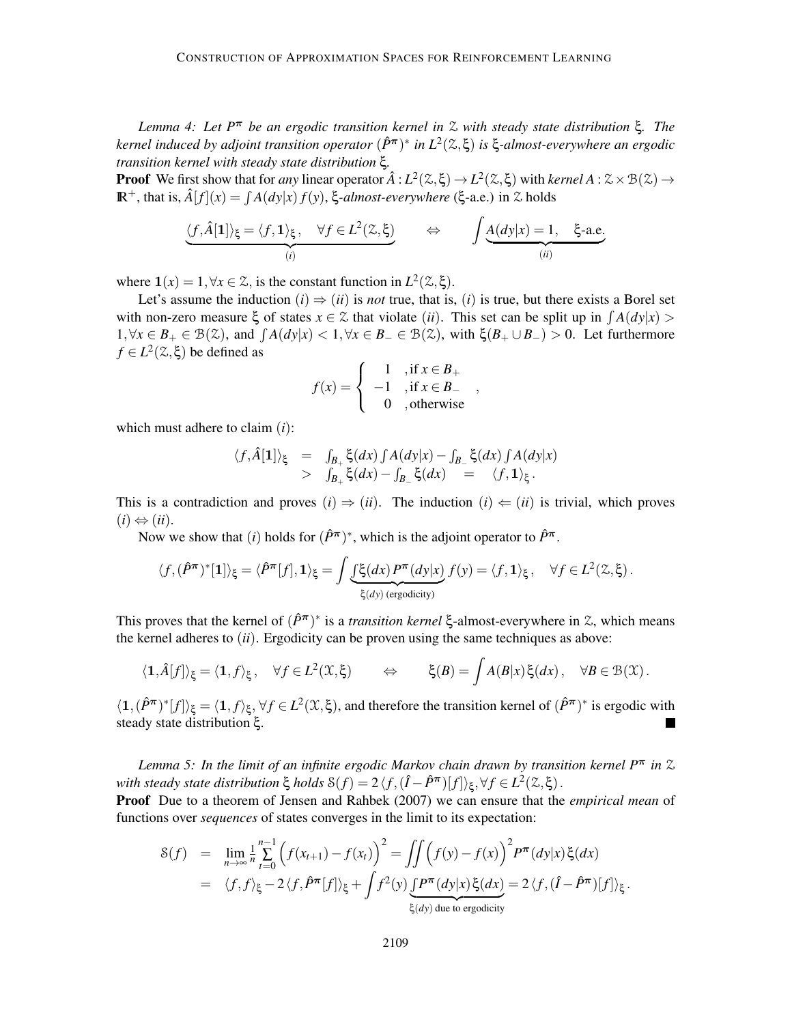*Lemma 4: Let P*<sup>π</sup> *be an ergodic transition kernel in* Z *with steady state distribution* ξ*. The kernel induced by adjoint transition operator* (*P*ˆπ) ∗ *in L*<sup>2</sup> (Z,ξ) *is* ξ*-almost-everywhere an ergodic transition kernel with steady state distribution* ξ*.*

**Proof** We first show that for *any* linear operator  $\hat{A}: L^2(\mathbb{Z}, \xi) \to L^2(\mathbb{Z}, \xi)$  with *kernel*  $A: \mathbb{Z} \times \mathcal{B}(\mathbb{Z}) \to$  $\mathbb{R}^+$ , that is,  $\hat{A}[f](x) = \int A(dy|x) f(y)$ , ξ-almost-everywhere (ξ-a.e.) in  $\mathcal Z$  holds

$$
\underbrace{\langle f, \hat{A}[\mathbf{1}] \rangle_{\xi} = \langle f, \mathbf{1} \rangle_{\xi}, \quad \forall f \in L^{2}(\mathbb{Z}, \xi)}_{(i)} \qquad \Leftrightarrow \qquad \int \underbrace{A(dy|x) = 1, \quad \xi\text{-a.e.}}_{(ii)}
$$

where  $\mathbf{1}(x) = 1, \forall x \in \mathcal{Z}$ , is the constant function in  $L^2(\mathcal{Z}, \xi)$ .

Let's assume the induction  $(i) \Rightarrow (ii)$  is *not* true, that is,  $(i)$  is true, but there exists a Borel set with non-zero measure  $\xi$  of states  $x \in \mathcal{Z}$  that violate (*ii*). This set can be split up in  $\int A(dy|x)$ 1,  $\forall x \in B_+ \in \mathcal{B}(\mathcal{Z})$ , and  $\int A(dy|x) < 1, \forall x \in B_-\in \mathcal{B}(\mathcal{Z})$ , with  $\xi(B_+ \cup B_-) > 0$ . Let furthermore  $f \in L^2(\mathcal{Z}, \xi)$  be defined as

$$
f(x) = \begin{cases} 1, & \text{if } x \in B_+ \\ -1, & \text{if } x \in B_- \\ 0, & \text{otherwise} \end{cases}
$$

which must adhere to claim (*i*):

$$
\langle f,\hat{A}[\mathbf{1}]\rangle_{\xi} = \int_{B_+} \xi(dx) \int A(dy|x) - \int_{B_-} \xi(dx) \int A(dy|x) > \int_{B_+} \xi(dx) - \int_{B_-} \xi(dx) = \langle f,\mathbf{1}\rangle_{\xi}.
$$

This is a contradiction and proves  $(i) \Rightarrow (ii)$ . The induction  $(i) \Leftarrow (ii)$  is trivial, which proves  $(i) \Leftrightarrow (ii)$ .

Now we show that (*i*) holds for  $(\hat{P}^{\pi})^*$ , which is the adjoint operator to  $\hat{P}^{\pi}$ .

$$
\langle f, (\hat{P}^{\pi})^*[\mathbf{1}]\rangle_{\xi} = \langle \hat{P}^{\pi}[f], \mathbf{1}\rangle_{\xi} = \int \underbrace{\int \xi(dx) P^{\pi}(dy|x)}_{\xi(dy) \text{ (ergodicity)}} f(y) = \langle f, \mathbf{1}\rangle_{\xi}, \quad \forall f \in L^2(\mathbb{Z}, \xi).
$$

This proves that the kernel of  $(\hat{P}^{\pi})^*$  is a *transition kernel*  $\xi$ -almost-everywhere in  $\chi$ , which means the kernel adheres to (*ii*). Ergodicity can be proven using the same techniques as above:

$$
\langle \mathbf{1}, \hat{A}[f] \rangle_{\xi} = \langle \mathbf{1}, f \rangle_{\xi}, \quad \forall f \in L^{2}(\mathfrak{X}, \xi) \qquad \Leftrightarrow \qquad \xi(B) = \int A(B|x) \, \xi(dx), \quad \forall B \in \mathcal{B}(\mathfrak{X}).
$$

 $\langle 1, (\hat{P}^{\pi})^* | f | \rangle_{\xi} = \langle 1, f \rangle_{\xi}, \forall f \in L^2(\mathfrak{X}, \xi)$ , and therefore the transition kernel of  $(\hat{P}^{\pi})^*$  is ergodic with steady state distribution ξ.

*Lemma 5: In the limit of an infinite ergodic Markov chain drawn by transition kernel*  $P^{\pi}$  *in*  $\chi$  $\forall$ *i with steady state distribution*  $\xi$  *holds*  $\mathcal{S}(f) = 2\langle f, (\hat{I} - \hat{P}^{\pi})[f] \rangle_{\xi}, \forall f \in L^{2}(\mathbb{Z}, \xi)$ .

Proof Due to a theorem of Jensen and Rahbek (2007) we can ensure that the *empirical mean* of functions over *sequences* of states converges in the limit to its expectation:

$$
\begin{array}{rcl}\n\mathcal{S}(f) & = & \lim_{n \to \infty} \frac{1}{n} \sum_{t=0}^{n-1} \left( f(x_{t+1}) - f(x_t) \right)^2 = \iint \left( f(y) - f(x) \right)^2 P^{\pi}(dy|x) \, \xi(dx) \\
& = & \langle f, f \rangle_{\xi} - 2 \langle f, \hat{P}^{\pi}[f] \rangle_{\xi} + \int f^2(y) \underbrace{\int P^{\pi}(dy|x) \, \xi(dx)}_{\xi(dy) \, \text{due to ergodicity}} = 2 \langle f, (\hat{I} - \hat{P}^{\pi})[f] \rangle_{\xi}.\n\end{array}
$$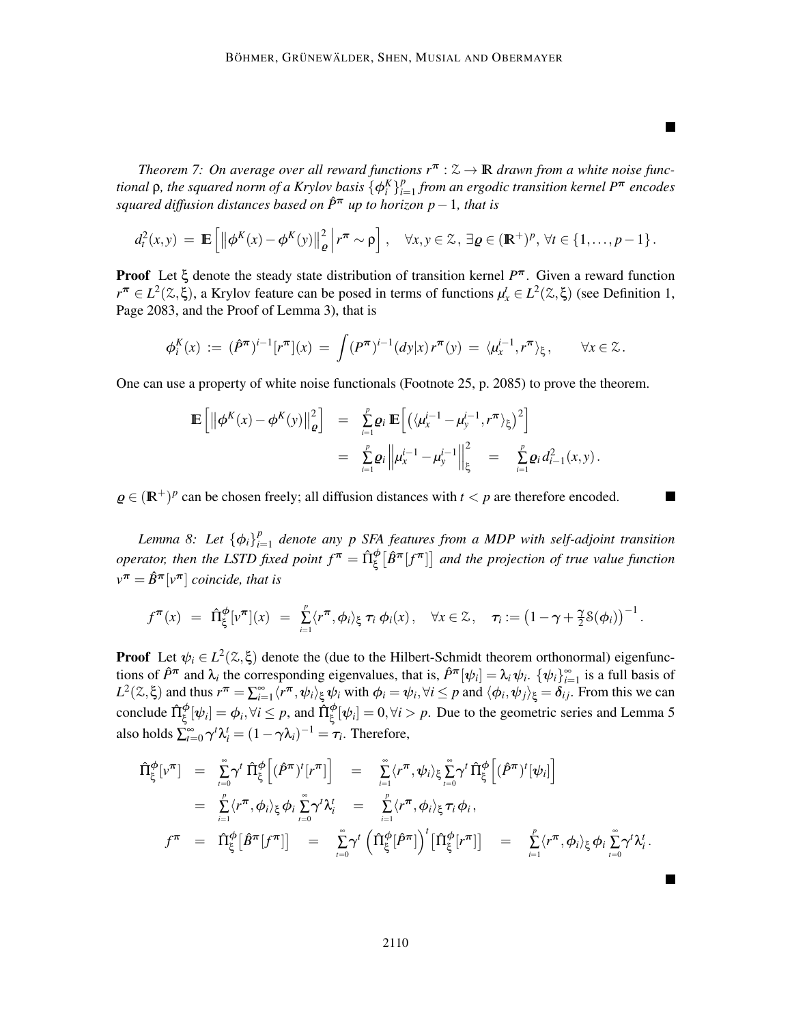*Theorem 7: On average over all reward functions*  $r^{\pi}$  :  $\mathcal{Z} \rightarrow \mathbb{R}$  *drawn from a white noise functional*  $\rho$ *, the squared norm of a Krylov basis*  $\{\phi_i^K\}_{i=1}^p$ *i*=1 *from an ergodic transition kernel P*<sup>π</sup> *encodes squared diffusion distances based on <sup>P</sup>*ˆ<sup>π</sup> *up to horizon p*−1*, that is*

ш

$$
d_t^2(x,y) = \mathbb{E}\left[\left\|\phi^K(x) - \phi^K(y)\right\|_{\varrho}^2 \middle| r^{\pi} \sim \rho\right], \quad \forall x, y \in \mathcal{Z}, \exists \varrho \in (\mathbb{R}^+)^p, \forall t \in \{1,\ldots,p-1\}.
$$

Proof Let ξ denote the steady state distribution of transition kernel *P* <sup>π</sup>. Given a reward function  $r^{\pi} \in L^2(\mathbb{Z}, \xi)$ , a Krylov feature can be posed in terms of functions  $\mu_x^t \in L^2(\mathbb{Z}, \xi)$  (see Definition 1, Page 2083, and the Proof of Lemma 3), that is

$$
\phi_i^K(x) := (\hat{P}^{\pi})^{i-1} [r^{\pi}](x) = \int (P^{\pi})^{i-1} (dy | x) r^{\pi}(y) = \langle \mu_x^{i-1}, r^{\pi} \rangle_{\xi}, \qquad \forall x \in \mathcal{Z}.
$$

One can use a property of white noise functionals (Footnote 25, p. 2085) to prove the theorem.

$$
\mathbb{E}\left[\left\|\phi^{K}(x) - \phi^{K}(y)\right\|_{\varrho}^{2}\right] = \sum_{i=1}^{p} \varrho_{i} \mathbb{E}\left[\left\langle \langle \mu_{x}^{i-1} - \mu_{y}^{i-1}, r^{\pi} \rangle_{\xi}\right)^{2}\right] \\
= \sum_{i=1}^{p} \varrho_{i} \left\|\mu_{x}^{i-1} - \mu_{y}^{i-1}\right\|_{\xi}^{2} = \sum_{i=1}^{p} \varrho_{i} d_{i-1}^{2}(x, y).
$$

 $\varrho \in (\mathbb{R}^+)^p$  can be chosen freely; all diffusion distances with  $t < p$  are therefore encoded.

*Lemma 8: Let*  $\{\phi_i\}_{i=1}^p$ *i*=1 *denote any p SFA features from a MDP with self-adjoint transition operator, then the LSTD fixed point*  $f^{\bm{\pi}} = \hat{\Pi}^{\phi}_{\xi}\big[\hat{B}^{\bm{\pi}}[f^{\bm{\pi}}]\big]$  and the projection of true value function  $v^{\boldsymbol{\pi}} = \hat{B}^{\boldsymbol{\pi}}[v^{\boldsymbol{\pi}}]$  *coincide, that is* 

$$
f^{\boldsymbol{\pi}}(x) = \hat{\Pi}_{\xi}^{\boldsymbol{\phi}}[v^{\boldsymbol{\pi}}](x) = \sum_{i=1}^{p} \langle r^{\boldsymbol{\pi}}, \boldsymbol{\phi}_i \rangle_{\xi} \tau_i \boldsymbol{\phi}_i(x), \quad \forall x \in \mathcal{Z}, \quad \tau_i := \left(1 - \gamma + \frac{\gamma}{2} \mathcal{S}(\boldsymbol{\phi}_i)\right)^{-1}.
$$

**Proof** Let  $\psi_i \in L^2(\mathbb{Z}, \xi)$  denote the (due to the Hilbert-Schmidt theorem orthonormal) eigenfunctions of  $\hat{P}^{\pi}$  and  $\lambda_i$  the corresponding eigenvalues, that is,  $\hat{P}^{\pi}[\psi_i] = \lambda_i \psi_i$ .  $\{\psi_i\}_{i=1}^{\infty}$  is a full basis of  $L^2(\mathcal{Z}, \xi)$  and thus  $r^{\pi} = \sum_{i=1}^{\infty} \langle r^{\pi}, \psi_i \rangle_{\xi} \psi_i$  with  $\phi_i = \psi_i, \forall i \leq p$  and  $\langle \phi_i, \psi_j \rangle_{\xi} = \delta_{ij}$ . From this we can conclude  $\hat{\Pi}_{\xi}^{\phi}[\psi_i] = \phi_i, \forall i \leq p$ , and  $\hat{\Pi}_{\xi}^{\phi}[\psi_i] = 0, \forall i > p$ . Due to the geometric series and Lemma 5 also holds  $\sum_{t=0}^{\infty} \gamma^t \lambda_i^t = (1 - \gamma \lambda_i)^{-1} = \tau_i$ . Therefore,

$$
\hat{\Pi}_{\xi}^{\phi}[\nu^{\pi}] = \sum_{i=0}^{\infty} \gamma^{i} \hat{\Pi}_{\xi}^{\phi} [(\hat{P}^{\pi})^{i} [r^{\pi}]] = \sum_{i=1}^{\infty} \langle r^{\pi}, \psi_{i} \rangle_{\xi} \sum_{i=0}^{\infty} \gamma^{i} \hat{\Pi}_{\xi}^{\phi} [(\hat{P}^{\pi})^{i} [\psi_{i}]]
$$
\n
$$
= \sum_{i=1}^{p} \langle r^{\pi}, \phi_{i} \rangle_{\xi} \phi_{i} \sum_{i=0}^{\infty} \gamma^{i} \lambda_{i}^{t} = \sum_{i=1}^{p} \langle r^{\pi}, \phi_{i} \rangle_{\xi} \tau_{i} \phi_{i},
$$
\n
$$
f^{\pi} = \hat{\Pi}_{\xi}^{\phi} [\hat{B}^{\pi} [f^{\pi}]] = \sum_{i=0}^{\infty} \gamma^{i} \left( \hat{\Pi}_{\xi}^{\phi} [\hat{P}^{\pi}] \right)^{i} [\hat{\Pi}_{\xi}^{\phi} [r^{\pi}]] = \sum_{i=1}^{p} \langle r^{\pi}, \phi_{i} \rangle_{\xi} \phi_{i} \sum_{i=0}^{\infty} \gamma^{i} \lambda_{i}^{i}.
$$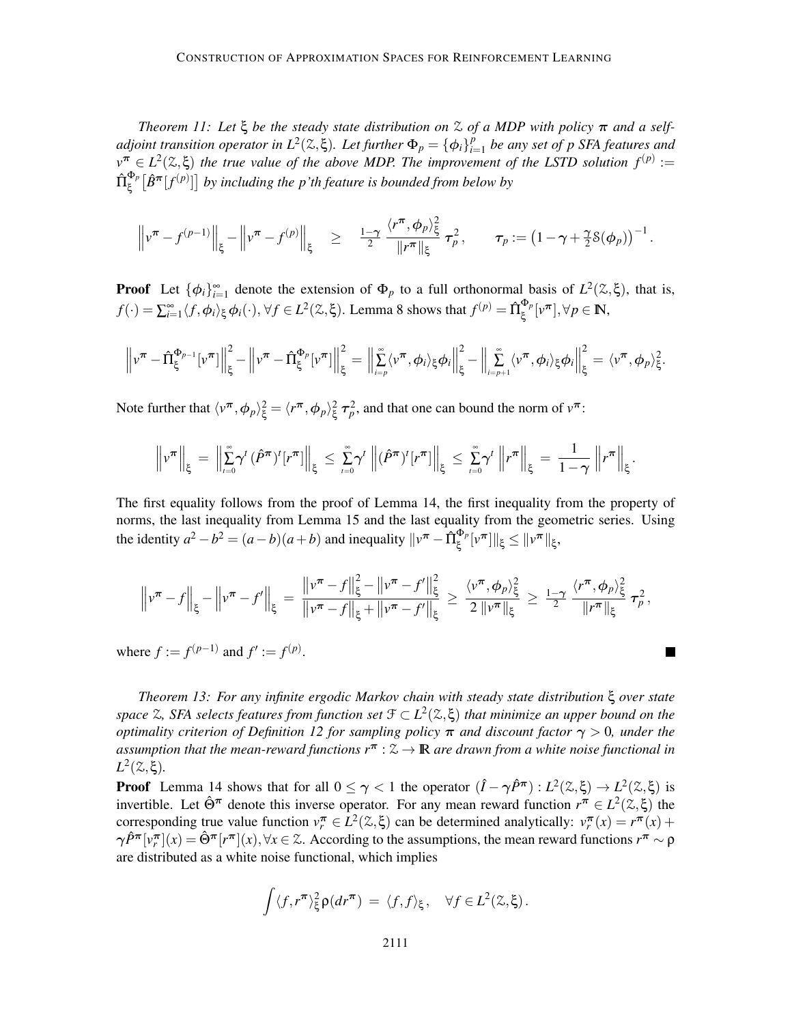*Theorem 11: Let*  $\xi$  *be the steady state distribution on*  $\lambda$  *of a MDP with policy*  $\pi$  *and a selfadjoint transition operator in*  $L^2(\mathbb{Z}, \xi)$ *. Let further*  $\Phi_p = {\phi_i}_i^p$ *i*=1 *be any set of p SFA features and*  $v^{\pi} \in L^2(\mathbb{Z}, \xi)$  *the true value of the above MDP. The improvement of the LSTD solution*  $f^{(p)} :=$  $\hat{\Pi}^{\Phi_p}_\varepsilon$  $\int_{\xi}^{\Phi_p} [\hat{B}^{\bm{\pi}}[f^{(p)}]]$  by including the p'th feature is bounded from below by

$$
\left\|v^{\pi} - f^{(p-1)}\right\|_{\xi} - \left\|v^{\pi} - f^{(p)}\right\|_{\xi} \geq \frac{1-\gamma}{2} \frac{\langle r^{\pi}, \phi_p \rangle_{\xi}^2}{\|r^{\pi}\|_{\xi}} \tau_p^2, \quad \tau_p := \left(1 - \gamma + \frac{\gamma}{2} \mathcal{S}(\phi_p)\right)^{-1}.
$$

**Proof** Let  $\{\phi_i\}_{i=1}^{\infty}$  denote the extension of  $\Phi_p$  to a full orthonormal basis of  $L^2(\mathcal{Z}, \xi)$ , that is,  $f(\cdot) = \sum_{i=1}^{\infty} \langle f, \phi_i \rangle_{\xi} \phi_i(\cdot), \forall f \in L^2(\mathcal{Z}, \xi)$ . Lemma 8 shows that  $f^{(p)} = \hat{\Pi}_{\xi}^{\Phi_p}$  $\mathbb{E}_{\xi}^{\Phi_p}[v^{\boldsymbol{\pi}}], \forall p \in \mathbb{N},$ 

$$
\left\|v^{\boldsymbol{\pi}} - \hat{\Pi}_{\xi}^{\Phi_{p-1}}[v^{\boldsymbol{\pi}}]\right\|_{\xi}^{2} - \left\|v^{\boldsymbol{\pi}} - \hat{\Pi}_{\xi}^{\Phi_{p}}[v^{\boldsymbol{\pi}}]\right\|_{\xi}^{2} = \left\|\sum_{i=p}^{\infty}\langle v^{\boldsymbol{\pi}}, \phi_{i}\rangle_{\xi}\phi_{i}\right\|_{\xi}^{2} - \left\|\sum_{i=p+1}^{\infty}\langle v^{\boldsymbol{\pi}}, \phi_{i}\rangle_{\xi}\phi_{i}\right\|_{\xi}^{2} = \langle v^{\boldsymbol{\pi}}, \phi_{p}\rangle_{\xi}^{2}.
$$

Note further that  $\langle v^{\pi}, \phi_p \rangle_{\xi}^2 = \langle r^{\pi}, \phi_p \rangle_{\xi}^2 \tau_p^2$ , and that one can bound the norm of  $v^{\pi}$ :

$$
\left\|v^{\boldsymbol{\pi}}\right\|_{\xi} = \left\|\sum_{t=0}^{\infty} \gamma^t \left(\hat{P}^{\boldsymbol{\pi}}\right)^t \left[r^{\boldsymbol{\pi}}\right]\right\|_{\xi} \leq \sum_{t=0}^{\infty} \gamma^t \left\|\left(\hat{P}^{\boldsymbol{\pi}}\right)^t \left[r^{\boldsymbol{\pi}}\right]\right\|_{\xi} \leq \sum_{t=0}^{\infty} \gamma^t \left\|r^{\boldsymbol{\pi}}\right\|_{\xi} = \frac{1}{1-\gamma} \left\|r^{\boldsymbol{\pi}}\right\|_{\xi}.
$$

The first equality follows from the proof of Lemma 14, the first inequality from the property of norms, the last inequality from Lemma 15 and the last equality from the geometric series. Using the identity  $a^2 - b^2 = (a - b)(a + b)$  and inequality  $\|\nu^{\pi} - \hat{\Pi}_{\xi}^{\Phi_p}$  $\frac{\partial \Phi_p}{\partial \xi}[\nu^{\boldsymbol{\pi}}]\|_{\xi} \leq \|\nu^{\boldsymbol{\pi}}\|_{\xi},$ 

$$
\left\|v^{\pi}-f\right\|_{\xi}-\left\|v^{\pi}-f'\right\|_{\xi}=\frac{\left\|v^{\pi}-f\right\|_{\xi}^{2}-\left\|v^{\pi}-f'\right\|_{\xi}^{2}}{\left\|v^{\pi}-f\right\|_{\xi}+\left\|v^{\pi}-f'\right\|_{\xi}}\geq \frac{\left\langle v^{\pi}, \phi_{p}\right\rangle_{\xi}^{2}}{2\left\|v^{\pi}\right\|_{\xi}}\geq \frac{1-\gamma}{2}\frac{\left\langle r^{\pi}, \phi_{p}\right\rangle_{\xi}^{2}}{\left\|r^{\pi}\right\|_{\xi}}\tau_{p}^{2},
$$

where  $f := f^{(p-1)}$  and  $f' := f^{(p)}$ .

*Theorem 13: For any infinite ergodic Markov chain with steady state distribution* ξ *over state space* <sup>Z</sup>*, SFA selects features from function set* <sup>F</sup> <sup>⊂</sup> *<sup>L</sup>* 2 (Z,ξ) *that minimize an upper bound on the optimality criterion of Definition 12 for sampling policy* π *and discount factor* γ > 0*, under the assumption that the mean-reward functions r*<sup>π</sup> : <sup>Z</sup> <sup>→</sup> IR *are drawn from a white noise functional in*  $L^2$  (*2*, ξ).

**Proof** Lemma 14 shows that for all  $0 \le \gamma < 1$  the operator  $(\hat{I} - \gamma \hat{P}^{\pi}) : L^2(\mathbb{Z}, \xi) \to L^2(\mathbb{Z}, \xi)$  is invertible. Let  $\hat{\Theta}^{\pi}$  denote this inverse operator. For any mean reward function  $r^{\pi} \in L^2(\mathcal{Z}, \xi)$  the corresponding true value function  $v_r^{\pi} \in L^2(\mathbb{Z}, \xi)$  can be determined analytically:  $v_r^{\pi}(x) = r^{\pi}(x) + \hat{v}$  $\gamma \hat{P}^{\pi} [v_r^{\pi}](x) = \hat{\Theta}^{\pi} [r^{\pi}](x), \forall x \in \mathbb{Z}$ . According to the assumptions, the mean reward functions  $r^{\pi} \sim \rho$ are distributed as a white noise functional, which implies

$$
\int \langle f, r^{\pi} \rangle_{\xi}^2 \rho(dr^{\pi}) = \langle f, f \rangle_{\xi}, \quad \forall f \in L^2(\mathbb{Z}, \xi).
$$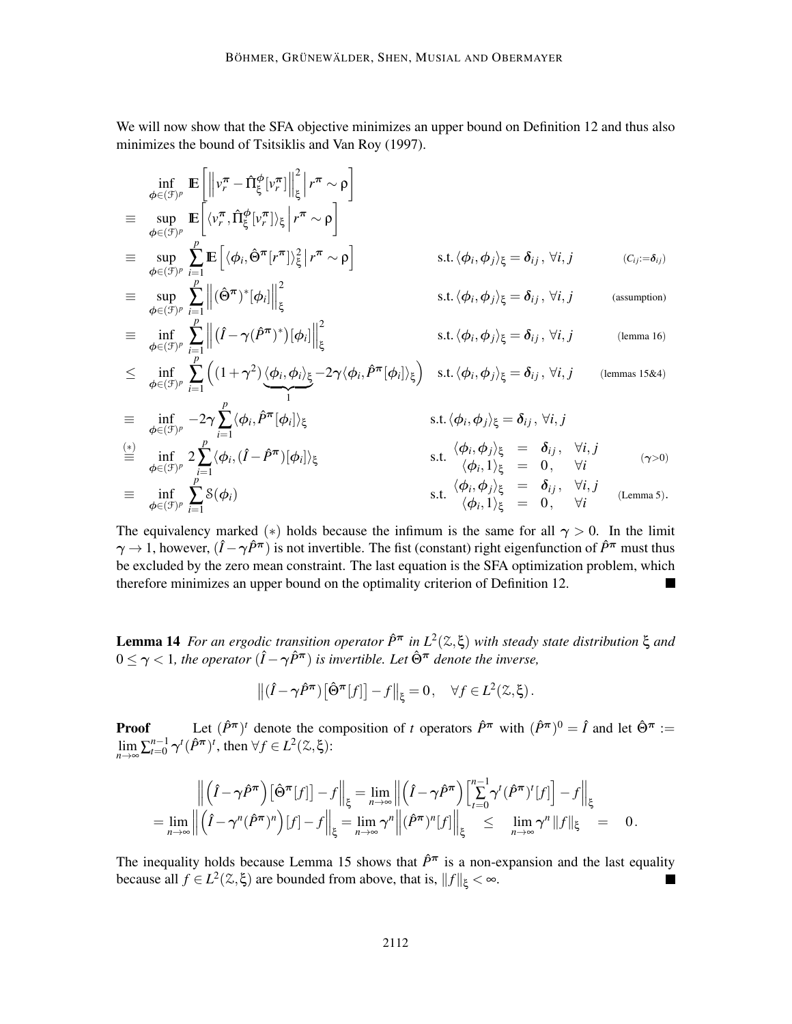We will now show that the SFA objective minimizes an upper bound on Definition 12 and thus also minimizes the bound of Tsitsiklis and Van Roy (1997).

$$
\inf_{\phi \in (J)^p} \mathbb{E} \left[ \left\| v_r^{\pi} - \hat{\Pi}_{\xi}^{\phi} [v_r^{\pi}] \right\|_{\xi}^{2} \Big| r^{\pi} \sim \rho \right]
$$
\n
$$
\equiv \sup_{\phi \in (J)^p} \mathbb{E} \left[ \langle \psi_r^{\pi}, \hat{\Pi}_{\xi}^{\phi} [v_r^{\pi}] \rangle_{\xi} \Big| r^{\pi} \sim \rho \right]
$$
\n
$$
\equiv \sup_{\phi \in (J)^p} \sum_{i=1}^p \mathbb{E} \left[ \langle \phi_i, \hat{\Theta}^{\pi} [r^{\pi}] \rangle_{\xi}^{2} \Big| r^{\pi} \sim \rho \right]
$$
\n
$$
\equiv \sup_{\phi \in (J)^p} \sum_{i=1}^p \left\| (\hat{\Theta}^{\pi})^* [\phi_i] \right\|_{\xi}^{2}
$$
\n
$$
\equiv \inf_{\phi \in (J)^p} \sum_{i=1}^p \left\| (\hat{I} - \gamma (\hat{P}^{\pi})^*) [\phi_i] \right\|_{\xi}^{2}
$$
\n
$$
\leq \inf_{\phi \in (J)^p} \sum_{i=1}^p \left\| (1 + \gamma^2) \langle \phi_i, \phi_i \rangle_{\xi} - 2\gamma \langle \phi_i, \hat{P}^{\pi} [\phi_i] \rangle_{\xi} \right\}
$$
\n
$$
\equiv \inf_{\phi \in (J)^p} \sum_{i=1}^p \left( (1 + \gamma^2) \langle \phi_i, \phi_i \rangle_{\xi} - 2\gamma \langle \phi_i, \hat{P}^{\pi} [\phi_i] \rangle_{\xi} \right) \text{ s.t. } \langle \phi_i, \phi_j \rangle_{\xi} = \delta_{ij}, \forall i, j \text{ (lemma 16)}
$$
\n
$$
\equiv \inf_{\phi \in (J)^p} -2\gamma \sum_{i=1}^p \langle \phi_i, \hat{P}^{\pi} [\phi_i] \rangle_{\xi}
$$
\n
$$
\equiv \inf_{\phi \in (J)^p} 2 \sum_{i=1}^p \langle \phi_i, (\hat{I} - \hat{P}^{\pi}) [\phi_i] \rangle_{\xi}
$$
\n
$$
\equiv \inf_{\phi \in (J)^p} \sum_{i=1}^p \delta(\phi_i)
$$
\

The equivalency marked (\*) holds because the infimum is the same for all  $\gamma > 0$ . In the limit  $\gamma \to 1$ , however,  $(\hat{I} - \gamma \hat{P}^{\pi})$  is not invertible. The fist (constant) right eigenfunction of  $\hat{P}^{\pi}$  must thus be excluded by the zero mean constraint. The last equation is the SFA optimization problem, which therefore minimizes an upper bound on the optimality criterion of Definition 12.

Lemma 14 *For an ergodic transition operator*  $\hat{P}^{\pi}$  *in*  $L^2(\mathcal{Z}, \xi)$  *with steady state distribution* ξ *and*  $0 \leq \gamma < 1$ , the operator  $(\hat{I} - \gamma \hat{P}^{\pi})$  is invertible. Let  $\hat{\Theta}^{\pi}$  denote the inverse,

$$
\left\| \left( \hat{I} - \gamma \hat{P}^{\pi} \right) \left[ \hat{\Theta}^{\pi}[f] \right] - f \right\|_{\xi} = 0, \quad \forall f \in L^{2}(\mathcal{Z}, \xi).
$$

**Proof** Let  $(\hat{P}^{\pi})^t$  denote the composition of *t* operators  $\hat{P}^{\pi}$  with  $(\hat{P}^{\pi})^0 = \hat{I}$  and let  $\hat{\Theta}^{\pi}$  := lim  $\lim_{n\to\infty} \sum_{t=0}^{n-1} \gamma^t (\hat{P}^{\pi})^t$ , then  $\forall f \in L^2(\mathcal{Z}, \xi)$ :

$$
\left\| \left( \hat{I} - \gamma \hat{P}^{\pi} \right) [\hat{\Theta}^{\pi}[f]] - f \right\|_{\xi} = \lim_{n \to \infty} \left\| \left( \hat{I} - \gamma \hat{P}^{\pi} \right) \left[ \sum_{t=0}^{n-1} \gamma^{t} (\hat{P}^{\pi})^{t}[f] \right] - f \right\|_{\xi}
$$
  
= 
$$
\lim_{n \to \infty} \left\| \left( \hat{I} - \gamma^{n} (\hat{P}^{\pi})^{n} \right) [f] - f \right\|_{\xi} = \lim_{n \to \infty} \gamma^{n} \left\| (\hat{P}^{\pi})^{n}[f] \right\|_{\xi} \leq \lim_{n \to \infty} \gamma^{n} \| f \|_{\xi} = 0.
$$

The inequality holds because Lemma 15 shows that  $\hat{P}^{\pi}$  is a non-expansion and the last equality because all  $f \in L^2(\mathbb{Z}, \xi)$  are bounded from above, that is,  $||f||_{\xi} < \infty$ . п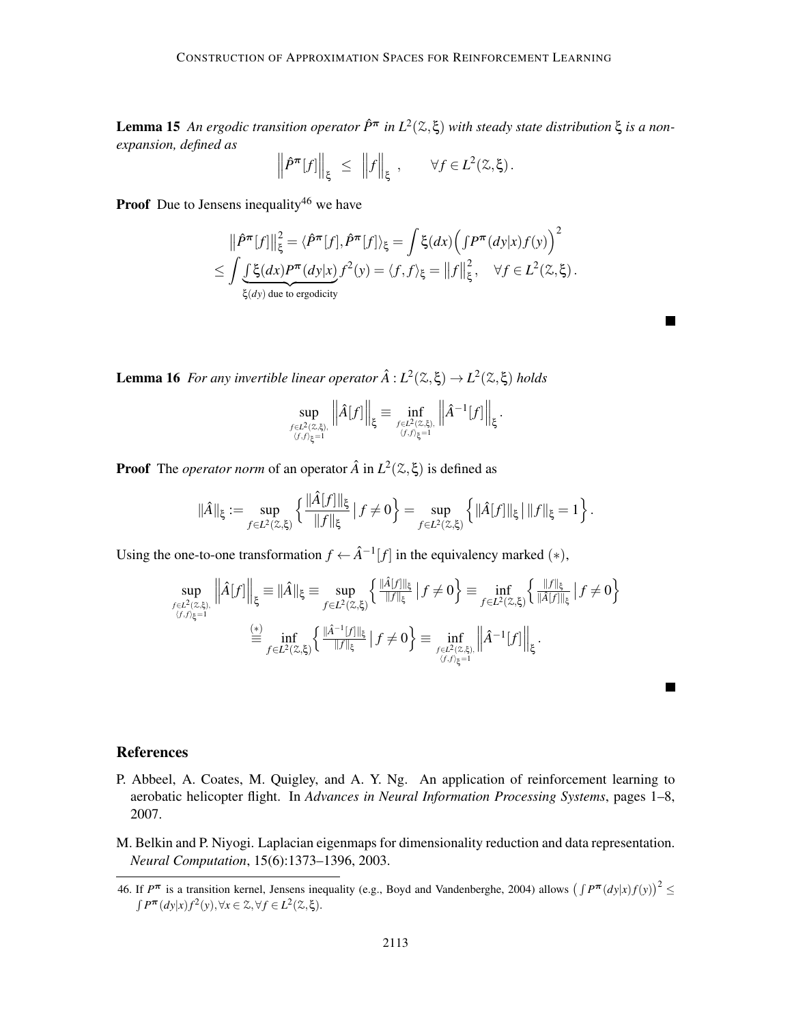Lemma 15 An ergodic transition operator  $\hat{P}^{\pi}$  in  $L^2(\mathcal{Z}, \xi)$  with steady state distribution ξ is a non*expansion, defined as*

$$
\left\| \hat{P}^{\pi}[f] \right\|_{\xi} \leq \left\| f \right\|_{\xi}, \qquad \forall f \in L^{2}(\mathbb{Z}, \xi).
$$

**Proof** Due to Jensens inequality<sup>46</sup> we have

$$
\|\hat{P}^{\pi}[f]\|_{\xi}^{2} = \langle \hat{P}^{\pi}[f], \hat{P}^{\pi}[f] \rangle_{\xi} = \int \xi(dx) \Big( \int P^{\pi}(dy|x) f(y) \Big)^{2}
$$
  
 
$$
\leq \int \underbrace{\int \xi(dx) P^{\pi}(dy|x)}_{\xi(dy) \text{ due to ergodicity}} f^{2}(y) = \langle f, f \rangle_{\xi} = ||f||_{\xi}^{2}, \quad \forall f \in L^{2}(\mathbb{Z}, \xi).
$$

 $\blacksquare$ 

Lemma 16 *For any invertible linear operator*  $\hat{A}: L^2(\mathbb{Z}, \xi) \to L^2(\mathbb{Z}, \xi)$  *holds* 

$$
\sup_{f\in L^2(\mathbb{Z},\xi),\atop{\langle f,f\rangle_\xi=1}}\left\|\hat{A}[f]\right\|_\xi\equiv\inf_{f\in L^2(\mathbb{Z},\xi),\atop{\langle f,f\rangle_\xi=1}}\left\|\hat{A}^{-1}[f]\right\|_\xi.
$$

**Proof** The *operator norm* of an operator  $\hat{A}$  in  $L^2(\mathcal{Z}, \xi)$  is defined as

$$
\|\hat{A}\|_{\xi} := \sup_{f \in L^2(\mathbb{Z},\xi)} \left\{ \frac{\|\hat{A}[f]\|_{\xi}}{\|f\|_{\xi}} \, \big| \, f \neq 0 \right\} = \sup_{f \in L^2(\mathbb{Z},\xi)} \left\{ \|\hat{A}[f]\|_{\xi} \, \big| \, \|f\|_{\xi} = 1 \right\}.
$$

Using the one-to-one transformation  $f \leftarrow \hat{A}^{-1}[f]$  in the equivalency marked  $(*)$ ,

$$
\sup_{f \in L^2(\mathbb{Z},\xi), \atop \langle f,f\rangle_{\xi}=1} \left\|\hat{A}[f]\right\|_{\xi} \equiv \|\hat{A}\|_{\xi} \equiv \sup_{f \in L^2(\mathbb{Z},\xi)} \left\{ \tfrac{\|\hat{A}[f]\|_{\xi}}{\|f\|_{\xi}} \left| \, f \neq 0 \right.\right\} \equiv \inf_{f \in L^2(\mathbb{Z},\xi)} \left\{ \tfrac{\|f\|_{\xi}}{\|\hat{A}[f]\|_{\xi}} \left| \, f \neq 0 \right.\right\}
$$
\n
$$
\stackrel{\text{(*)}}{=} \inf_{f \in L^2(\mathbb{Z},\xi)} \left\{ \tfrac{\|\hat{A} - \mathbb{I}[f]\|_{\xi}}{\|f\|_{\xi}} \left| \, f \neq 0 \right.\right\} \equiv \inf_{f \in L^2(\mathbb{Z},\xi), \atop \langle f,f\rangle_{\xi}=1} \left\|\hat{A}^{-1}[f]\right\|_{\xi}.
$$

## References

- P. Abbeel, A. Coates, M. Quigley, and A. Y. Ng. An application of reinforcement learning to aerobatic helicopter flight. In *Advances in Neural Information Processing Systems*, pages 1–8, 2007.
- M. Belkin and P. Niyogi. Laplacian eigenmaps for dimensionality reduction and data representation. *Neural Computation*, 15(6):1373–1396, 2003.

<sup>46.</sup> If  $P^{\pi}$  is a transition kernel, Jensens inequality (e.g., Boyd and Vandenberghe, 2004) allows  $(\int P^{\pi}(dy|x)f(y))^2 \le$  $\int P^{\pi}(dy|x)f^{2}(y), \forall x \in \mathcal{Z}, \forall f \in L^{2}(\mathcal{Z},\xi).$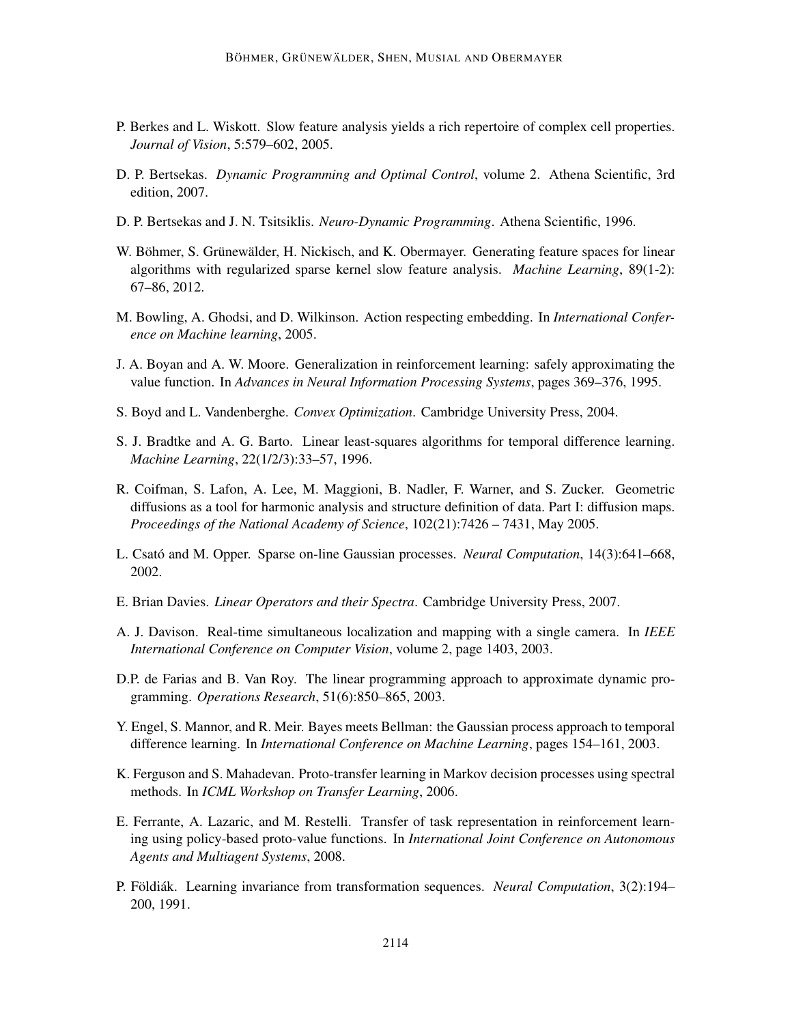- P. Berkes and L. Wiskott. Slow feature analysis yields a rich repertoire of complex cell properties. *Journal of Vision*, 5:579–602, 2005.
- D. P. Bertsekas. *Dynamic Programming and Optimal Control*, volume 2. Athena Scientific, 3rd edition, 2007.
- D. P. Bertsekas and J. N. Tsitsiklis. *Neuro-Dynamic Programming*. Athena Scientific, 1996.
- W. Böhmer, S. Grünewälder, H. Nickisch, and K. Obermayer. Generating feature spaces for linear algorithms with regularized sparse kernel slow feature analysis. *Machine Learning*, 89(1-2): 67–86, 2012.
- M. Bowling, A. Ghodsi, and D. Wilkinson. Action respecting embedding. In *International Conference on Machine learning*, 2005.
- J. A. Boyan and A. W. Moore. Generalization in reinforcement learning: safely approximating the value function. In *Advances in Neural Information Processing Systems*, pages 369–376, 1995.
- S. Boyd and L. Vandenberghe. *Convex Optimization*. Cambridge University Press, 2004.
- S. J. Bradtke and A. G. Barto. Linear least-squares algorithms for temporal difference learning. *Machine Learning*, 22(1/2/3):33–57, 1996.
- R. Coifman, S. Lafon, A. Lee, M. Maggioni, B. Nadler, F. Warner, and S. Zucker. Geometric diffusions as a tool for harmonic analysis and structure definition of data. Part I: diffusion maps. *Proceedings of the National Academy of Science*, 102(21):7426 – 7431, May 2005.
- L. Csató and M. Opper. Sparse on-line Gaussian processes. *Neural Computation*, 14(3):641–668, 2002.
- E. Brian Davies. *Linear Operators and their Spectra*. Cambridge University Press, 2007.
- A. J. Davison. Real-time simultaneous localization and mapping with a single camera. In *IEEE International Conference on Computer Vision*, volume 2, page 1403, 2003.
- D.P. de Farias and B. Van Roy. The linear programming approach to approximate dynamic programming. *Operations Research*, 51(6):850–865, 2003.
- Y. Engel, S. Mannor, and R. Meir. Bayes meets Bellman: the Gaussian process approach to temporal difference learning. In *International Conference on Machine Learning*, pages 154–161, 2003.
- K. Ferguson and S. Mahadevan. Proto-transfer learning in Markov decision processes using spectral methods. In *ICML Workshop on Transfer Learning*, 2006.
- E. Ferrante, A. Lazaric, and M. Restelli. Transfer of task representation in reinforcement learning using policy-based proto-value functions. In *International Joint Conference on Autonomous Agents and Multiagent Systems*, 2008.
- P. Földiák. Learning invariance from transformation sequences. *Neural Computation*, 3(2):194– 200, 1991.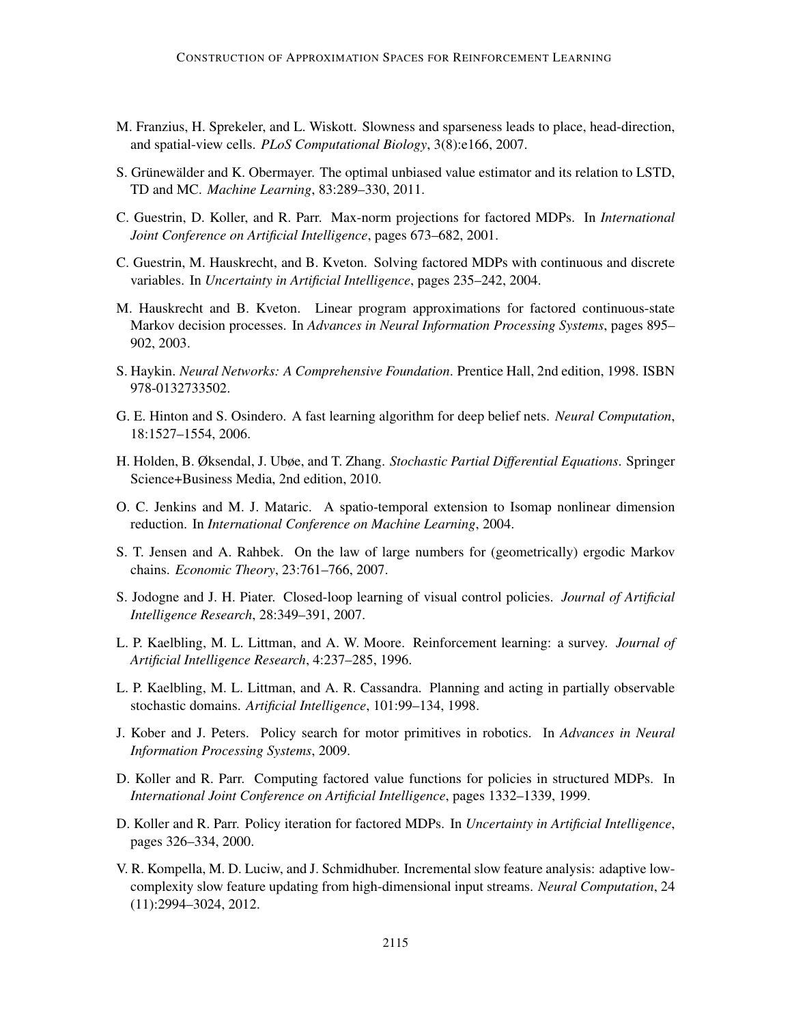- M. Franzius, H. Sprekeler, and L. Wiskott. Slowness and sparseness leads to place, head-direction, and spatial-view cells. *PLoS Computational Biology*, 3(8):e166, 2007.
- S. Grünewälder and K. Obermayer. The optimal unbiased value estimator and its relation to LSTD, TD and MC. *Machine Learning*, 83:289–330, 2011.
- C. Guestrin, D. Koller, and R. Parr. Max-norm projections for factored MDPs. In *International Joint Conference on Artificial Intelligence*, pages 673–682, 2001.
- C. Guestrin, M. Hauskrecht, and B. Kveton. Solving factored MDPs with continuous and discrete variables. In *Uncertainty in Artificial Intelligence*, pages 235–242, 2004.
- M. Hauskrecht and B. Kveton. Linear program approximations for factored continuous-state Markov decision processes. In *Advances in Neural Information Processing Systems*, pages 895– 902, 2003.
- S. Haykin. *Neural Networks: A Comprehensive Foundation*. Prentice Hall, 2nd edition, 1998. ISBN 978-0132733502.
- G. E. Hinton and S. Osindero. A fast learning algorithm for deep belief nets. *Neural Computation*, 18:1527–1554, 2006.
- H. Holden, B. Øksendal, J. Ubøe, and T. Zhang. *Stochastic Partial Differential Equations*. Springer Science+Business Media, 2nd edition, 2010.
- O. C. Jenkins and M. J. Mataric. A spatio-temporal extension to Isomap nonlinear dimension reduction. In *International Conference on Machine Learning*, 2004.
- S. T. Jensen and A. Rahbek. On the law of large numbers for (geometrically) ergodic Markov chains. *Economic Theory*, 23:761–766, 2007.
- S. Jodogne and J. H. Piater. Closed-loop learning of visual control policies. *Journal of Artificial Intelligence Research*, 28:349–391, 2007.
- L. P. Kaelbling, M. L. Littman, and A. W. Moore. Reinforcement learning: a survey. *Journal of Artificial Intelligence Research*, 4:237–285, 1996.
- L. P. Kaelbling, M. L. Littman, and A. R. Cassandra. Planning and acting in partially observable stochastic domains. *Artificial Intelligence*, 101:99–134, 1998.
- J. Kober and J. Peters. Policy search for motor primitives in robotics. In *Advances in Neural Information Processing Systems*, 2009.
- D. Koller and R. Parr. Computing factored value functions for policies in structured MDPs. In *International Joint Conference on Artificial Intelligence*, pages 1332–1339, 1999.
- D. Koller and R. Parr. Policy iteration for factored MDPs. In *Uncertainty in Artificial Intelligence*, pages 326–334, 2000.
- V. R. Kompella, M. D. Luciw, and J. Schmidhuber. Incremental slow feature analysis: adaptive lowcomplexity slow feature updating from high-dimensional input streams. *Neural Computation*, 24 (11):2994–3024, 2012.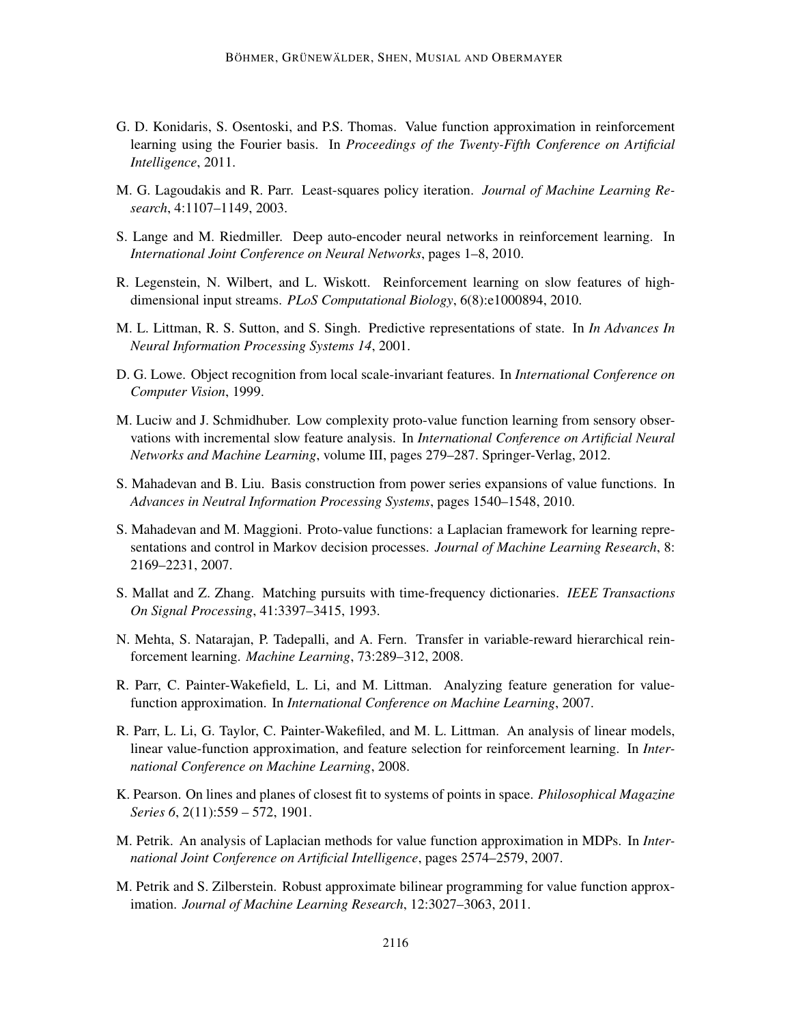- G. D. Konidaris, S. Osentoski, and P.S. Thomas. Value function approximation in reinforcement learning using the Fourier basis. In *Proceedings of the Twenty-Fifth Conference on Artificial Intelligence*, 2011.
- M. G. Lagoudakis and R. Parr. Least-squares policy iteration. *Journal of Machine Learning Research*, 4:1107–1149, 2003.
- S. Lange and M. Riedmiller. Deep auto-encoder neural networks in reinforcement learning. In *International Joint Conference on Neural Networks*, pages 1–8, 2010.
- R. Legenstein, N. Wilbert, and L. Wiskott. Reinforcement learning on slow features of highdimensional input streams. *PLoS Computational Biology*, 6(8):e1000894, 2010.
- M. L. Littman, R. S. Sutton, and S. Singh. Predictive representations of state. In *In Advances In Neural Information Processing Systems 14*, 2001.
- D. G. Lowe. Object recognition from local scale-invariant features. In *International Conference on Computer Vision*, 1999.
- M. Luciw and J. Schmidhuber. Low complexity proto-value function learning from sensory observations with incremental slow feature analysis. In *International Conference on Artificial Neural Networks and Machine Learning*, volume III, pages 279–287. Springer-Verlag, 2012.
- S. Mahadevan and B. Liu. Basis construction from power series expansions of value functions. In *Advances in Neutral Information Processing Systems*, pages 1540–1548, 2010.
- S. Mahadevan and M. Maggioni. Proto-value functions: a Laplacian framework for learning representations and control in Markov decision processes. *Journal of Machine Learning Research*, 8: 2169–2231, 2007.
- S. Mallat and Z. Zhang. Matching pursuits with time-frequency dictionaries. *IEEE Transactions On Signal Processing*, 41:3397–3415, 1993.
- N. Mehta, S. Natarajan, P. Tadepalli, and A. Fern. Transfer in variable-reward hierarchical reinforcement learning. *Machine Learning*, 73:289–312, 2008.
- R. Parr, C. Painter-Wakefield, L. Li, and M. Littman. Analyzing feature generation for valuefunction approximation. In *International Conference on Machine Learning*, 2007.
- R. Parr, L. Li, G. Taylor, C. Painter-Wakefiled, and M. L. Littman. An analysis of linear models, linear value-function approximation, and feature selection for reinforcement learning. In *International Conference on Machine Learning*, 2008.
- K. Pearson. On lines and planes of closest fit to systems of points in space. *Philosophical Magazine Series 6*, 2(11):559 – 572, 1901.
- M. Petrik. An analysis of Laplacian methods for value function approximation in MDPs. In *International Joint Conference on Artificial Intelligence*, pages 2574–2579, 2007.
- M. Petrik and S. Zilberstein. Robust approximate bilinear programming for value function approximation. *Journal of Machine Learning Research*, 12:3027–3063, 2011.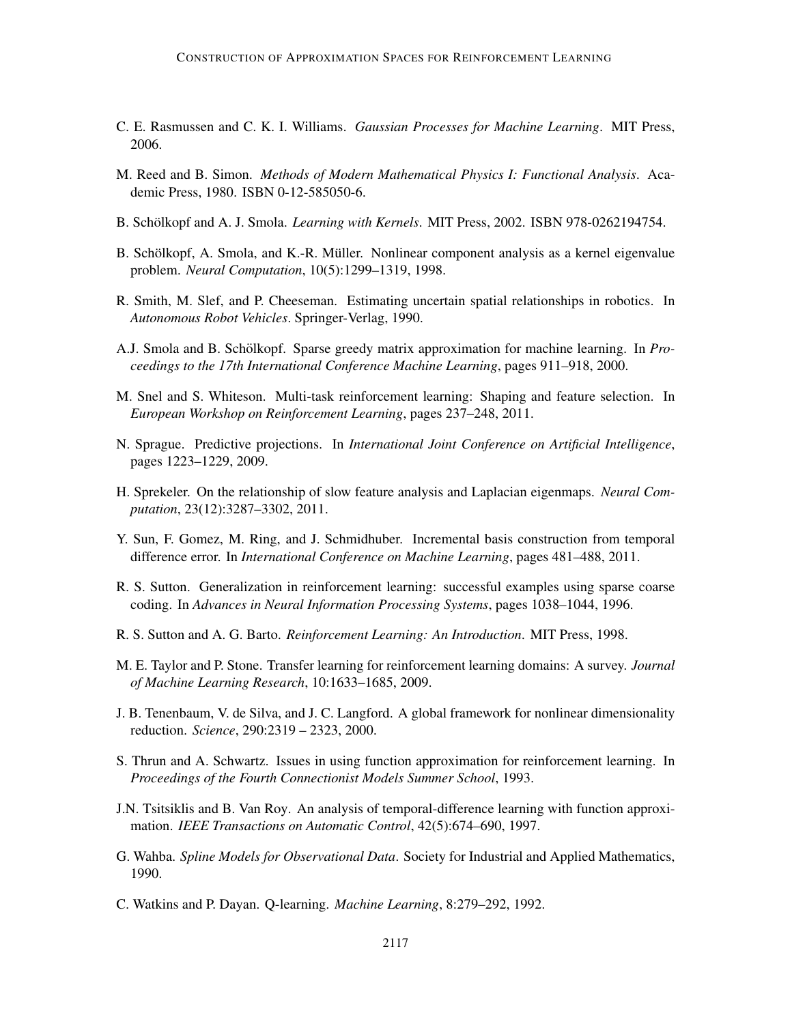- C. E. Rasmussen and C. K. I. Williams. *Gaussian Processes for Machine Learning*. MIT Press, 2006.
- M. Reed and B. Simon. *Methods of Modern Mathematical Physics I: Functional Analysis*. Academic Press, 1980. ISBN 0-12-585050-6.
- B. Schölkopf and A. J. Smola. *Learning with Kernels*. MIT Press, 2002. ISBN 978-0262194754.
- B. Schölkopf, A. Smola, and K.-R. Müller. Nonlinear component analysis as a kernel eigenvalue problem. *Neural Computation*, 10(5):1299–1319, 1998.
- R. Smith, M. Slef, and P. Cheeseman. Estimating uncertain spatial relationships in robotics. In *Autonomous Robot Vehicles*. Springer-Verlag, 1990.
- A.J. Smola and B. Schölkopf. Sparse greedy matrix approximation for machine learning. In *Proceedings to the 17th International Conference Machine Learning*, pages 911–918, 2000.
- M. Snel and S. Whiteson. Multi-task reinforcement learning: Shaping and feature selection. In *European Workshop on Reinforcement Learning*, pages 237–248, 2011.
- N. Sprague. Predictive projections. In *International Joint Conference on Artificial Intelligence*, pages 1223–1229, 2009.
- H. Sprekeler. On the relationship of slow feature analysis and Laplacian eigenmaps. *Neural Computation*, 23(12):3287–3302, 2011.
- Y. Sun, F. Gomez, M. Ring, and J. Schmidhuber. Incremental basis construction from temporal difference error. In *International Conference on Machine Learning*, pages 481–488, 2011.
- R. S. Sutton. Generalization in reinforcement learning: successful examples using sparse coarse coding. In *Advances in Neural Information Processing Systems*, pages 1038–1044, 1996.
- R. S. Sutton and A. G. Barto. *Reinforcement Learning: An Introduction*. MIT Press, 1998.
- M. E. Taylor and P. Stone. Transfer learning for reinforcement learning domains: A survey. *Journal of Machine Learning Research*, 10:1633–1685, 2009.
- J. B. Tenenbaum, V. de Silva, and J. C. Langford. A global framework for nonlinear dimensionality reduction. *Science*, 290:2319 – 2323, 2000.
- S. Thrun and A. Schwartz. Issues in using function approximation for reinforcement learning. In *Proceedings of the Fourth Connectionist Models Summer School*, 1993.
- J.N. Tsitsiklis and B. Van Roy. An analysis of temporal-difference learning with function approximation. *IEEE Transactions on Automatic Control*, 42(5):674–690, 1997.
- G. Wahba. *Spline Models for Observational Data*. Society for Industrial and Applied Mathematics, 1990.
- C. Watkins and P. Dayan. Q-learning. *Machine Learning*, 8:279–292, 1992.